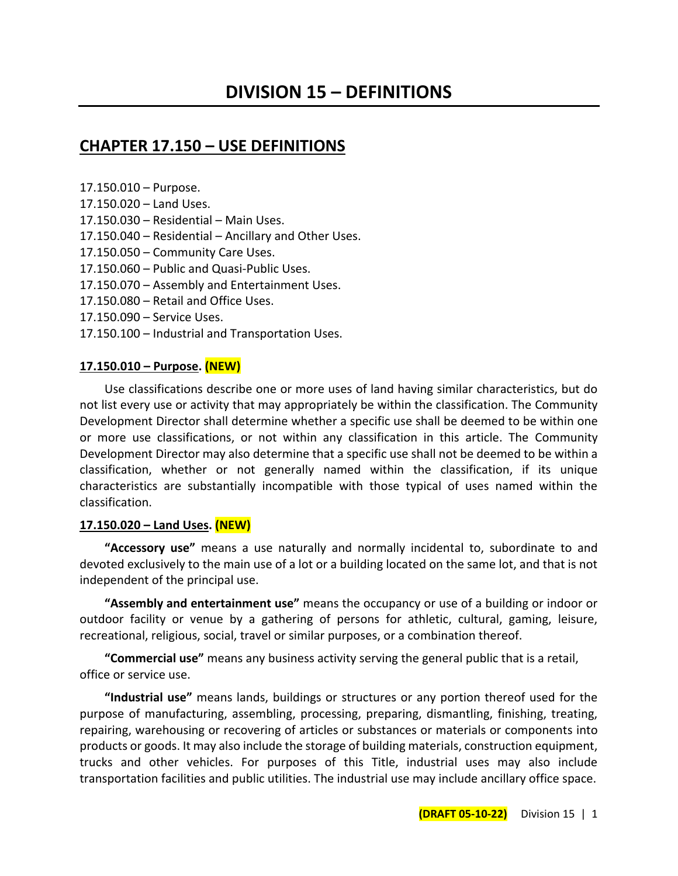## **CHAPTER 17.150 – USE DEFINITIONS**

17.150.010 – Purpose.

- 17.150.020 Land Uses.
- 17.150.030 Residential Main Uses.
- 17.150.040 Residential Ancillary and Other Uses.
- 17.150.050 Community Care Uses.
- 17.150.060 Public and Quasi-Public Uses.
- 17.150.070 Assembly and Entertainment Uses.
- 17.150.080 Retail and Office Uses.
- 17.150.090 Service Uses.
- 17.150.100 Industrial and Transportation Uses.

#### **17.150.010 – Purpose. (NEW)**

Use classifications describe one or more uses of land having similar characteristics, but do not list every use or activity that may appropriately be within the classification. The Community Development Director shall determine whether a specific use shall be deemed to be within one or more use classifications, or not within any classification in this article. The Community Development Director may also determine that a specific use shall not be deemed to be within a classification, whether or not generally named within the classification, if its unique characteristics are substantially incompatible with those typical of uses named within the classification.

#### **17.150.020 – Land Uses. (NEW)**

**"Accessory use"** means a use naturally and normally incidental to, subordinate to and devoted exclusively to the main use of a lot or a building located on the same lot, and that is not independent of the principal use.

**"Assembly and entertainment use"** means the occupancy or use of a building or indoor or outdoor facility or venue by a gathering of persons for athletic, cultural, gaming, leisure, recreational, religious, social, travel or similar purposes, or a combination thereof.

**"Commercial use"** means any business activity serving the general public that is a retail, office or service use.

**"Industrial use"** means lands, buildings or structures or any portion thereof used for the purpose of manufacturing, assembling, processing, preparing, dismantling, finishing, treating, repairing, warehousing or recovering of articles or substances or materials or components into products or goods. It may also include the storage of building materials, construction equipment, trucks and other vehicles. For purposes of this Title, industrial uses may also include transportation facilities and public utilities. The industrial use may include ancillary office space.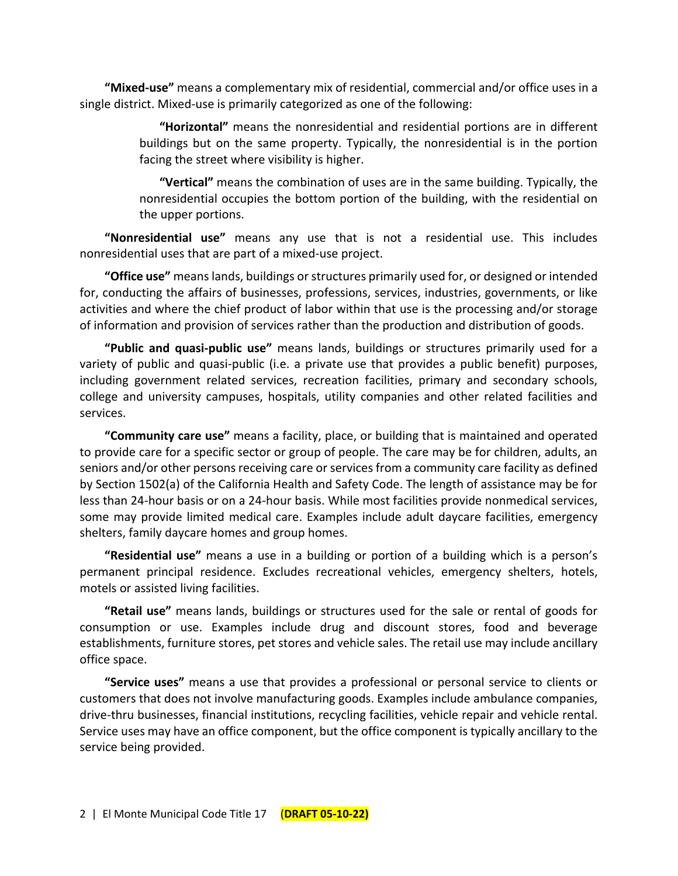**"Mixed-use"** means a complementary mix of residential, commercial and/or office uses in a single district. Mixed-use is primarily categorized as one of the following:

> **"Horizontal"** means the nonresidential and residential portions are in different buildings but on the same property. Typically, the nonresidential is in the portion facing the street where visibility is higher.

> **"Vertical"** means the combination of uses are in the same building. Typically, the nonresidential occupies the bottom portion of the building, with the residential on the upper portions.

**"Nonresidential use"** means any use that is not a residential use. This includes nonresidential uses that are part of a mixed-use project.

**"Office use"** means lands, buildings or structures primarily used for, or designed or intended for, conducting the affairs of businesses, professions, services, industries, governments, or like activities and where the chief product of labor within that use is the processing and/or storage of information and provision of services rather than the production and distribution of goods.

**"Public and quasi-public use"** means lands, buildings or structures primarily used for a variety of public and quasi-public (i.e. a private use that provides a public benefit) purposes, including government related services, recreation facilities, primary and secondary schools, college and university campuses, hospitals, utility companies and other related facilities and services.

**"Community care use"** means a facility, place, or building that is maintained and operated to provide care for a specific sector or group of people. The care may be for children, adults, an seniors and/or other persons receiving care or services from a community care facility as defined by Section 1502(a) of the California Health and Safety Code. The length of assistance may be for less than 24-hour basis or on a 24-hour basis. While most facilities provide nonmedical services, some may provide limited medical care. Examples include adult daycare facilities, emergency shelters, family daycare homes and group homes.

**"Residential use"** means a use in a building or portion of a building which is a person's permanent principal residence. Excludes recreational vehicles, emergency shelters, hotels, motels or assisted living facilities.

**"Retail use"** means lands, buildings or structures used for the sale or rental of goods for consumption or use. Examples include drug and discount stores, food and beverage establishments, furniture stores, pet stores and vehicle sales. The retail use may include ancillary office space.

**"Service uses"** means a use that provides a professional or personal service to clients or customers that does not involve manufacturing goods. Examples include ambulance companies, drive-thru businesses, financial institutions, recycling facilities, vehicle repair and vehicle rental. Service uses may have an office component, but the office component is typically ancillary to the service being provided.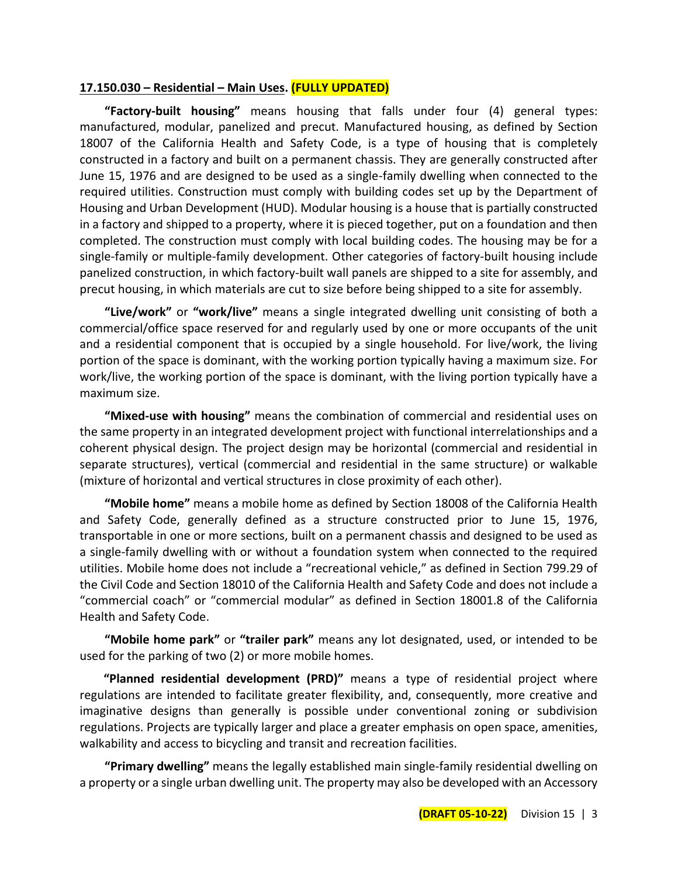#### **17.150.030 – Residential – Main Uses. (FULLY UPDATED)**

**"Factory-built housing"** means housing that falls under four (4) general types: manufactured, modular, panelized and precut. Manufactured housing, as defined by Section 18007 of the California Health and Safety Code, is a type of housing that is completely constructed in a factory and built on a permanent chassis. They are generally constructed after June 15, 1976 and are designed to be used as a single-family dwelling when connected to the required utilities. Construction must comply with building codes set up by the Department of Housing and Urban Development (HUD). Modular housing is a house that is partially constructed in a factory and shipped to a property, where it is pieced together, put on a foundation and then completed. The construction must comply with local building codes. The housing may be for a single-family or multiple-family development. Other categories of factory-built housing include panelized construction, in which factory-built wall panels are shipped to a site for assembly, and precut housing, in which materials are cut to size before being shipped to a site for assembly.

**"Live/work"** or **"work/live"** means a single integrated dwelling unit consisting of both a commercial/office space reserved for and regularly used by one or more occupants of the unit and a residential component that is occupied by a single household. For live/work, the living portion of the space is dominant, with the working portion typically having a maximum size. For work/live, the working portion of the space is dominant, with the living portion typically have a maximum size.

**"Mixed-use with housing"** means the combination of commercial and residential uses on the same property in an integrated development project with functional interrelationships and a coherent physical design. The project design may be horizontal (commercial and residential in separate structures), vertical (commercial and residential in the same structure) or walkable (mixture of horizontal and vertical structures in close proximity of each other).

**"Mobile home"** means a mobile home as defined by Section 18008 of the California Health and Safety Code, generally defined as a structure constructed prior to June 15, 1976, transportable in one or more sections, built on a permanent chassis and designed to be used as a single-family dwelling with or without a foundation system when connected to the required utilities. Mobile home does not include a "recreational vehicle," as defined in Section 799.29 of the Civil Code and Section 18010 of the California Health and Safety Code and does not include a "commercial coach" or "commercial modular" as defined in Section 18001.8 of the California Health and Safety Code.

**"Mobile home park"** or **"trailer park"** means any lot designated, used, or intended to be used for the parking of two (2) or more mobile homes.

**"Planned residential development (PRD)"** means a type of residential project where regulations are intended to facilitate greater flexibility, and, consequently, more creative and imaginative designs than generally is possible under conventional zoning or subdivision regulations. Projects are typically larger and place a greater emphasis on open space, amenities, walkability and access to bicycling and transit and recreation facilities.

**"Primary dwelling"** means the legally established main single-family residential dwelling on a property or a single urban dwelling unit. The property may also be developed with an Accessory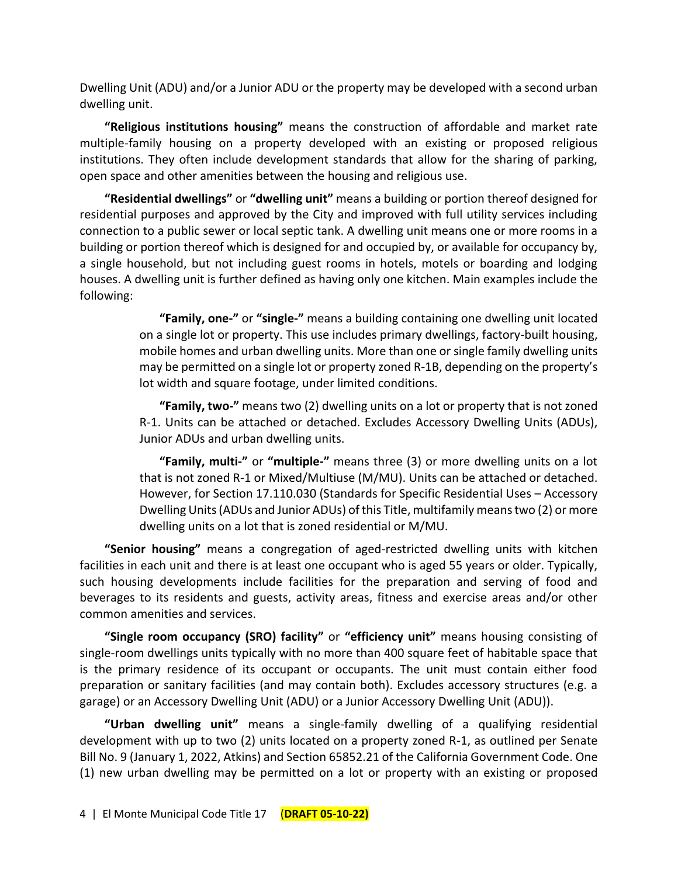Dwelling Unit (ADU) and/or a Junior ADU or the property may be developed with a second urban dwelling unit.

**"Religious institutions housing"** means the construction of affordable and market rate multiple-family housing on a property developed with an existing or proposed religious institutions. They often include development standards that allow for the sharing of parking, open space and other amenities between the housing and religious use.

**"Residential dwellings"** or **"dwelling unit"** means a building or portion thereof designed for residential purposes and approved by the City and improved with full utility services including connection to a public sewer or local septic tank. A dwelling unit means one or more rooms in a building or portion thereof which is designed for and occupied by, or available for occupancy by, a single household, but not including guest rooms in hotels, motels or boarding and lodging houses. A dwelling unit is further defined as having only one kitchen. Main examples include the following:

> **"Family, one-"** or **"single-"** means a building containing one dwelling unit located on a single lot or property. This use includes primary dwellings, factory-built housing, mobile homes and urban dwelling units. More than one or single family dwelling units may be permitted on a single lot or property zoned R-1B, depending on the property's lot width and square footage, under limited conditions.

> **"Family, two-"** means two (2) dwelling units on a lot or property that is not zoned R-1. Units can be attached or detached. Excludes Accessory Dwelling Units (ADUs), Junior ADUs and urban dwelling units.

> **"Family, multi-"** or **"multiple-"** means three (3) or more dwelling units on a lot that is not zoned R-1 or Mixed/Multiuse (M/MU). Units can be attached or detached. However, for Section 17.110.030 (Standards for Specific Residential Uses – Accessory Dwelling Units (ADUs and Junior ADUs) of this Title, multifamily means two (2) or more dwelling units on a lot that is zoned residential or M/MU.

**"Senior housing"** means a congregation of aged-restricted dwelling units with kitchen facilities in each unit and there is at least one occupant who is aged 55 years or older. Typically, such housing developments include facilities for the preparation and serving of food and beverages to its residents and guests, activity areas, fitness and exercise areas and/or other common amenities and services.

**"Single room occupancy (SRO) facility"** or **"efficiency unit"** means housing consisting of single-room dwellings units typically with no more than 400 square feet of habitable space that is the primary residence of its occupant or occupants. The unit must contain either food preparation or sanitary facilities (and may contain both). Excludes accessory structures (e.g. a garage) or an Accessory Dwelling Unit (ADU) or a Junior Accessory Dwelling Unit (ADU)).

**"Urban dwelling unit"** means a single-family dwelling of a qualifying residential development with up to two (2) units located on a property zoned R-1, as outlined per Senate Bill No. 9 (January 1, 2022, Atkins) and Section 65852.21 of the California Government Code. One (1) new urban dwelling may be permitted on a lot or property with an existing or proposed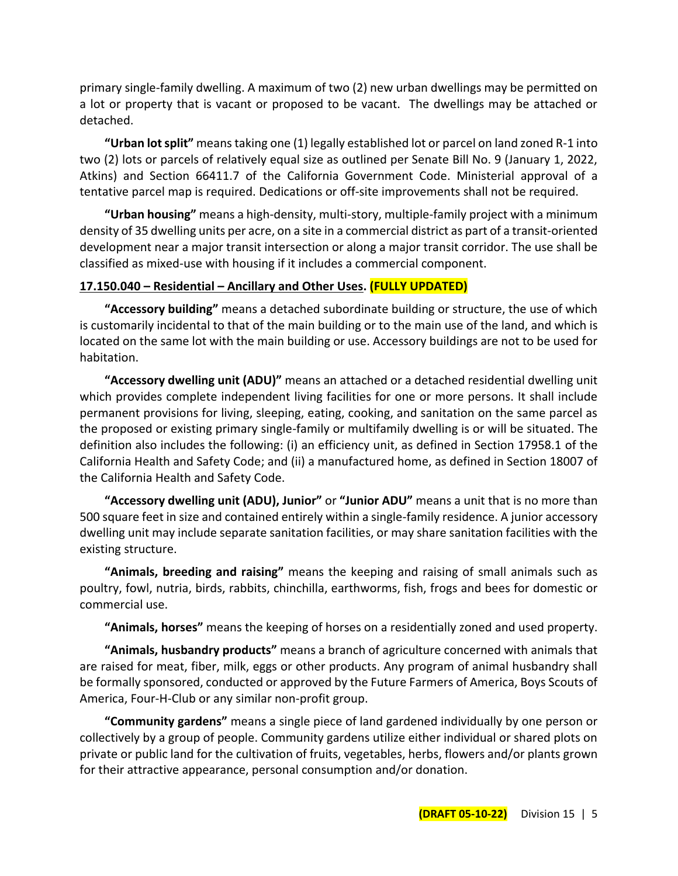primary single-family dwelling. A maximum of two (2) new urban dwellings may be permitted on a lot or property that is vacant or proposed to be vacant. The dwellings may be attached or detached.

**"Urban lot split"** means taking one (1) legally established lot or parcel on land zoned R-1 into two (2) lots or parcels of relatively equal size as outlined per Senate Bill No. 9 (January 1, 2022, Atkins) and Section 66411.7 of the California Government Code. Ministerial approval of a tentative parcel map is required. Dedications or off-site improvements shall not be required.

**"Urban housing"** means a high-density, multi-story, multiple-family project with a minimum density of 35 dwelling units per acre, on a site in a commercial district as part of a transit-oriented development near a major transit intersection or along a major transit corridor. The use shall be classified as mixed-use with housing if it includes a commercial component.

## **17.150.040 – Residential – Ancillary and Other Uses. (FULLY UPDATED)**

**"Accessory building"** means a detached subordinate building or structure, the use of which is customarily incidental to that of the main building or to the main use of the land, and which is located on the same lot with the main building or use. Accessory buildings are not to be used for habitation.

**"Accessory dwelling unit (ADU)"** means an attached or a detached residential dwelling unit which provides complete independent living facilities for one or more persons. It shall include permanent provisions for living, sleeping, eating, cooking, and sanitation on the same parcel as the proposed or existing primary single-family or multifamily dwelling is or will be situated. The definition also includes the following: (i) an efficiency unit, as defined in Section 17958.1 of the California Health and Safety Code; and (ii) a manufactured home, as defined in Section 18007 of the California Health and Safety Code.

**"Accessory dwelling unit (ADU), Junior"** or **"Junior ADU"** means a unit that is no more than 500 square feet in size and contained entirely within a single-family residence. A junior accessory dwelling unit may include separate sanitation facilities, or may share sanitation facilities with the existing structure.

**"Animals, breeding and raising"** means the keeping and raising of small animals such as poultry, fowl, nutria, birds, rabbits, chinchilla, earthworms, fish, frogs and bees for domestic or commercial use.

**"Animals, horses"** means the keeping of horses on a residentially zoned and used property.

**"Animals, husbandry products"** means a branch of agriculture concerned with animals that are raised for meat, fiber, milk, eggs or other products. Any program of animal husbandry shall be formally sponsored, conducted or approved by the Future Farmers of America, Boys Scouts of America, Four-H-Club or any similar non-profit group.

**"Community gardens"** means a single piece of land gardened individually by one person or collectively by a group of people. Community gardens utilize either individual or shared plots on private or public land for the cultivation of fruits, vegetables, herbs, flowers and/or plants grown for their attractive appearance, personal consumption and/or donation.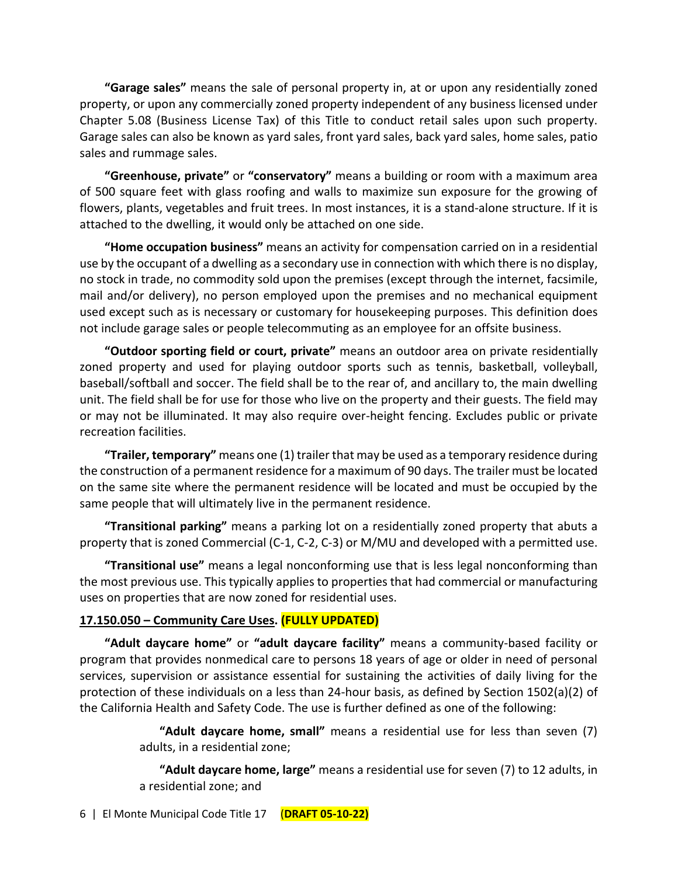**"Garage sales"** means the sale of personal property in, at or upon any residentially zoned property, or upon any commercially zoned property independent of any business licensed under Chapter 5.08 (Business License Tax) of this Title to conduct retail sales upon such property. Garage sales can also be known as yard sales, front yard sales, back yard sales, home sales, patio sales and rummage sales.

**"Greenhouse, private"** or **"conservatory"** means a building or room with a maximum area of 500 square feet with glass roofing and walls to maximize sun exposure for the growing of flowers, plants, vegetables and fruit trees. In most instances, it is a stand-alone structure. If it is attached to the dwelling, it would only be attached on one side.

**"Home occupation business"** means an activity for compensation carried on in a residential use by the occupant of a dwelling as a secondary use in connection with which there is no display, no stock in trade, no commodity sold upon the premises (except through the internet, facsimile, mail and/or delivery), no person employed upon the premises and no mechanical equipment used except such as is necessary or customary for housekeeping purposes. This definition does not include garage sales or people telecommuting as an employee for an offsite business.

**"Outdoor sporting field or court, private"** means an outdoor area on private residentially zoned property and used for playing outdoor sports such as tennis, basketball, volleyball, baseball/softball and soccer. The field shall be to the rear of, and ancillary to, the main dwelling unit. The field shall be for use for those who live on the property and their guests. The field may or may not be illuminated. It may also require over-height fencing. Excludes public or private recreation facilities.

**"Trailer, temporary"** means one (1) trailer that may be used as a temporary residence during the construction of a permanent residence for a maximum of 90 days. The trailer must be located on the same site where the permanent residence will be located and must be occupied by the same people that will ultimately live in the permanent residence.

**"Transitional parking"** means a parking lot on a residentially zoned property that abuts a property that is zoned Commercial (C-1, C-2, C-3) or M/MU and developed with a permitted use.

**"Transitional use"** means a legal nonconforming use that is less legal nonconforming than the most previous use. This typically applies to properties that had commercial or manufacturing uses on properties that are now zoned for residential uses.

## **17.150.050 – Community Care Uses. (FULLY UPDATED)**

**"Adult daycare home"** or **"adult daycare facility"** means a community-based facility or program that provides nonmedical care to persons 18 years of age or older in need of personal services, supervision or assistance essential for sustaining the activities of daily living for the protection of these individuals on a less than 24-hour basis, as defined by Section 1502(a)(2) of the California Health and Safety Code. The use is further defined as one of the following:

> **"Adult daycare home, small"** means a residential use for less than seven (7) adults, in a residential zone;

> **"Adult daycare home, large"** means a residential use for seven (7) to 12 adults, in a residential zone; and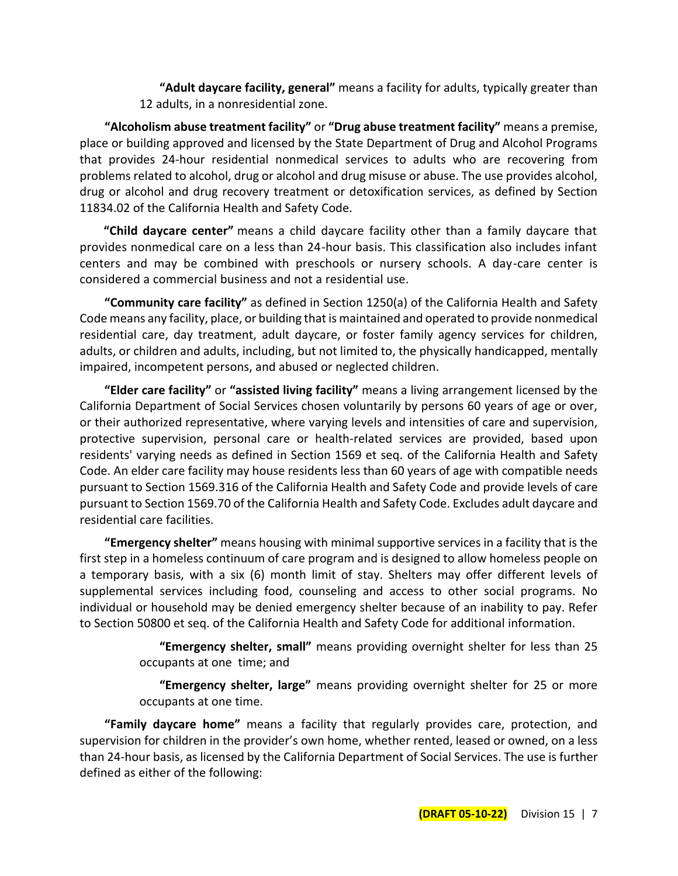**"Adult daycare facility, general"** means a facility for adults, typically greater than 12 adults, in a nonresidential zone.

**"Alcoholism abuse treatment facility"** or **"Drug abuse treatment facility"** means a premise, place or building approved and licensed by the State Department of Drug and Alcohol Programs that provides 24-hour residential nonmedical services to adults who are recovering from problems related to alcohol, drug or alcohol and drug misuse or abuse. The use provides alcohol, drug or alcohol and drug recovery treatment or detoxification services, as defined by Section 11834.02 of the California Health and Safety Code.

**"Child daycare center"** means a child daycare facility other than a family daycare that provides nonmedical care on a less than 24-hour basis. This classification also includes infant centers and may be combined with preschools or nursery schools. A day-care center is considered a commercial business and not a residential use.

**"Community care facility"** as defined in Section 1250(a) of the California Health and Safety Code means any facility, place, or building that is maintained and operated to provide nonmedical residential care, day treatment, adult daycare, or foster family agency services for children, adults, or children and adults, including, but not limited to, the physically handicapped, mentally impaired, incompetent persons, and abused or neglected children.

**"Elder care facility"** or **"assisted living facility"** means a living arrangement licensed by the California Department of Social Services chosen voluntarily by persons 60 years of age or over, or their authorized representative, where varying levels and intensities of care and supervision, protective supervision, personal care or health-related services are provided, based upon residents' varying needs as defined in Section 1569 et seq. of the California Health and Safety Code. An elder care facility may house residents less than 60 years of age with compatible needs pursuant to Section 1569.316 of the California Health and Safety Code and provide levels of care pursuant to Section 1569.70 of the California Health and Safety Code. Excludes adult daycare and residential care facilities.

**"Emergency shelter"** means housing with minimal supportive services in a facility that is the first step in a homeless continuum of care program and is designed to allow homeless people on a temporary basis, with a six (6) month limit of stay. Shelters may offer different levels of supplemental services including food, counseling and access to other social programs. No individual or household may be denied emergency shelter because of an inability to pay. Refer to Section 50800 et seq. of the California Health and Safety Code for additional information.

> **"Emergency shelter, small"** means providing overnight shelter for less than 25 occupants at one time; and

> **"Emergency shelter, large"** means providing overnight shelter for 25 or more occupants at one time.

**"Family daycare home"** means a facility that regularly provides care, protection, and supervision for children in the provider's own home, whether rented, leased or owned, on a less than 24-hour basis, as licensed by the California Department of Social Services. The use is further defined as either of the following: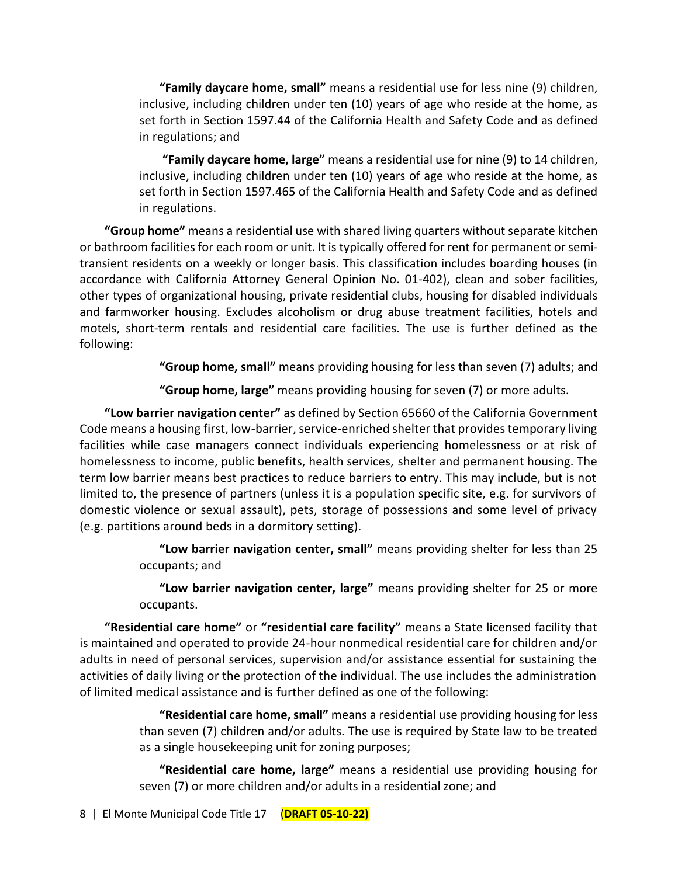**"Family daycare home, small"** means a residential use for less nine (9) children, inclusive, including children under ten (10) years of age who reside at the home, as set forth in Section 1597.44 of the California Health and Safety Code and as defined in regulations; and

**"Family daycare home, large"** means a residential use for nine (9) to 14 children, inclusive, including children under ten (10) years of age who reside at the home, as set forth in Section 1597.465 of the California Health and Safety Code and as defined in regulations.

**"Group home"** means a residential use with shared living quarters without separate kitchen or bathroom facilities for each room or unit. It is typically offered for rent for permanent or semitransient residents on a weekly or longer basis. This classification includes boarding houses (in accordance with California Attorney General Opinion No. 01-402), clean and sober facilities, other types of organizational housing, private residential clubs, housing for disabled individuals and farmworker housing. Excludes alcoholism or drug abuse treatment facilities, hotels and motels, short-term rentals and residential care facilities. The use is further defined as the following:

**"Group home, small"** means providing housing for less than seven (7) adults; and

**"Group home, large"** means providing housing for seven (7) or more adults.

**"Low barrier navigation center"** as defined by Section 65660 of the California Government Code means a housing first, low-barrier, service-enriched shelter that provides temporary living facilities while case managers connect individuals experiencing homelessness or at risk of homelessness to income, public benefits, health services, shelter and permanent housing. The term low barrier means best practices to reduce barriers to entry. This may include, but is not limited to, the presence of partners (unless it is a population specific site, e.g. for survivors of domestic violence or sexual assault), pets, storage of possessions and some level of privacy (e.g. partitions around beds in a dormitory setting).

> **"Low barrier navigation center, small"** means providing shelter for less than 25 occupants; and

> **"Low barrier navigation center, large"** means providing shelter for 25 or more occupants.

**"Residential care home"** or **"residential care facility"** means a State licensed facility that is maintained and operated to provide 24-hour nonmedical residential care for children and/or adults in need of personal services, supervision and/or assistance essential for sustaining the activities of daily living or the protection of the individual. The use includes the administration of limited medical assistance and is further defined as one of the following:

> **"Residential care home, small"** means a residential use providing housing for less than seven (7) children and/or adults. The use is required by State law to be treated as a single housekeeping unit for zoning purposes;

> **"Residential care home, large"** means a residential use providing housing for seven (7) or more children and/or adults in a residential zone; and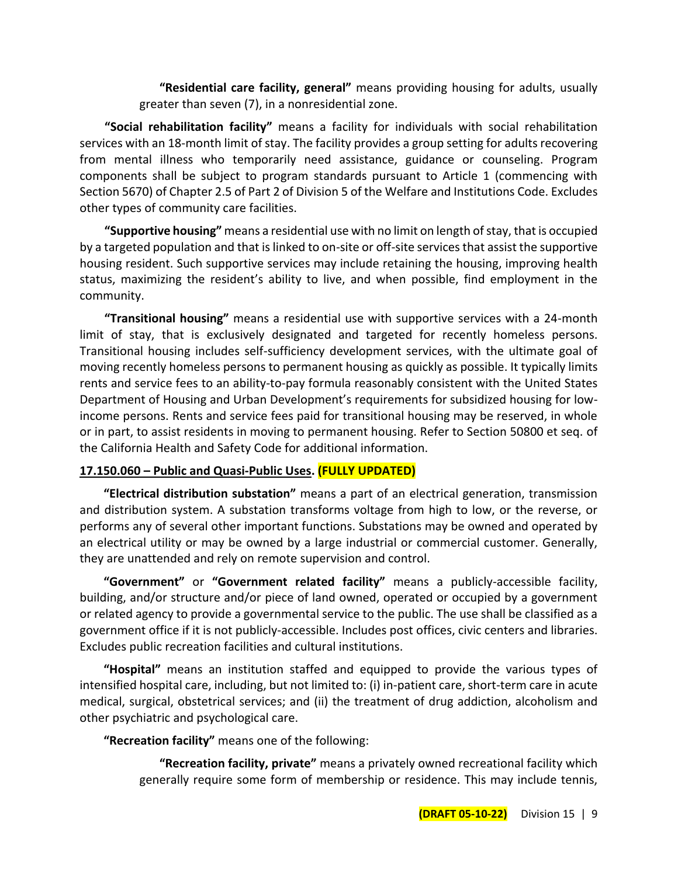**"Residential care facility, general"** means providing housing for adults, usually greater than seven (7), in a nonresidential zone.

**"Social rehabilitation facility"** means a facility for individuals with social rehabilitation services with an 18-month limit of stay. The facility provides a group setting for adults recovering from mental illness who temporarily need assistance, guidance or counseling. Program components shall be subject to program standards pursuant to Article 1 (commencing with Section 5670) of Chapter 2.5 of Part 2 of Division 5 of the Welfare and Institutions Code. Excludes other types of community care facilities.

**"Supportive housing"** means a residential use with no limit on length of stay, that is occupied by a targeted population and that is linked to on-site or off-site services that assist the supportive housing resident. Such supportive services may include retaining the housing, improving health status, maximizing the resident's ability to live, and when possible, find employment in the community.

**"Transitional housing"** means a residential use with supportive services with a 24-month limit of stay, that is exclusively designated and targeted for recently homeless persons. Transitional housing includes self-sufficiency development services, with the ultimate goal of moving recently homeless persons to permanent housing as quickly as possible. It typically limits rents and service fees to an ability-to-pay formula reasonably consistent with the United States Department of Housing and Urban Development's requirements for subsidized housing for lowincome persons. Rents and service fees paid for transitional housing may be reserved, in whole or in part, to assist residents in moving to permanent housing. Refer to Section 50800 et seq. of the California Health and Safety Code for additional information.

## **17.150.060 – Public and Quasi-Public Uses. (FULLY UPDATED)**

**"Electrical distribution substation"** means a part of an electrical generation, transmission and distribution system. A substation transforms voltage from high to low, or the reverse, or performs any of several other important functions. Substations may be owned and operated by an electrical utility or may be owned by a large industrial or commercial customer. Generally, they are unattended and rely on remote supervision and control.

**"Government"** or **"Government related facility"** means a publicly-accessible facility, building, and/or structure and/or piece of land owned, operated or occupied by a government or related agency to provide a governmental service to the public. The use shall be classified as a government office if it is not publicly-accessible. Includes post offices, civic centers and libraries. Excludes public recreation facilities and cultural institutions.

**"Hospital"** means an institution staffed and equipped to provide the various types of intensified hospital care, including, but not limited to: (i) in-patient care, short-term care in acute medical, surgical, obstetrical services; and (ii) the treatment of drug addiction, alcoholism and other psychiatric and psychological care.

**"Recreation facility"** means one of the following:

**"Recreation facility, private"** means a privately owned recreational facility which generally require some form of membership or residence. This may include tennis,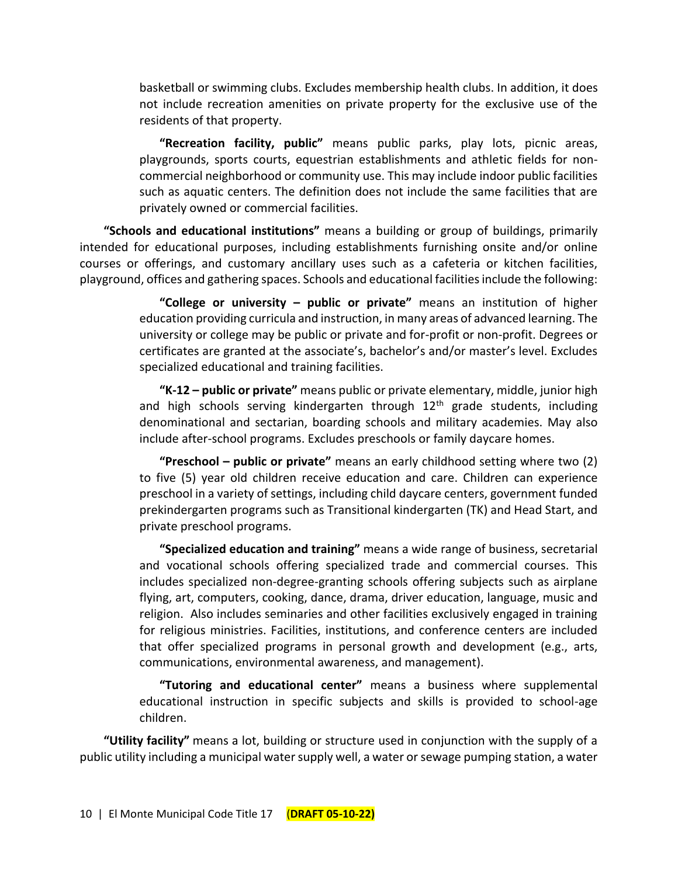basketball or swimming clubs. Excludes membership health clubs. In addition, it does not include recreation amenities on private property for the exclusive use of the residents of that property.

**"Recreation facility, public"** means public parks, play lots, picnic areas, playgrounds, sports courts, equestrian establishments and athletic fields for noncommercial neighborhood or community use. This may include indoor public facilities such as aquatic centers. The definition does not include the same facilities that are privately owned or commercial facilities.

**"Schools and educational institutions"** means a building or group of buildings, primarily intended for educational purposes, including establishments furnishing onsite and/or online courses or offerings, and customary ancillary uses such as a cafeteria or kitchen facilities, playground, offices and gathering spaces. Schools and educational facilities include the following:

> **"College or university – public or private"** means an institution of higher education providing curricula and instruction, in many areas of advanced learning. The university or college may be public or private and for-profit or non-profit. Degrees or certificates are granted at the associate's, bachelor's and/or master's level. Excludes specialized educational and training facilities.

> **"K-12 – public or private"** means public or private elementary, middle, junior high and high schools serving kindergarten through  $12<sup>th</sup>$  grade students, including denominational and sectarian, boarding schools and military academies. May also include after-school programs. Excludes preschools or family daycare homes.

> **"Preschool – public or private"** means an early childhood setting where two (2) to five (5) year old children receive education and care. Children can experience preschool in a variety of settings, including child daycare centers, government funded prekindergarten programs such as Transitional kindergarten (TK) and Head Start, and private preschool programs.

> **"Specialized education and training"** means a wide range of business, secretarial and vocational schools offering specialized trade and commercial courses. This includes specialized non-degree-granting schools offering subjects such as airplane flying, art, computers, cooking, dance, drama, driver education, language, music and religion. Also includes seminaries and other facilities exclusively engaged in training for religious ministries. Facilities, institutions, and conference centers are included that offer specialized programs in personal growth and development (e.g., arts, communications, environmental awareness, and management).

> **"Tutoring and educational center"** means a business where supplemental educational instruction in specific subjects and skills is provided to school-age children.

**"Utility facility"** means a lot, building or structure used in conjunction with the supply of a public utility including a municipal water supply well, a water or sewage pumping station, a water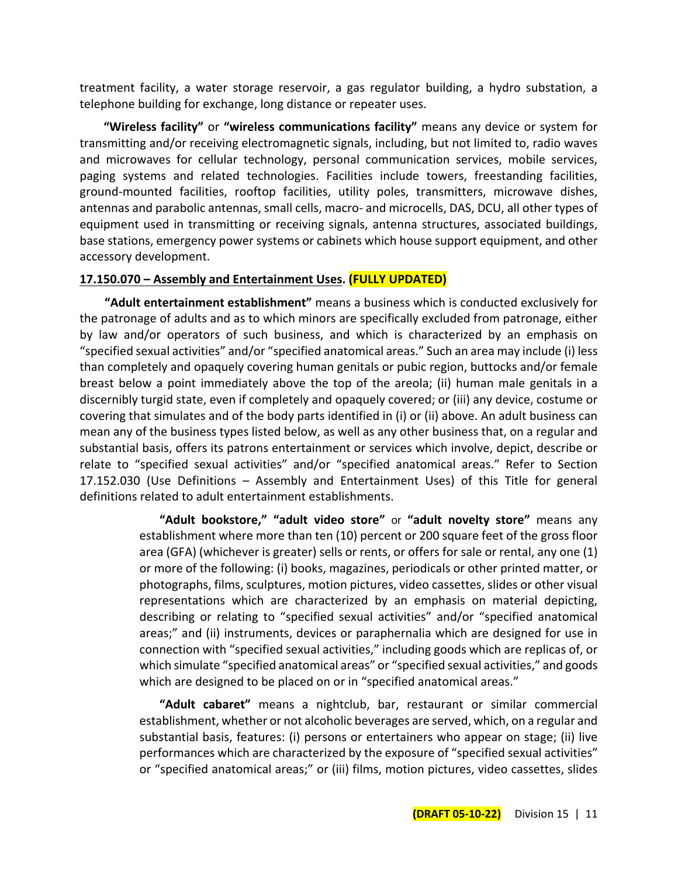treatment facility, a water storage reservoir, a gas regulator building, a hydro substation, a telephone building for exchange, long distance or repeater uses.

**"Wireless facility"** or **"wireless communications facility"** means any device or system for transmitting and/or receiving electromagnetic signals, including, but not limited to, radio waves and microwaves for cellular technology, personal communication services, mobile services, paging systems and related technologies. Facilities include towers, freestanding facilities, ground-mounted facilities, rooftop facilities, utility poles, transmitters, microwave dishes, antennas and parabolic antennas, small cells, macro- and microcells, DAS, DCU, all other types of equipment used in transmitting or receiving signals, antenna structures, associated buildings, base stations, emergency power systems or cabinets which house support equipment, and other accessory development.

#### **17.150.070 – Assembly and Entertainment Uses. (FULLY UPDATED)**

**"Adult entertainment establishment"** means a business which is conducted exclusively for the patronage of adults and as to which minors are specifically excluded from patronage, either by law and/or operators of such business, and which is characterized by an emphasis on "specified sexual activities" and/or "specified anatomical areas." Such an area may include (i) less than completely and opaquely covering human genitals or pubic region, buttocks and/or female breast below a point immediately above the top of the areola; (ii) human male genitals in a discernibly turgid state, even if completely and opaquely covered; or (iii) any device, costume or covering that simulates and of the body parts identified in (i) or (ii) above. An adult business can mean any of the business types listed below, as well as any other business that, on a regular and substantial basis, offers its patrons entertainment or services which involve, depict, describe or relate to "specified sexual activities" and/or "specified anatomical areas." Refer to Section 17.152.030 (Use Definitions – Assembly and Entertainment Uses) of this Title for general definitions related to adult entertainment establishments.

> **"Adult bookstore," "adult video store"** or **"adult novelty store"** means any establishment where more than ten (10) percent or 200 square feet of the gross floor area (GFA) (whichever is greater) sells or rents, or offers for sale or rental, any one (1) or more of the following: (i) books, magazines, periodicals or other printed matter, or photographs, films, sculptures, motion pictures, video cassettes, slides or other visual representations which are characterized by an emphasis on material depicting, describing or relating to "specified sexual activities" and/or "specified anatomical areas;" and (ii) instruments, devices or paraphernalia which are designed for use in connection with "specified sexual activities," including goods which are replicas of, or which simulate "specified anatomical areas" or "specified sexual activities," and goods which are designed to be placed on or in "specified anatomical areas."

> **"Adult cabaret"** means a nightclub, bar, restaurant or similar commercial establishment, whether or not alcoholic beverages are served, which, on a regular and substantial basis, features: (i) persons or entertainers who appear on stage; (ii) live performances which are characterized by the exposure of "specified sexual activities" or "specified anatomical areas;" or (iii) films, motion pictures, video cassettes, slides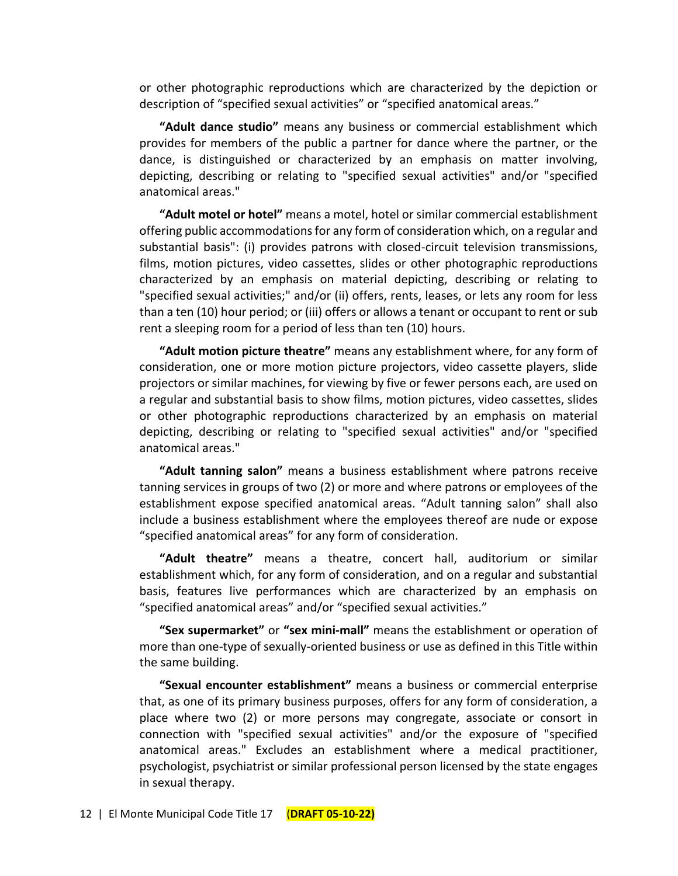or other photographic reproductions which are characterized by the depiction or description of "specified sexual activities" or "specified anatomical areas."

**"Adult dance studio"** means any business or commercial establishment which provides for members of the public a partner for dance where the partner, or the dance, is distinguished or characterized by an emphasis on matter involving, depicting, describing or relating to "specified sexual activities" and/or "specified anatomical areas."

**"Adult motel or hotel"** means a motel, hotel or similar commercial establishment offering public accommodations for any form of consideration which, on a regular and substantial basis": (i) provides patrons with closed-circuit television transmissions, films, motion pictures, video cassettes, slides or other photographic reproductions characterized by an emphasis on material depicting, describing or relating to "specified sexual activities;" and/or (ii) offers, rents, leases, or lets any room for less than a ten (10) hour period; or (iii) offers or allows a tenant or occupant to rent or sub rent a sleeping room for a period of less than ten (10) hours.

**"Adult motion picture theatre"** means any establishment where, for any form of consideration, one or more motion picture projectors, video cassette players, slide projectors or similar machines, for viewing by five or fewer persons each, are used on a regular and substantial basis to show films, motion pictures, video cassettes, slides or other photographic reproductions characterized by an emphasis on material depicting, describing or relating to "specified sexual activities" and/or "specified anatomical areas."

**"Adult tanning salon"** means a business establishment where patrons receive tanning services in groups of two (2) or more and where patrons or employees of the establishment expose specified anatomical areas. "Adult tanning salon" shall also include a business establishment where the employees thereof are nude or expose "specified anatomical areas" for any form of consideration.

**"Adult theatre"** means a theatre, concert hall, auditorium or similar establishment which, for any form of consideration, and on a regular and substantial basis, features live performances which are characterized by an emphasis on "specified anatomical areas" and/or "specified sexual activities."

**"Sex supermarket"** or **"sex mini-mall"** means the establishment or operation of more than one-type of sexually-oriented business or use as defined in this Title within the same building.

**"Sexual encounter establishment"** means a business or commercial enterprise that, as one of its primary business purposes, offers for any form of consideration, a place where two (2) or more persons may congregate, associate or consort in connection with "specified sexual activities" and/or the exposure of "specified anatomical areas." Excludes an establishment where a medical practitioner, psychologist, psychiatrist or similar professional person licensed by the state engages in sexual therapy.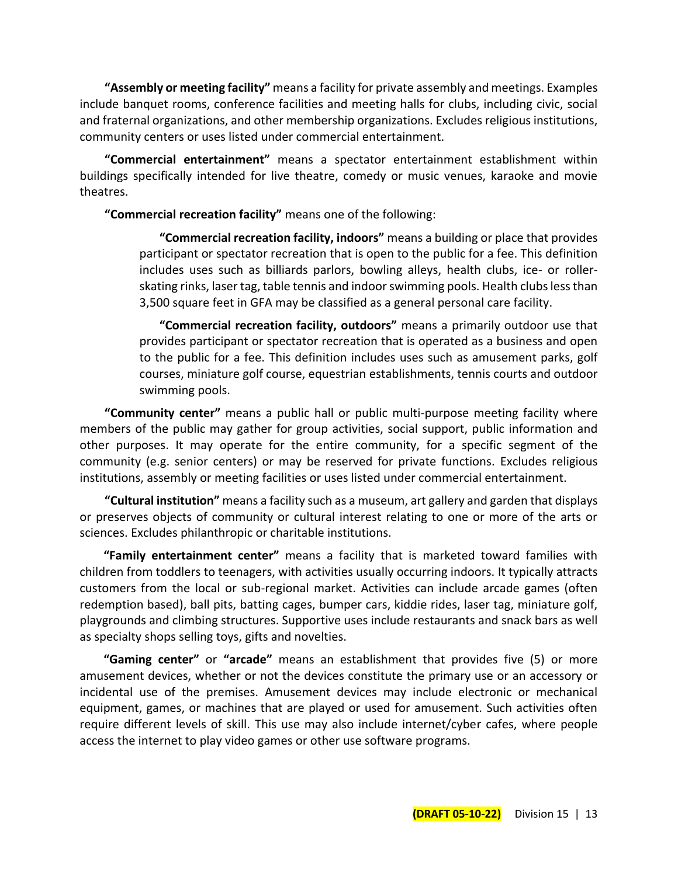**"Assembly or meeting facility"** means a facility for private assembly and meetings. Examples include banquet rooms, conference facilities and meeting halls for clubs, including civic, social and fraternal organizations, and other membership organizations. Excludes religious institutions, community centers or uses listed under commercial entertainment.

**"Commercial entertainment"** means a spectator entertainment establishment within buildings specifically intended for live theatre, comedy or music venues, karaoke and movie theatres.

**"Commercial recreation facility"** means one of the following:

**"Commercial recreation facility, indoors"** means a building or place that provides participant or spectator recreation that is open to the public for a fee. This definition includes uses such as billiards parlors, bowling alleys, health clubs, ice- or rollerskating rinks, laser tag, table tennis and indoor swimming pools. Health clubs less than 3,500 square feet in GFA may be classified as a general personal care facility.

**"Commercial recreation facility, outdoors"** means a primarily outdoor use that provides participant or spectator recreation that is operated as a business and open to the public for a fee. This definition includes uses such as amusement parks, golf courses, miniature golf course, equestrian establishments, tennis courts and outdoor swimming pools.

**"Community center"** means a public hall or public multi-purpose meeting facility where members of the public may gather for group activities, social support, public information and other purposes. It may operate for the entire community, for a specific segment of the community (e.g. senior centers) or may be reserved for private functions. Excludes religious institutions, assembly or meeting facilities or uses listed under commercial entertainment.

**"Cultural institution"** means a facility such as a museum, art gallery and garden that displays or preserves objects of community or cultural interest relating to one or more of the arts or sciences. Excludes philanthropic or charitable institutions.

**"Family entertainment center"** means a facility that is marketed toward families with children from toddlers to teenagers, with activities usually occurring indoors. It typically attracts customers from the local or sub-regional market. Activities can include arcade games (often redemption based), ball pits, batting cages, bumper cars, kiddie rides, laser tag, miniature golf, playgrounds and climbing structures. Supportive uses include restaurants and snack bars as well as specialty shops selling toys, gifts and novelties.

**"Gaming center"** or **"arcade"** means an establishment that provides five (5) or more amusement devices, whether or not the devices constitute the primary use or an accessory or incidental use of the premises. Amusement devices may include electronic or mechanical equipment, games, or machines that are played or used for amusement. Such activities often require different levels of skill. This use may also include internet/cyber cafes, where people access the internet to play video games or other use software programs.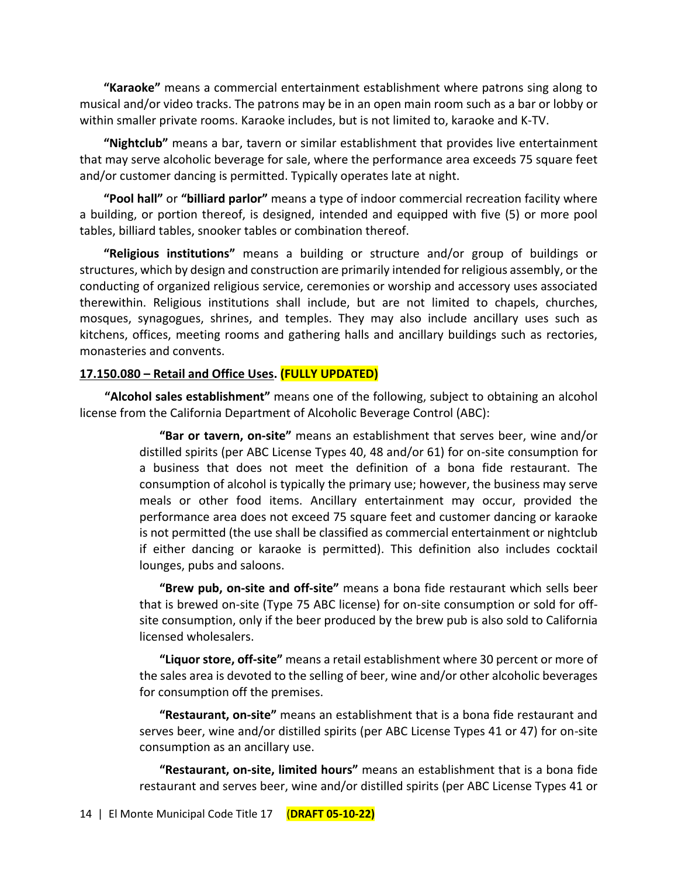**"Karaoke"** means a commercial entertainment establishment where patrons sing along to musical and/or video tracks. The patrons may be in an open main room such as a bar or lobby or within smaller private rooms. Karaoke includes, but is not limited to, karaoke and K-TV.

**"Nightclub"** means a bar, tavern or similar establishment that provides live entertainment that may serve alcoholic beverage for sale, where the performance area exceeds 75 square feet and/or customer dancing is permitted. Typically operates late at night.

**"Pool hall"** or **"billiard parlor"** means a type of indoor commercial recreation facility where a building, or portion thereof, is designed, intended and equipped with five (5) or more pool tables, billiard tables, snooker tables or combination thereof.

**"Religious institutions"** means a building or structure and/or group of buildings or structures, which by design and construction are primarily intended for religious assembly, or the conducting of organized religious service, ceremonies or worship and accessory uses associated therewithin. Religious institutions shall include, but are not limited to chapels, churches, mosques, synagogues, shrines, and temples. They may also include ancillary uses such as kitchens, offices, meeting rooms and gathering halls and ancillary buildings such as rectories, monasteries and convents.

#### **17.150.080 – Retail and Office Uses. (FULLY UPDATED)**

**"Alcohol sales establishment"** means one of the following, subject to obtaining an alcohol license from the California Department of Alcoholic Beverage Control (ABC):

> **"Bar or tavern, on-site"** means an establishment that serves beer, wine and/or distilled spirits (per ABC License Types 40, 48 and/or 61) for on-site consumption for a business that does not meet the definition of a bona fide restaurant. The consumption of alcohol is typically the primary use; however, the business may serve meals or other food items. Ancillary entertainment may occur, provided the performance area does not exceed 75 square feet and customer dancing or karaoke is not permitted (the use shall be classified as commercial entertainment or nightclub if either dancing or karaoke is permitted). This definition also includes cocktail lounges, pubs and saloons.

> **"Brew pub, on-site and off-site"** means a bona fide restaurant which sells beer that is brewed on-site (Type 75 ABC license) for on-site consumption or sold for offsite consumption, only if the beer produced by the brew pub is also sold to California licensed wholesalers.

> **"Liquor store, off-site"** means a retail establishment where 30 percent or more of the sales area is devoted to the selling of beer, wine and/or other alcoholic beverages for consumption off the premises.

> **"Restaurant, on-site"** means an establishment that is a bona fide restaurant and serves beer, wine and/or distilled spirits (per ABC License Types 41 or 47) for on-site consumption as an ancillary use.

> **"Restaurant, on-site, limited hours"** means an establishment that is a bona fide restaurant and serves beer, wine and/or distilled spirits (per ABC License Types 41 or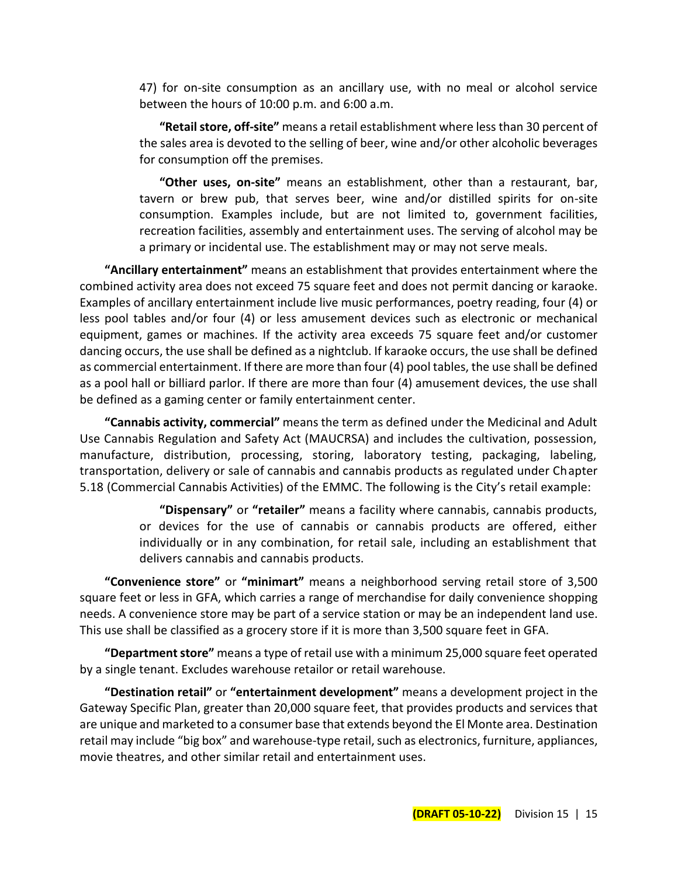47) for on-site consumption as an ancillary use, with no meal or alcohol service between the hours of 10:00 p.m. and 6:00 a.m.

**"Retail store, off-site"** means a retail establishment where less than 30 percent of the sales area is devoted to the selling of beer, wine and/or other alcoholic beverages for consumption off the premises.

**"Other uses, on-site"** means an establishment, other than a restaurant, bar, tavern or brew pub, that serves beer, wine and/or distilled spirits for on-site consumption. Examples include, but are not limited to, government facilities, recreation facilities, assembly and entertainment uses. The serving of alcohol may be a primary or incidental use. The establishment may or may not serve meals.

**"Ancillary entertainment"** means an establishment that provides entertainment where the combined activity area does not exceed 75 square feet and does not permit dancing or karaoke. Examples of ancillary entertainment include live music performances, poetry reading, four (4) or less pool tables and/or four (4) or less amusement devices such as electronic or mechanical equipment, games or machines. If the activity area exceeds 75 square feet and/or customer dancing occurs, the use shall be defined as a nightclub. If karaoke occurs, the use shall be defined as commercial entertainment. If there are more than four (4) pool tables, the use shall be defined as a pool hall or billiard parlor. If there are more than four (4) amusement devices, the use shall be defined as a gaming center or family entertainment center.

**"Cannabis activity, commercial"** means the term as defined under the Medicinal and Adult Use Cannabis Regulation and Safety Act (MAUCRSA) and includes the cultivation, possession, manufacture, distribution, processing, storing, laboratory testing, packaging, labeling, transportation, delivery or sale of cannabis and cannabis products as regulated under Chapter 5.18 (Commercial Cannabis Activities) of the EMMC. The following is the City's retail example:

> **"Dispensary"** or **"retailer"** means a facility where cannabis, cannabis products, or devices for the use of cannabis or cannabis products are offered, either individually or in any combination, for retail sale, including an establishment that delivers cannabis and cannabis products.

**"Convenience store"** or **"minimart"** means a neighborhood serving retail store of 3,500 square feet or less in GFA, which carries a range of merchandise for daily convenience shopping needs. A convenience store may be part of a service station or may be an independent land use. This use shall be classified as a grocery store if it is more than 3,500 square feet in GFA.

**"Department store"** means a type of retail use with a minimum 25,000 square feet operated by a single tenant. Excludes warehouse retailor or retail warehouse.

**"Destination retail"** or **"entertainment development"** means a development project in the Gateway Specific Plan, greater than 20,000 square feet, that provides products and services that are unique and marketed to a consumer base that extends beyond the El Monte area. Destination retail may include "big box" and warehouse-type retail, such as electronics, furniture, appliances, movie theatres, and other similar retail and entertainment uses.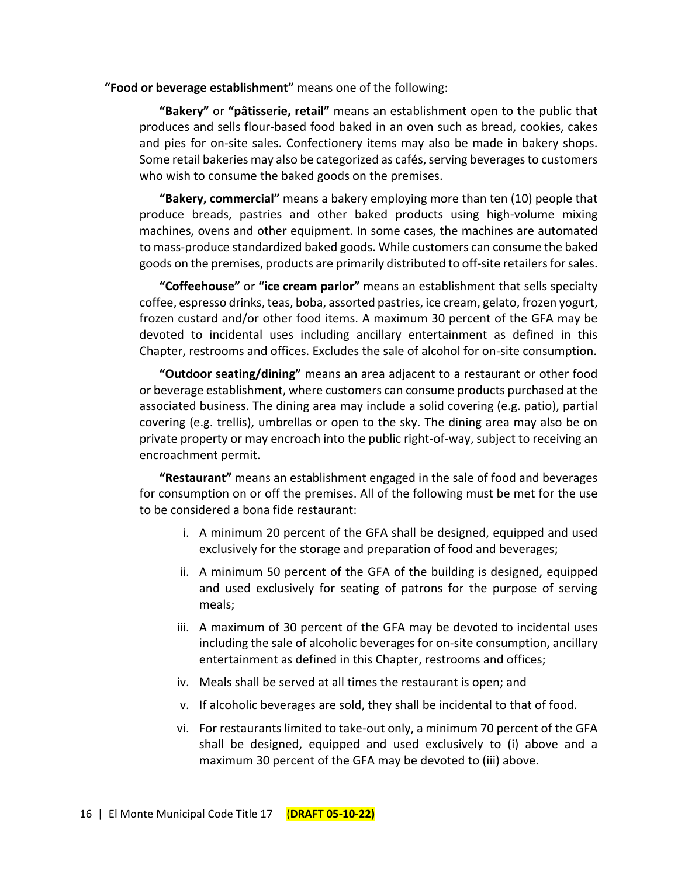**"Food or beverage establishment"** means one of the following:

**"Bakery"** or **"[pâtisserie,](https://en.wikipedia.org/wiki/P%C3%A2tisserie) retail"** means an establishment open to the public that produces and sells flour-based food baked in an oven such as bread, cookies, cakes and pies for on-site sales. Confectionery items may also be made in bakery shops. Some retail bakeries may also be categorized as cafés, serving beverages to customers who wish to consume the baked goods on the premises.

**"Bakery, commercial"** means a bakery employing more than ten (10) people that produce breads, pastries and other baked products using high-volume mixing machines, ovens and other equipment. In some cases, the machines are automated to mass-produce standardized baked goods. While customers can consume the baked goods on the premises, products are primarily distributed to off-site retailers for sales.

**"Coffeehouse"** or **"ice cream parlor"** means an establishment that sells specialty coffee, espresso drinks, teas, boba, assorted pastries, ice cream, gelato, frozen yogurt, frozen custard and/or other food items. A maximum 30 percent of the GFA may be devoted to incidental uses including ancillary entertainment as defined in this Chapter, restrooms and offices. Excludes the sale of alcohol for on-site consumption.

**"Outdoor seating/dining"** means an area adjacent to a restaurant or other food or beverage establishment, where customers can consume products purchased at the associated business. The dining area may include a solid covering (e.g. patio), partial covering (e.g. trellis), umbrellas or open to the sky. The dining area may also be on private property or may encroach into the public right-of-way, subject to receiving an encroachment permit.

**"Restaurant"** means an establishment engaged in the sale of food and beverages for consumption on or off the premises. All of the following must be met for the use to be considered a bona fide restaurant:

- i. A minimum 20 percent of the GFA shall be designed, equipped and used exclusively for the storage and preparation of food and beverages;
- ii. A minimum 50 percent of the GFA of the building is designed, equipped and used exclusively for seating of patrons for the purpose of serving meals;
- iii. A maximum of 30 percent of the GFA may be devoted to incidental uses including the sale of alcoholic beverages for on-site consumption, ancillary entertainment as defined in this Chapter, restrooms and offices;
- iv. Meals shall be served at all times the restaurant is open; and
- v. If alcoholic beverages are sold, they shall be incidental to that of food.
- vi. For restaurants limited to take-out only, a minimum 70 percent of the GFA shall be designed, equipped and used exclusively to (i) above and a maximum 30 percent of the GFA may be devoted to (iii) above.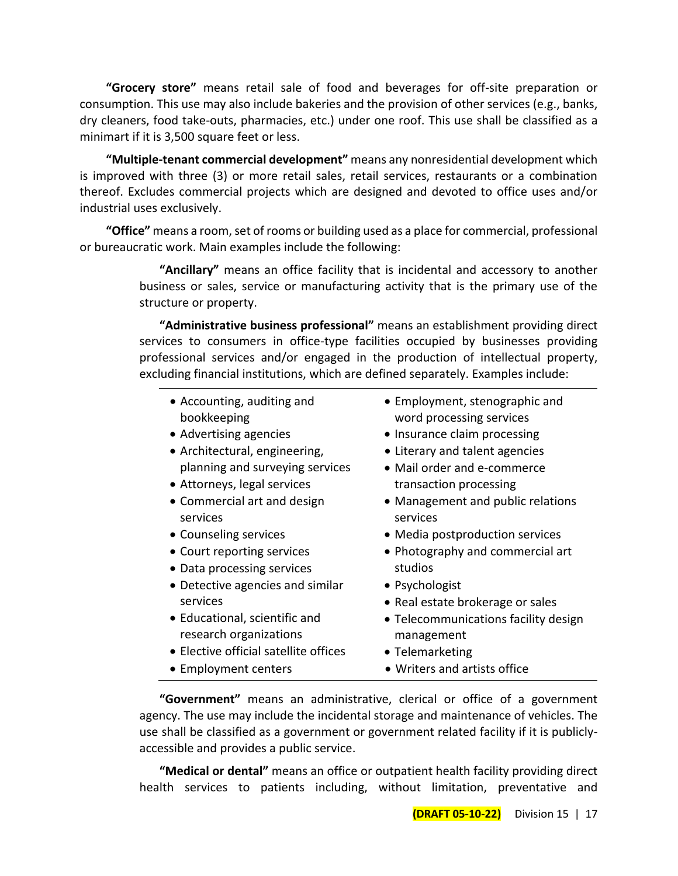**"Grocery store"** means retail sale of food and beverages for off-site preparation or consumption. This use may also include bakeries and the provision of other services (e.g., banks, dry cleaners, food take-outs, pharmacies, etc.) under one roof. This use shall be classified as a minimart if it is 3,500 square feet or less.

**"Multiple-tenant commercial development"** means any nonresidential development which is improved with three (3) or more retail sales, retail services, restaurants or a combination thereof. Excludes commercial projects which are designed and devoted to office uses and/or industrial uses exclusively.

**"Office"** means a room, set of rooms or building used as a place for commercial, professional or bureaucratic work. Main examples include the following:

> **"Ancillary"** means an office facility that is incidental and accessory to another business or sales, service or manufacturing activity that is the primary use of the structure or property.

> **"Administrative business professional"** means an establishment providing direct services to consumers in office-type facilities occupied by businesses providing professional services and/or engaged in the production of intellectual property, excluding financial institutions, which are defined separately. Examples include:

- Accounting, auditing and bookkeeping
- 
- Architectural, engineering, planning and surveying services
- Attorneys, legal services transaction processing
- Commercial art and design services
- 
- Court reporting services
- Data processing services
- Detective agencies and similar services
- Educational, scientific and research organizations
- Elective official satellite offices
- 
- Employment, stenographic and word processing services
- Advertising agencies Insurance claim processing
	- Literary and talent agencies
	- Mail order and e-commerce
	- Management and public relations services
- Counseling services Media postproduction services
	- Photography and commercial art studios
	- Psychologist
	- Real estate brokerage or sales
	- Telecommunications facility design management
	- Telemarketing
- Employment centers Writers and artists office

**"Government"** means an administrative, clerical or office of a government agency. The use may include the incidental storage and maintenance of vehicles. The use shall be classified as a government or government related facility if it is publiclyaccessible and provides a public service.

**"Medical or dental"** means an office or outpatient health facility providing direct health services to patients including, without limitation, preventative and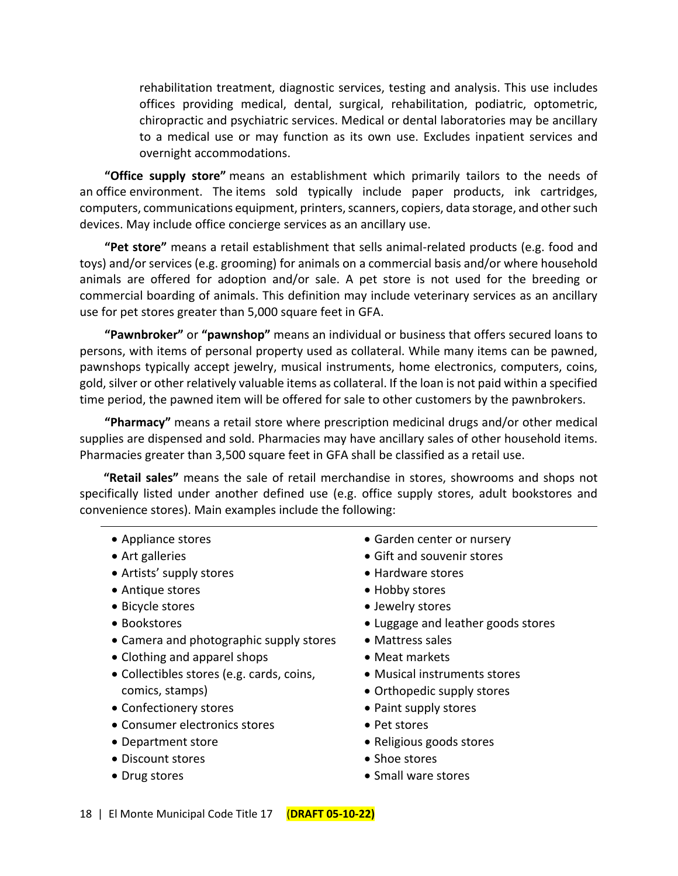rehabilitation treatment, diagnostic services, testing and analysis. This use includes offices providing medical, dental, surgical, rehabilitation, podiatric, optometric, chiropractic and psychiatric services. Medical or dental laboratories may be ancillary to a medical use or may function as its own use. Excludes inpatient services and overnight accommodations.

**"Office supply store"** means an establishment which primarily tailors to the needs of an office environment. The items sold typically include paper products, ink cartridges, computers, communications equipment, printers, scanners, copiers, data storage, and other such devices. May include office concierge services as an ancillary use.

**"Pet store"** means a retail establishment that sells animal-related products (e.g. food and toys) and/or services (e.g. grooming) for animals on a commercial basis and/or where household animals are offered for adoption and/or sale. A pet store is not used for the breeding or commercial boarding of animals. This definition may include veterinary services as an ancillary use for pet stores greater than 5,000 square feet in GFA.

**"Pawnbroker"** or **"pawnshop"** means an individual or business that offers secured loans to persons, with items of personal property used as collateral. While many items can be pawned, pawnshops typically accept jewelry, musical instruments, home electronics, computers, coins, gold, silver or other relatively valuable items as collateral. If the loan is not paid within a specified time period, the pawned item will be offered for sale to other customers by the pawnbrokers.

**"Pharmacy"** means a retail store where prescription medicinal drugs and/or other medical supplies are dispensed and sold. Pharmacies may have ancillary sales of other household items. Pharmacies greater than 3,500 square feet in GFA shall be classified as a retail use.

**"Retail sales"** means the sale of retail merchandise in stores, showrooms and shops not specifically listed under another defined use (e.g. office supply stores, adult bookstores and convenience stores). Main examples include the following:

- 
- 
- Artists' supply stores Hardware stores
- Antique stores Hobby stores
- 
- 
- Camera and photographic supply stores Mattress sales
- Clothing and apparel shops Meat markets
- Collectibles stores (e.g. cards, coins, comics, stamps)
- Confectionery stores Paint supply stores
- Consumer electronics stores Pet stores
- 
- Discount stores Shoe stores
- 
- Appliance stores Garden center or nursery
- Art galleries Gift and souvenir stores
	-
	-
- Bicycle stores Jewelry stores
- Bookstores Luggage and leather goods stores
	-
	-
	- Musical instruments stores
	- Orthopedic supply stores
	-
	-
- Department store *Religious goods stores* 
	-
- Drug stores Small ware stores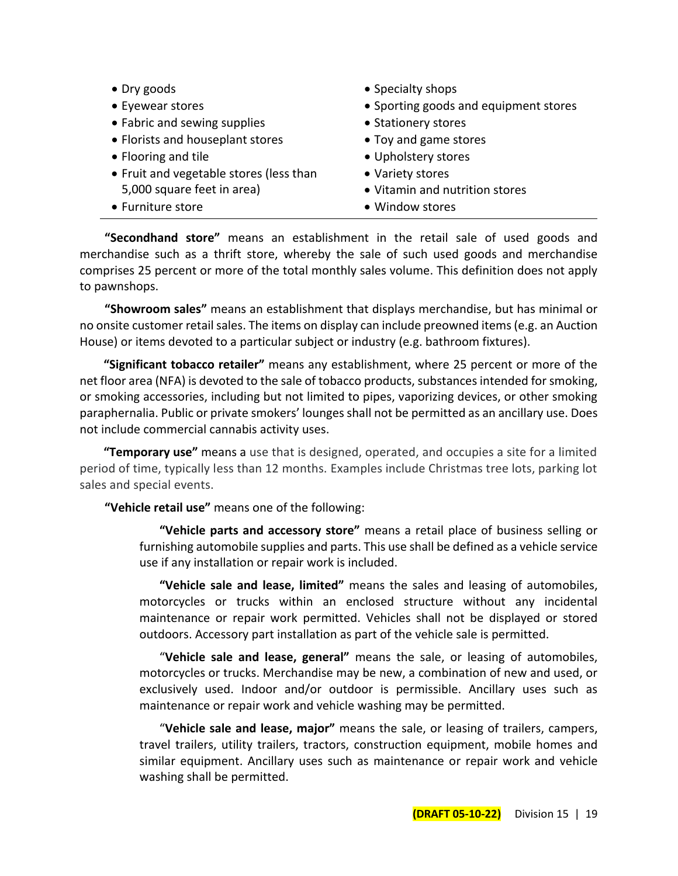| $\bullet$ Dry goods                     | • Specialty shops                     |
|-----------------------------------------|---------------------------------------|
| • Eyewear stores                        | • Sporting goods and equipment stores |
| • Fabric and sewing supplies            | • Stationery stores                   |
| • Florists and houseplant stores        | • Toy and game stores                 |
| • Flooring and tile                     | • Upholstery stores                   |
| • Fruit and vegetable stores (less than | • Variety stores                      |
| 5,000 square feet in area)              | • Vitamin and nutrition stores        |
| • Furniture store                       | • Window stores                       |

**"Secondhand store"** means an establishment in the retail sale of used goods and merchandise such as a thrift store, whereby the sale of such used goods and merchandise comprises 25 percent or more of the total monthly sales volume. This definition does not apply to pawnshops.

**"Showroom sales"** means an establishment that displays merchandise, but has minimal or no onsite customer retail sales. The items on display can include preowned items (e.g. an Auction House) or items devoted to a particular subject or industry (e.g. bathroom fixtures).

**"Significant tobacco retailer"** means any establishment, where 25 percent or more of the net floor area (NFA) is devoted to the sale of tobacco products, substances intended for smoking, or smoking accessories, including but not limited to pipes, vaporizing devices, or other smoking paraphernalia. Public or private smokers' lounges shall not be permitted as an ancillary use. Does not include commercial cannabis activity uses.

**"Temporary use"** means a use that is designed, operated, and occupies a site for a limited period of time, typically less than 12 months. Examples include Christmas tree lots, parking lot sales and special events.

**"Vehicle retail use"** means one of the following:

**"Vehicle parts and accessory store"** means a retail place of business selling or furnishing automobile supplies and parts. This use shall be defined as a vehicle service use if any installation or repair work is included.

**"Vehicle sale and lease, limited"** means the sales and leasing of automobiles, motorcycles or trucks within an enclosed structure without any incidental maintenance or repair work permitted. Vehicles shall not be displayed or stored outdoors. Accessory part installation as part of the vehicle sale is permitted.

"**Vehicle sale and lease, general"** means the sale, or leasing of automobiles, motorcycles or trucks. Merchandise may be new, a combination of new and used, or exclusively used. Indoor and/or outdoor is permissible. Ancillary uses such as maintenance or repair work and vehicle washing may be permitted.

"**Vehicle sale and lease, major"** means the sale, or leasing of trailers, campers, travel trailers, utility trailers, tractors, construction equipment, mobile homes and similar equipment. Ancillary uses such as maintenance or repair work and vehicle washing shall be permitted.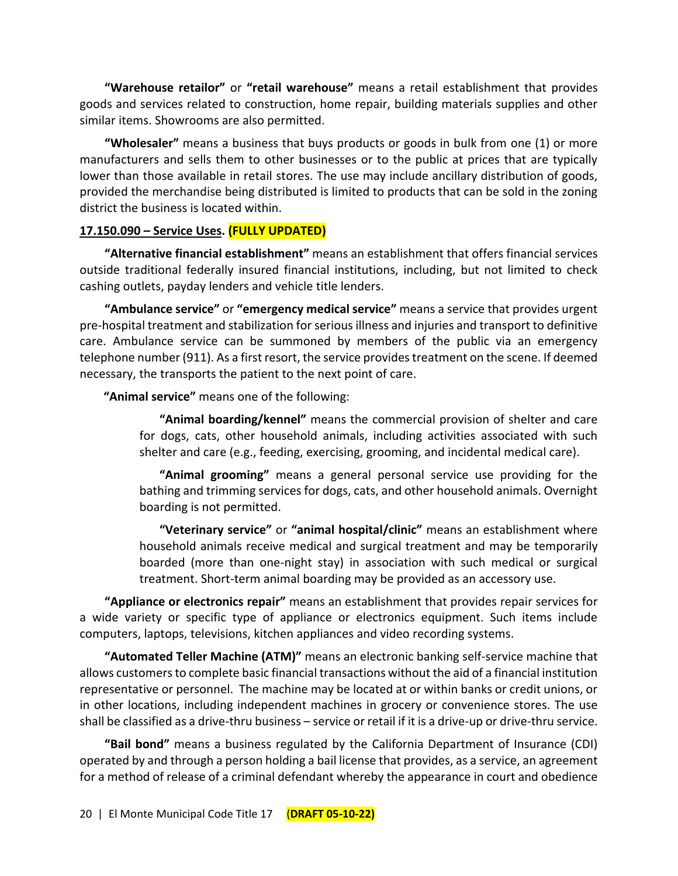**"Warehouse retailor"** or **"retail warehouse"** means a retail establishment that provides goods and services related to construction, home repair, building materials supplies and other similar items. Showrooms are also permitted.

**"Wholesaler"** means a business that buys products or goods in bulk from one (1) or more manufacturers and sells them to other businesses or to the public at prices that are typically lower than those available in retail stores. The use may include ancillary distribution of goods, provided the merchandise being distributed is limited to products that can be sold in the zoning district the business is located within.

## **17.150.090 – Service Uses. (FULLY UPDATED)**

**"Alternative financial establishment"** means an establishment that offers financial services outside traditional federally insured financial institutions, including, but not limited to check cashing outlets, payday lenders and vehicle title lenders.

**"Ambulance service"** or **"emergency medical service"** means a service that provides urgent pre-hospital treatment and stabilization for serious illness and injuries and transport to definitive care. Ambulance service can be summoned by members of the public via an emergency telephone number (911). As a first resort, the service provides treatment on the scene. If deemed necessary, the transports the patient to the next point of care.

**"Animal service"** means one of the following:

**"Animal boarding/kennel"** means the commercial provision of shelter and care for dogs, cats, other household animals, including activities associated with such shelter and care (e.g., feeding, exercising, grooming, and incidental medical care).

**"Animal grooming"** means a general personal service use providing for the bathing and trimming services for dogs, cats, and other household animals. Overnight boarding is not permitted.

**"Veterinary service"** or **"animal hospital/clinic"** means an establishment where household animals receive medical and surgical treatment and may be temporarily boarded (more than one-night stay) in association with such medical or surgical treatment. Short-term animal boarding may be provided as an accessory use.

**"Appliance or electronics repair"** means an establishment that provides repair services for a wide variety or specific type of appliance or electronics equipment. Such items include computers, laptops, televisions, kitchen appliances and video recording systems.

**"Automated Teller Machine (ATM)"** means an electronic banking self-service machine that allows customers to complete basic financial transactions without the aid of a financial institution representative or personnel. The machine may be located at or within banks or credit unions, or in other locations, including independent machines in grocery or convenience stores. The use shall be classified as a drive-thru business – service or retail if it is a drive-up or drive-thru service.

**"Bail bond"** means a business regulated by the California Department of Insurance (CDI) operated by and through a person holding a bail license that provides, as a service, an agreement for a method of release of a criminal defendant whereby the appearance in court and obedience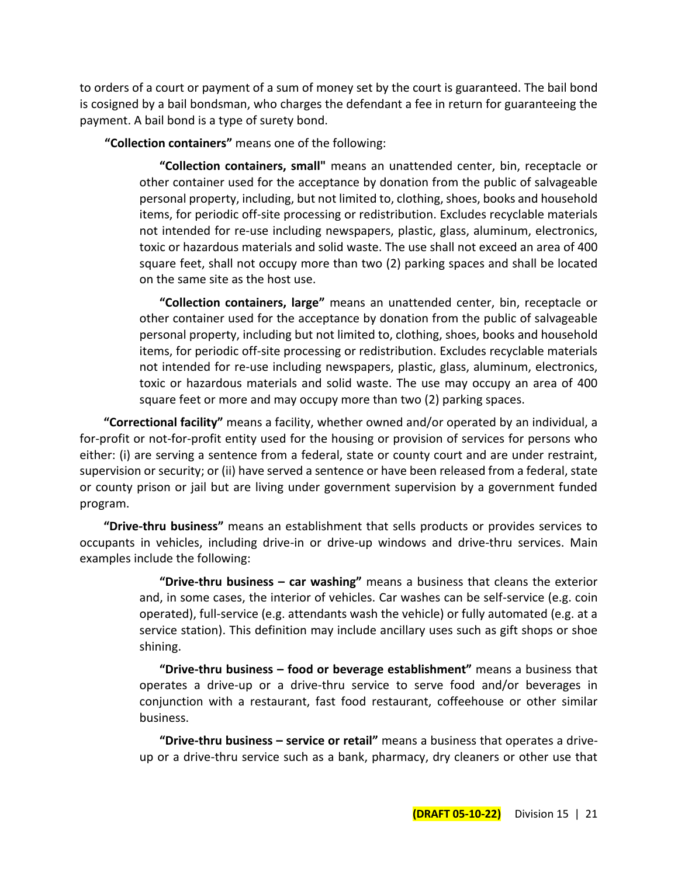to orders of a court or payment of a sum of money set by the court is guaranteed. The bail bond is cosigned by a bail bondsman, who charges the defendant a fee in return for guaranteeing the payment. A bail bond is a type of surety bond.

**"Collection containers"** means one of the following:

**"Collection containers, small"** means an unattended center, bin, receptacle or other container used for the acceptance by donation from the public of salvageable personal property, including, but not limited to, clothing, shoes, books and household items, for periodic off-site processing or redistribution. Excludes recyclable materials not intended for re-use including newspapers, plastic, glass, aluminum, electronics, toxic or hazardous materials and solid waste. The use shall not exceed an area of 400 square feet, shall not occupy more than two (2) parking spaces and shall be located on the same site as the host use.

**"Collection containers, large"** means an unattended center, bin, receptacle or other container used for the acceptance by donation from the public of salvageable personal property, including but not limited to, clothing, shoes, books and household items, for periodic off-site processing or redistribution. Excludes recyclable materials not intended for re-use including newspapers, plastic, glass, aluminum, electronics, toxic or hazardous materials and solid waste. The use may occupy an area of 400 square feet or more and may occupy more than two (2) parking spaces.

**"Correctional facility"** means a facility, whether owned and/or operated by an individual, a for-profit or not-for-profit entity used for the housing or provision of services for persons who either: (i) are serving a sentence from a federal, state or county court and are under restraint, supervision or security; or (ii) have served a sentence or have been released from a federal, state or county prison or jail but are living under government supervision by a government funded program.

**"Drive-thru business"** means an establishment that sells products or provides services to occupants in vehicles, including drive-in or drive-up windows and drive-thru services. Main examples include the following:

> **"Drive-thru business – car washing"** means a business that cleans the exterior and, in some cases, the interior of vehicles. Car washes can be self-service (e.g. coin operated), full-service (e.g. attendants wash the vehicle) or fully automated (e.g. at a service station). This definition may include ancillary uses such as gift shops or shoe shining.

> **"Drive-thru business – food or beverage establishment"** means a business that operates a drive-up or a drive-thru service to serve food and/or beverages in conjunction with a restaurant, fast food restaurant, coffeehouse or other similar business.

> **"Drive-thru business – service or retail"** means a business that operates a driveup or a drive-thru service such as a bank, pharmacy, dry cleaners or other use that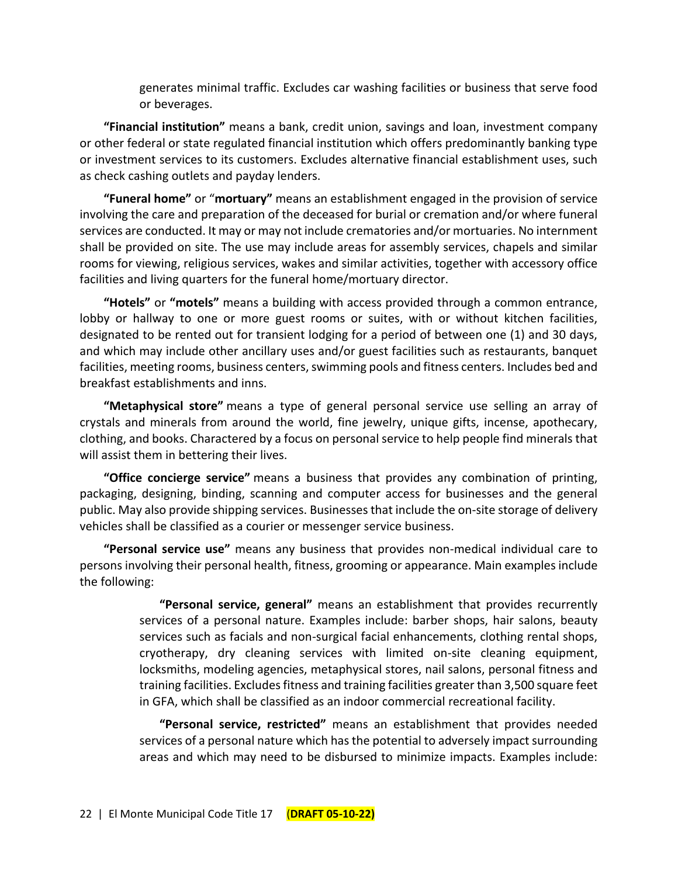generates minimal traffic. Excludes car washing facilities or business that serve food or beverages.

**"Financial institution"** means a bank, credit union, savings and loan, investment company or other federal or state regulated financial institution which offers predominantly banking type or investment services to its customers. Excludes alternative financial establishment uses, such as check cashing outlets and payday lenders.

**"Funeral home"** or "**mortuary"** means an establishment engaged in the provision of service involving the care and preparation of the deceased for burial or cremation and/or where funeral services are conducted. It may or may not include crematories and/or mortuaries. No internment shall be provided on site. The use may include areas for assembly services, chapels and similar rooms for viewing, religious services, wakes and similar activities, together with accessory office facilities and living quarters for the funeral home/mortuary director.

**"Hotels"** or **"motels"** means a building with access provided through a common entrance, lobby or hallway to one or more guest rooms or suites, with or without kitchen facilities, designated to be rented out for transient lodging for a period of between one (1) and 30 days, and which may include other ancillary uses and/or guest facilities such as restaurants, banquet facilities, meeting rooms, business centers, swimming pools and fitness centers. Includes bed and breakfast establishments and inns.

**"Metaphysical store"** means a type of general personal service use selling an array of crystals and minerals from around the world, fine jewelry, unique gifts, incense, apothecary, clothing, and books. Charactered by a focus on personal service to help people find minerals that will assist them in bettering their lives.

**"Office concierge service"** means a business that provides any combination of printing, packaging, designing, binding, scanning and computer access for businesses and the general public. May also provide shipping services. Businesses that include the on-site storage of delivery vehicles shall be classified as a courier or messenger service business.

**"Personal service use"** means any business that provides non-medical individual care to persons involving their personal health, fitness, grooming or appearance. Main examples include the following:

> **"Personal service, general"** means an establishment that provides recurrently services of a personal nature. Examples include: barber shops, hair salons, beauty services such as facials and non-surgical facial enhancements, clothing rental shops, cryotherapy, dry cleaning services with limited on-site cleaning equipment, locksmiths, modeling agencies, metaphysical stores, nail salons, personal fitness and training facilities. Excludes fitness and training facilities greater than 3,500 square feet in GFA, which shall be classified as an indoor commercial recreational facility.

> **"Personal service, restricted"** means an establishment that provides needed services of a personal nature which has the potential to adversely impact surrounding areas and which may need to be disbursed to minimize impacts. Examples include: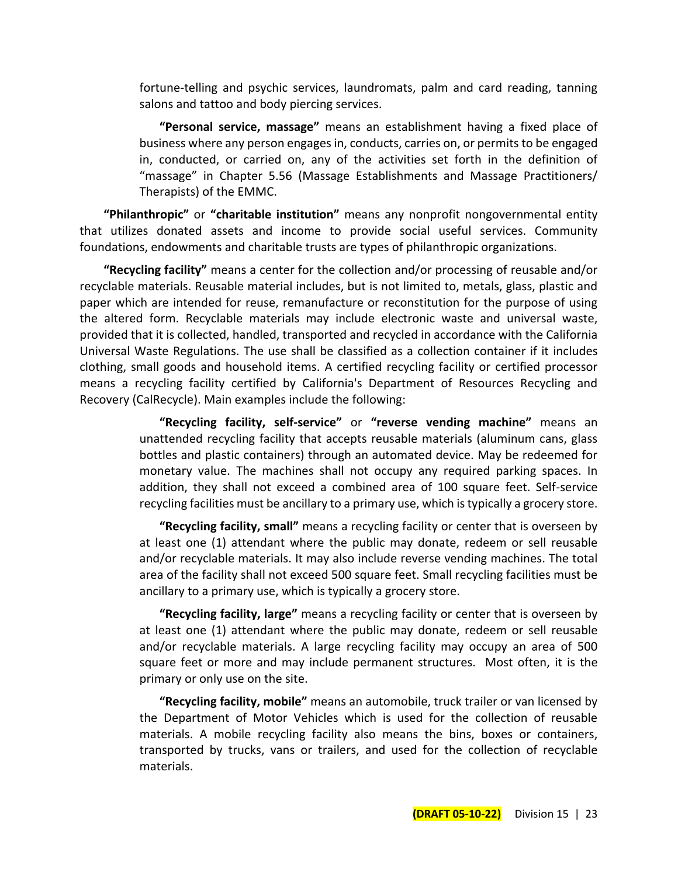fortune-telling and psychic services, laundromats, palm and card reading, tanning salons and tattoo and body piercing services.

**"Personal service, massage"** means an establishment having a fixed place of business where any person engages in, conducts, carries on, or permits to be engaged in, conducted, or carried on, any of the activities set forth in the definition of "massage" in Chapter 5.56 (Massage Establishments and Massage Practitioners/ Therapists) of the EMMC.

**"Philanthropic"** or **"charitable institution"** means any nonprofit nongovernmental entity that utilizes donated assets and income to provide social useful services. Community foundations, endowments and charitable trusts are types of philanthropic organizations.

**"Recycling facility"** means a center for the collection and/or processing of reusable and/or recyclable materials. Reusable material includes, but is not limited to, metals, glass, plastic and paper which are intended for reuse, remanufacture or reconstitution for the purpose of using the altered form. Recyclable materials may include electronic waste and universal waste, provided that it is collected, handled, transported and recycled in accordance with the California Universal Waste Regulations. The use shall be classified as a collection container if it includes clothing, small goods and household items. A certified recycling facility or certified processor means a recycling facility certified by California's Department of Resources Recycling and Recovery (CalRecycle). Main examples include the following:

> **"Recycling facility, self-service"** or **"reverse vending machine"** means an unattended recycling facility that accepts reusable materials (aluminum cans, glass bottles and plastic containers) through an automated device. May be redeemed for monetary value. The machines shall not occupy any required parking spaces. In addition, they shall not exceed a combined area of 100 square feet. Self-service recycling facilities must be ancillary to a primary use, which is typically a grocery store.

> **"Recycling facility, small"** means a recycling facility or center that is overseen by at least one (1) attendant where the public may donate, redeem or sell reusable and/or recyclable materials. It may also include reverse vending machines. The total area of the facility shall not exceed 500 square feet. Small recycling facilities must be ancillary to a primary use, which is typically a grocery store.

> **"Recycling facility, large"** means a recycling facility or center that is overseen by at least one (1) attendant where the public may donate, redeem or sell reusable and/or recyclable materials. A large recycling facility may occupy an area of 500 square feet or more and may include permanent structures. Most often, it is the primary or only use on the site.

> **"Recycling facility, mobile"** means an automobile, truck trailer or van licensed by the Department of Motor Vehicles which is used for the collection of reusable materials. A mobile recycling facility also means the bins, boxes or containers, transported by trucks, vans or trailers, and used for the collection of recyclable materials.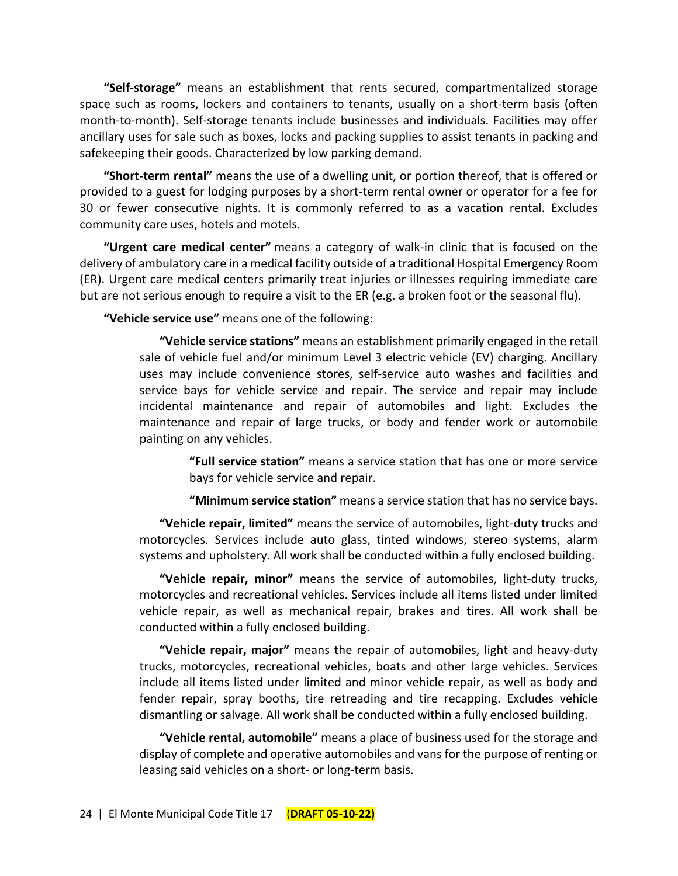**"Self-storage"** means an establishment that rents secured, compartmentalized storage space such as rooms, lockers and containers to tenants, usually on a short-term basis (often month-to-month). Self-storage tenants include businesses and individuals. Facilities may offer ancillary uses for sale such as boxes, locks and packing supplies to assist tenants in packing and safekeeping their goods. Characterized by low parking demand.

**"Short-term rental"** means the use of a dwelling unit, or portion thereof, that is offered or provided to a guest for lodging purposes by a short-term rental owner or operator for a fee for 30 or fewer consecutive nights. It is commonly referred to as a vacation rental. Excludes community care uses, hotels and motels.

**"Urgent care medical center"** means a category of walk-in clinic that is focused on the delivery of ambulatory care in a medical facility outside of a traditional Hospital Emergency Room (ER). Urgent care medical centers primarily treat injuries or illnesses requiring immediate care but are not serious enough to require a visit to the ER (e.g. a broken foot or the seasonal flu).

**"Vehicle service use"** means one of the following:

**"Vehicle service stations"** means an establishment primarily engaged in the retail sale of vehicle fuel and/or minimum Level 3 electric vehicle (EV) charging. Ancillary uses may include convenience stores, self-service auto washes and facilities and service bays for vehicle service and repair. The service and repair may include incidental maintenance and repair of automobiles and light. Excludes the maintenance and repair of large trucks, or body and fender work or automobile painting on any vehicles.

> **"Full service station"** means a service station that has one or more service bays for vehicle service and repair.

> **"Minimum service station"** means a service station that has no service bays.

**"Vehicle repair, limited"** means the service of automobiles, light-duty trucks and motorcycles. Services include auto glass, tinted windows, stereo systems, alarm systems and upholstery. All work shall be conducted within a fully enclosed building.

**"Vehicle repair, minor"** means the service of automobiles, light-duty trucks, motorcycles and recreational vehicles. Services include all items listed under limited vehicle repair, as well as mechanical repair, brakes and tires. All work shall be conducted within a fully enclosed building.

**"Vehicle repair, major"** means the repair of automobiles, light and heavy-duty trucks, motorcycles, recreational vehicles, boats and other large vehicles. Services include all items listed under limited and minor vehicle repair, as well as body and fender repair, spray booths, tire retreading and tire recapping. Excludes vehicle dismantling or salvage. All work shall be conducted within a fully enclosed building.

**"Vehicle rental, automobile"** means a place of business used for the storage and display of complete and operative automobiles and vans for the purpose of renting or leasing said vehicles on a short- or long-term basis.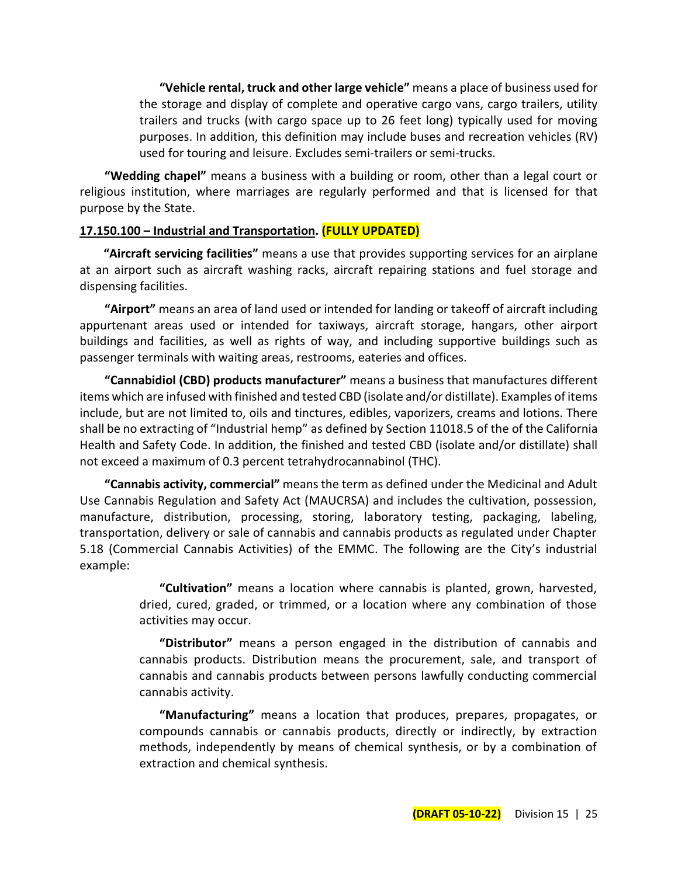**"Vehicle rental, truck and other large vehicle"** means a place of business used for the storage and display of complete and operative cargo vans, cargo trailers, utility trailers and trucks (with cargo space up to 26 feet long) typically used for moving purposes. In addition, this definition may include buses and recreation vehicles (RV) used for touring and leisure. Excludes semi-trailers or semi-trucks.

**"Wedding chapel"** means a business with a building or room, other than a legal court or religious institution, where marriages are regularly performed and that is licensed for that purpose by the State.

#### **17.150.100 – Industrial and Transportation. (FULLY UPDATED)**

**"Aircraft servicing facilities"** means a use that provides supporting services for an airplane at an airport such as aircraft washing racks, aircraft repairing stations and fuel storage and dispensing facilities.

**"Airport"** means an area of land used or intended for landing or takeoff of aircraft including appurtenant areas used or intended for taxiways, aircraft storage, hangars, other airport buildings and facilities, as well as rights of way, and including supportive buildings such as passenger terminals with waiting areas, restrooms, eateries and offices.

**"Cannabidiol (CBD) products manufacturer"** means a business that manufactures different items which are infused with finished and tested CBD (isolate and/or distillate). Examples of items include, but are not limited to, oils and tinctures, edibles, vaporizers, creams and lotions. There shall be no extracting of "Industrial hemp" as defined by Section 11018.5 of the of the California Health and Safety Code. In addition, the finished and tested CBD (isolate and/or distillate) shall not exceed a maximum of 0.3 percent tetrahydrocannabinol (THC).

**"Cannabis activity, commercial"** means the term as defined under the Medicinal and Adult Use Cannabis Regulation and Safety Act (MAUCRSA) and includes the cultivation, possession, manufacture, distribution, processing, storing, laboratory testing, packaging, labeling, transportation, delivery or sale of cannabis and cannabis products as regulated under Chapter 5.18 (Commercial Cannabis Activities) of the EMMC. The following are the City's industrial example:

> **"Cultivation"** means a location where cannabis is planted, grown, harvested, dried, cured, graded, or trimmed, or a location where any combination of those activities may occur.

> **"Distributor"** means a person engaged in the distribution of cannabis and cannabis products. Distribution means the procurement, sale, and transport of cannabis and cannabis products between persons lawfully conducting commercial cannabis activity.

> **"Manufacturing"** means a location that produces, prepares, propagates, or compounds cannabis or cannabis products, directly or indirectly, by extraction methods, independently by means of chemical synthesis, or by a combination of extraction and chemical synthesis.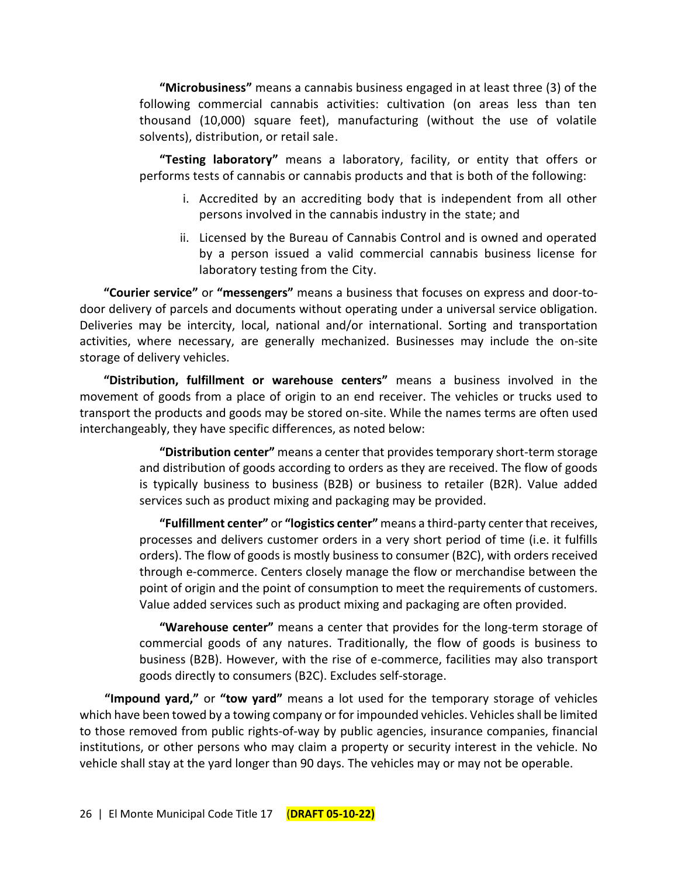**"Microbusiness"** means a cannabis business engaged in at least three (3) of the following commercial cannabis activities: cultivation (on areas less than ten thousand (10,000) square feet), manufacturing (without the use of volatile solvents), distribution, or retail sale.

**"Testing laboratory"** means a laboratory, facility, or entity that offers or performs tests of cannabis or cannabis products and that is both of the following:

- i. Accredited by an accrediting body that is independent from all other persons involved in the cannabis industry in the state; and
- ii. Licensed by the Bureau of Cannabis Control and is owned and operated by a person issued a valid commercial cannabis business license for laboratory testing from the City.

**"Courier service"** or **"messengers"** means a business that focuses on express and door-todoor delivery of parcels and documents without operating under a universal service obligation. Deliveries may be intercity, local, national and/or international. Sorting and transportation activities, where necessary, are generally mechanized. Businesses may include the on-site storage of delivery vehicles.

**"Distribution, fulfillment or warehouse centers"** means a business involved in the movement of goods from a place of origin to an end receiver. The vehicles or trucks used to transport the products and goods may be stored on-site. While the names terms are often used interchangeably, they have specific differences, as noted below:

> **"Distribution center"** means a center that provides temporary short-term storage and distribution of goods according to orders as they are received. The flow of goods is typically business to business (B2B) or business to retailer (B2R). Value added services such as product mixing and packaging may be provided.

> **"Fulfillment center"** or **"logistics center"** means a third-party center that receives, processes and delivers customer orders in a very short period of time (i.e. it fulfills orders). The flow of goods is mostly business to consumer (B2C), with orders received through e-commerce. Centers closely manage the flow or merchandise between the point of origin and the point of consumption to meet the requirements of customers. Value added services such as product mixing and packaging are often provided.

> **"Warehouse center"** means a center that provides for the long-term storage of commercial goods of any natures. Traditionally, the flow of goods is business to business (B2B). However, with the rise of e-commerce, facilities may also transport goods directly to consumers (B2C). Excludes self-storage.

**"Impound yard,"** or **"tow yard"** means a lot used for the temporary storage of vehicles which have been towed by a towing company or for impounded vehicles. Vehicles shall be limited to those removed from public rights-of-way by public agencies, insurance companies, financial institutions, or other persons who may claim a property or security interest in the vehicle. No vehicle shall stay at the yard longer than 90 days. The vehicles may or may not be operable.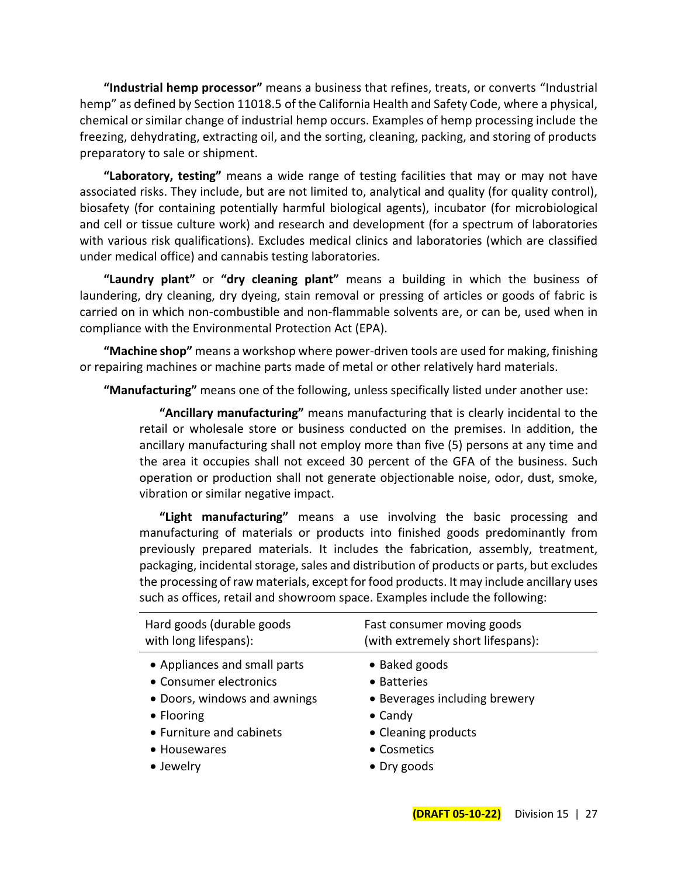**"Industrial hemp processor"** means a business that refines, treats, or converts "Industrial hemp" as defined by Section 11018.5 of the California Health and Safety Code, where a physical, chemical or similar change of industrial hemp occurs. Examples of hemp processing include the freezing, dehydrating, extracting oil, and the sorting, cleaning, packing, and storing of products preparatory to sale or shipment.

**"Laboratory, testing"** means a wide range of testing facilities that may or may not have associated risks. They include, but are not limited to, analytical and quality (for quality control), biosafety (for containing potentially harmful biological agents), incubator (for microbiological and cell or tissue culture work) and research and development (for a spectrum of laboratories with various risk qualifications). Excludes medical clinics and laboratories (which are classified under medical office) and cannabis testing laboratories.

**"Laundry plant"** or **"dry cleaning plant"** means a building in which the business of laundering, dry cleaning, dry dyeing, stain removal or pressing of articles or goods of fabric is carried on in which non-combustible and non-flammable solvents are, or can be, used when in compliance with the Environmental Protection Act (EPA).

**"Machine shop"** means a workshop where power-driven tools are used for making, finishing or repairing machines or machine parts made of metal or other relatively hard materials.

**"Manufacturing"** means one of the following, unless specifically listed under another use:

**"Ancillary manufacturing"** means manufacturing that is clearly incidental to the retail or wholesale store or business conducted on the premises. In addition, the ancillary manufacturing shall not employ more than five (5) persons at any time and the area it occupies shall not exceed 30 percent of the GFA of the business. Such operation or production shall not generate objectionable noise, odor, dust, smoke, vibration or similar negative impact.

**"Light manufacturing"** means a use involving the basic processing and manufacturing of materials or products into finished goods predominantly from previously prepared materials. It includes the fabrication, assembly, treatment, packaging, incidental storage, sales and distribution of products or parts, but excludes the processing of raw materials, except for food products. It may include ancillary uses such as offices, retail and showroom space. Examples include the following:

| Hard goods (durable goods    | Fast consumer moving goods        |
|------------------------------|-----------------------------------|
| with long lifespans):        | (with extremely short lifespans): |
| • Appliances and small parts | • Baked goods                     |
| • Consumer electronics       | • Batteries                       |
| • Doors, windows and awnings | • Beverages including brewery     |
| • Flooring                   | $\bullet$ Candy                   |
| • Furniture and cabinets     | • Cleaning products               |
| • Housewares                 | • Cosmetics                       |
| • Jewelry                    | $\bullet$ Dry goods               |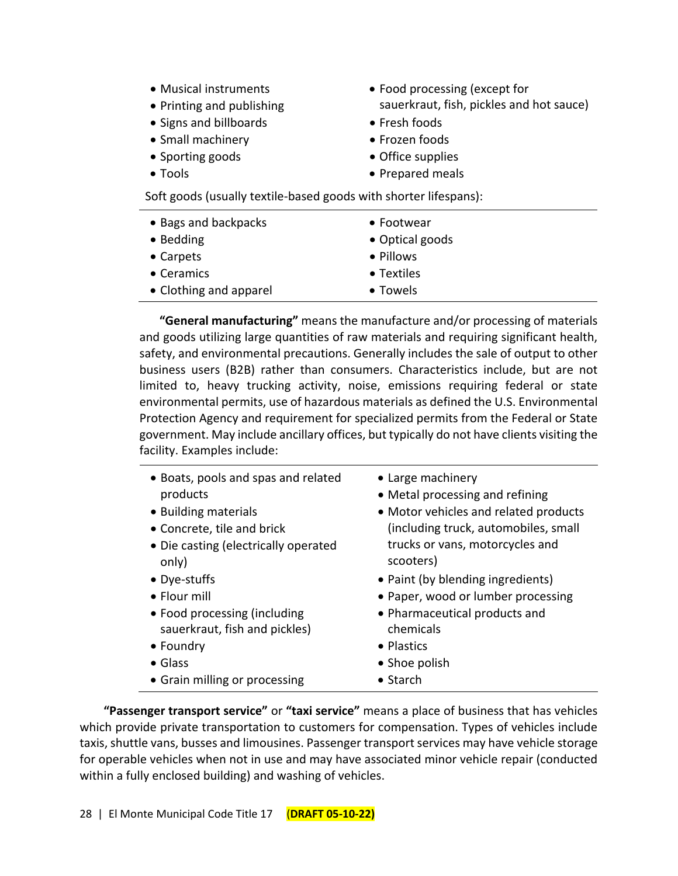- Musical instruments
- Printing and publishing
- Signs and billboards Fresh foods
- Small machinery  **Frozen foods**
- Sporting goods **•** Office supplies
- 
- Food processing (except for sauerkraut, fish, pickles and hot sauce)
- 
- 
- 
- Tools Prepared meals

Soft goods (usually textile-based goods with shorter lifespans):

| • Bags and backpacks   | $\bullet$ Footwear |
|------------------------|--------------------|
| • Bedding              | • Optical goods    |
| • Carpets              | • Pillows          |
| • Ceramics             | • Textiles         |
| • Clothing and apparel | • Towels           |

**"General manufacturing"** means the manufacture and/or processing of materials and goods utilizing large quantities of raw materials and requiring significant health, safety, and environmental precautions. Generally includes the sale of output to other business users (B2B) rather than consumers. Characteristics include, but are not limited to, heavy trucking activity, noise, emissions requiring federal or state environmental permits, use of hazardous materials as defined the U.S. Environmental Protection Agency and requirement for specialized permits from the Federal or State government. May include ancillary offices, but typically do not have clients visiting the facility. Examples include:

| • Boats, pools and spas and related<br>products<br>• Building materials<br>• Concrete, tile and brick<br>• Die casting (electrically operated | • Large machinery<br>• Metal processing and refining<br>• Motor vehicles and related products<br>(including truck, automobiles, small<br>trucks or vans, motorcycles and |
|-----------------------------------------------------------------------------------------------------------------------------------------------|--------------------------------------------------------------------------------------------------------------------------------------------------------------------------|
| only)                                                                                                                                         | scooters)                                                                                                                                                                |
| • Dye-stuffs                                                                                                                                  | • Paint (by blending ingredients)                                                                                                                                        |
| $\bullet$ Flour mill                                                                                                                          | • Paper, wood or lumber processing                                                                                                                                       |
| • Food processing (including                                                                                                                  | • Pharmaceutical products and                                                                                                                                            |
| sauerkraut, fish and pickles)                                                                                                                 | chemicals                                                                                                                                                                |
| $\bullet$ Foundry                                                                                                                             | • Plastics                                                                                                                                                               |
| $\bullet$ Glass                                                                                                                               | • Shoe polish                                                                                                                                                            |
| • Grain milling or processing                                                                                                                 | $\bullet$ Starch                                                                                                                                                         |

**"Passenger transport service"** or **"taxi service"** means a place of business that has vehicles which provide private transportation to customers for compensation. Types of vehicles include taxis, shuttle vans, busses and limousines. Passenger transport services may have vehicle storage for operable vehicles when not in use and may have associated minor vehicle repair (conducted within a fully enclosed building) and washing of vehicles.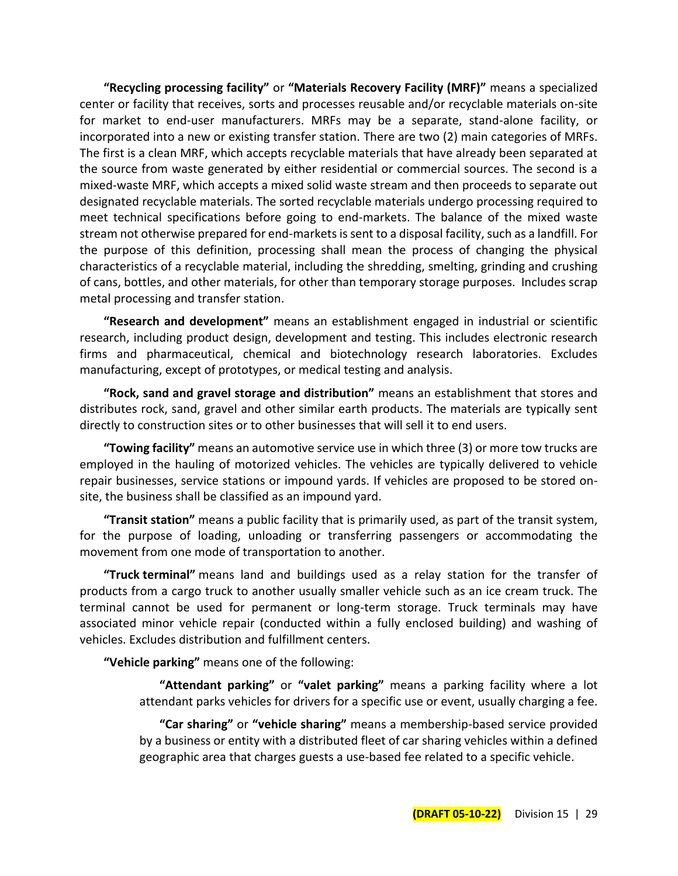**"Recycling processing facility"** or **"Materials Recovery Facility (MRF)"** means a specialized center or facility that receives, sorts and processes reusable and/or recyclable materials on-site for market to end-user manufacturers. MRFs may be a separate, stand-alone facility, or incorporated into a new or existing transfer station. There are two (2) main categories of MRFs. The first is a clean MRF, which accepts recyclable materials that have already been separated at the source from waste generated by either residential or commercial sources. The second is a mixed-waste MRF, which accepts a mixed solid waste stream and then proceeds to separate out designated recyclable materials. The sorted recyclable materials undergo processing required to meet technical specifications before going to end-markets. The balance of the mixed waste stream not otherwise prepared for end-markets is sent to a disposal facility, such as a landfill. For the purpose of this definition, processing shall mean the process of changing the physical characteristics of a recyclable material, including the shredding, smelting, grinding and crushing of cans, bottles, and other materials, for other than temporary storage purposes. Includes scrap metal processing and transfer station.

**"Research and development"** means an establishment engaged in industrial or scientific research, including product design, development and testing. This includes electronic research firms and pharmaceutical, chemical and biotechnology research laboratories. Excludes manufacturing, except of prototypes, or medical testing and analysis.

**"Rock, sand and gravel storage and distribution"** means an establishment that stores and distributes rock, sand, gravel and other similar earth products. The materials are typically sent directly to construction sites or to other businesses that will sell it to end users.

**"Towing facility"** means an automotive service use in which three (3) or more tow trucks are employed in the hauling of motorized vehicles. The vehicles are typically delivered to vehicle repair businesses, service stations or impound yards. If vehicles are proposed to be stored onsite, the business shall be classified as an impound yard.

**"Transit station"** means a public facility that is primarily used, as part of the transit system, for the purpose of loading, unloading or transferring passengers or accommodating the movement from one mode of transportation to another.

**"Truck terminal"** means land and buildings used as a relay station for the transfer of products from a cargo truck to another usually smaller vehicle such as an ice cream truck. The terminal cannot be used for permanent or long-term storage. Truck terminals may have associated minor vehicle repair (conducted within a fully enclosed building) and washing of vehicles. Excludes distribution and fulfillment centers.

**"Vehicle parking"** means one of the following:

**"Attendant parking"** or **"valet parking"** means a parking facility where a lot attendant parks vehicles for drivers for a specific use or event, usually charging a fee.

**"Car sharing"** or **"vehicle sharing"** means a membership-based service provided by a business or entity with a distributed fleet of car sharing vehicles within a defined geographic area that charges guests a use-based fee related to a specific vehicle.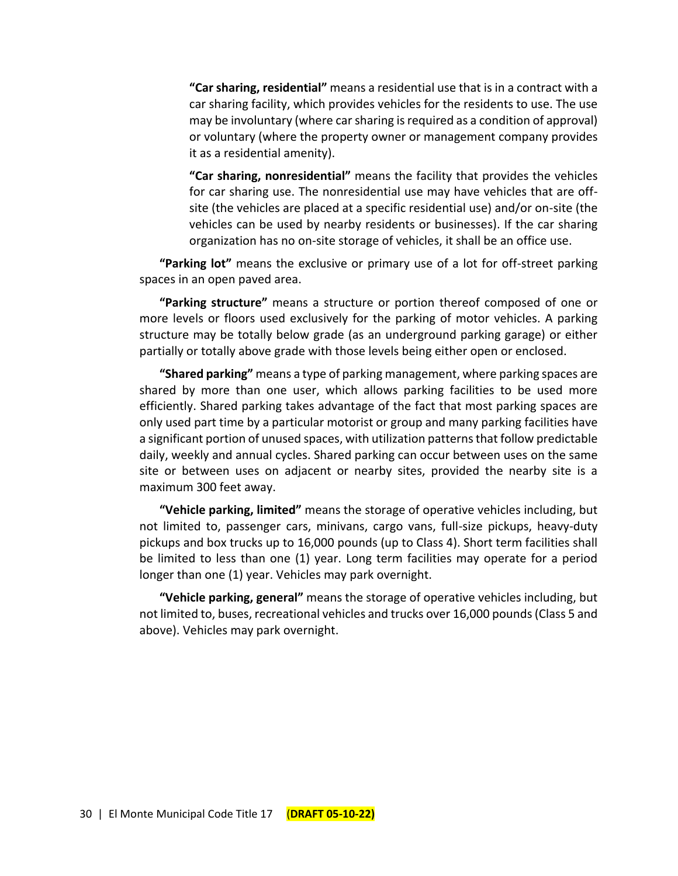**"Car sharing, residential"** means a residential use that is in a contract with a car sharing facility, which provides vehicles for the residents to use. The use may be involuntary (where car sharing is required as a condition of approval) or voluntary (where the property owner or management company provides it as a residential amenity).

**"Car sharing, nonresidential"** means the facility that provides the vehicles for car sharing use. The nonresidential use may have vehicles that are offsite (the vehicles are placed at a specific residential use) and/or on-site (the vehicles can be used by nearby residents or businesses). If the car sharing organization has no on-site storage of vehicles, it shall be an office use.

**"Parking lot"** means the exclusive or primary use of a lot for off-street parking spaces in an open paved area.

**"Parking structure"** means a structure or portion thereof composed of one or more levels or floors used exclusively for the parking of motor vehicles. A parking structure may be totally below grade (as an underground parking garage) or either partially or totally above grade with those levels being either open or enclosed.

**"Shared parking"** means a type of parking management, where parking spaces are shared by more than one user, which allows parking facilities to be used more efficiently. Shared parking takes advantage of the fact that most parking spaces are only used part time by a particular motorist or group and many parking facilities have a significant portion of unused spaces, with utilization patterns that follow predictable daily, weekly and annual cycles. Shared parking can occur between uses on the same site or between uses on adjacent or nearby sites, provided the nearby site is a maximum 300 feet away.

**"Vehicle parking, limited"** means the storage of operative vehicles including, but not limited to, passenger cars, minivans, cargo vans, full-size pickups, heavy-duty pickups and box trucks up to 16,000 pounds (up to Class 4). Short term facilities shall be limited to less than one (1) year. Long term facilities may operate for a period longer than one (1) year. Vehicles may park overnight.

**"Vehicle parking, general"** means the storage of operative vehicles including, but not limited to, buses, recreational vehicles and trucks over 16,000 pounds (Class 5 and above). Vehicles may park overnight.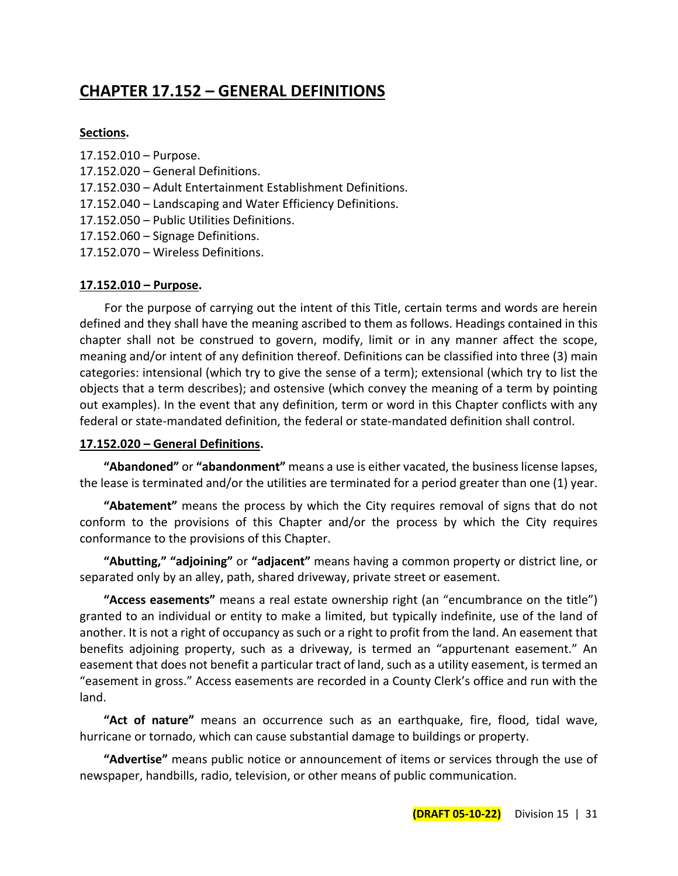# **CHAPTER 17.152 – GENERAL DEFINITIONS**

#### **Sections.**

- 17.152.010 Purpose.
- 17.152.020 General Definitions.
- 17.152.030 Adult Entertainment Establishment Definitions.
- 17.152.040 Landscaping and Water Efficiency Definitions.
- 17.152.050 Public Utilities Definitions.
- 17.152.060 Signage Definitions.
- 17.152.070 Wireless Definitions.

## **17.152.010 – Purpose.**

For the purpose of carrying out the intent of this Title, certain terms and words are herein defined and they shall have the meaning ascribed to them as follows. Headings contained in this chapter shall not be construed to govern, modify, limit or in any manner affect the scope, meaning and/or intent of any definition thereof. Definitions can be classified into three (3) main categories: intensional (which try to give the sense of a term); extensional (which try to list the objects that a term describes); and ostensive (which convey the meaning of a term by pointing out examples). In the event that any definition, term or word in this Chapter conflicts with any federal or state-mandated definition, the federal or state-mandated definition shall control.

## **17.152.020 – General Definitions.**

**"Abandoned"** or **"abandonment"** means a use is either vacated, the business license lapses, the lease is terminated and/or the utilities are terminated for a period greater than one (1) year.

**"Abatement"** means the process by which the City requires removal of signs that do not conform to the provisions of this Chapter and/or the process by which the City requires conformance to the provisions of this Chapter.

**"Abutting," "adjoining"** or **"adjacent"** means having a common property or district line, or separated only by an alley, path, shared driveway, private street or easement.

**"Access easements"** means a real estate ownership right (an "encumbrance on the title") granted to an individual or entity to make a limited, but typically indefinite, use of the land of another. It is not a right of occupancy as such or a right to profit from the land. An easement that benefits adjoining property, such as a driveway, is termed an "appurtenant easement." An easement that does not benefit a particular tract of land, such as a utility easement, is termed an "easement in gross." Access easements are recorded in a County Clerk's office and run with the land.

**"Act of nature"** means an occurrence such as an earthquake, fire, flood, tidal wave, hurricane or tornado, which can cause substantial damage to buildings or property.

**"Advertise"** means public notice or announcement of items or services through the use of newspaper, handbills, radio, television, or other means of public communication.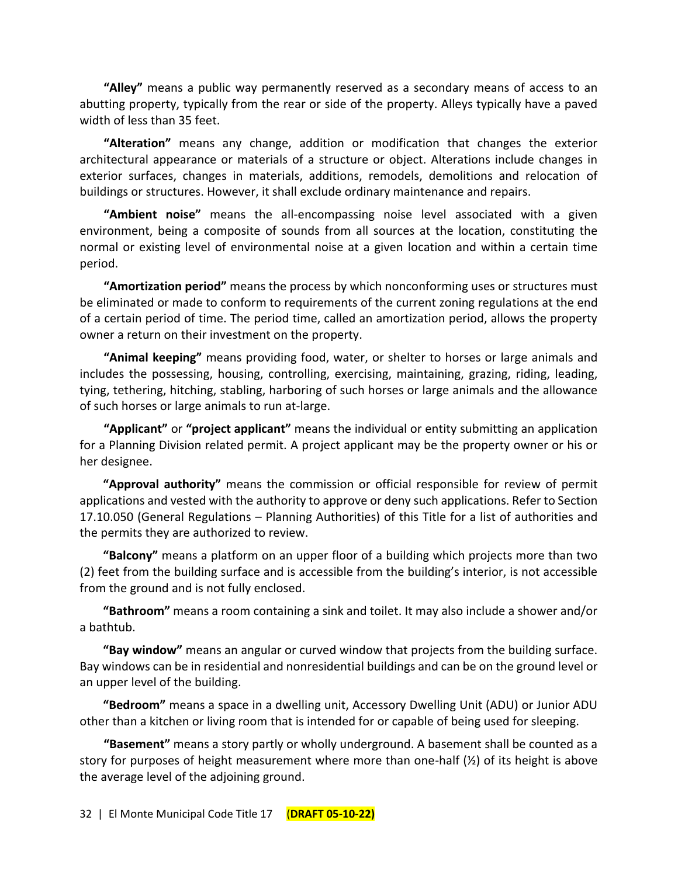**"Alley"** means a public way permanently reserved as a secondary means of access to an abutting property, typically from the rear or side of the property. Alleys typically have a paved width of less than 35 feet.

**"Alteration"** means any change, addition or modification that changes the exterior architectural appearance or materials of a structure or object. Alterations include changes in exterior surfaces, changes in materials, additions, remodels, demolitions and relocation of buildings or structures. However, it shall exclude ordinary maintenance and repairs.

**"Ambient noise"** means the all-encompassing noise level associated with a given environment, being a composite of sounds from all sources at the location, constituting the normal or existing level of environmental noise at a given location and within a certain time period.

**"Amortization period"** means the process by which nonconforming uses or structures must be eliminated or made to conform to requirements of the current zoning regulations at the end of a certain period of time. The period time, called an amortization period, allows the property owner a return on their investment on the property.

**"Animal keeping"** means providing food, water, or shelter to horses or large animals and includes the possessing, housing, controlling, exercising, maintaining, grazing, riding, leading, tying, tethering, hitching, stabling, harboring of such horses or large animals and the allowance of such horses or large animals to run at-large.

**"Applicant"** or **"project applicant"** means the individual or entity submitting an application for a Planning Division related permit. A project applicant may be the property owner or his or her designee.

**"Approval authority"** means the commission or official responsible for review of permit applications and vested with the authority to approve or deny such applications. Refer to Section 17.10.050 (General Regulations – Planning Authorities) of this Title for a list of authorities and the permits they are authorized to review.

**"Balcony"** means a platform on an upper floor of a building which projects more than two (2) feet from the building surface and is accessible from the building's interior, is not accessible from the ground and is not fully enclosed.

**"Bathroom"** means a room containing a sink and toilet. It may also include a shower and/or a bathtub.

**"Bay window"** means an angular or curved window that projects from the building surface. Bay windows can be in residential and nonresidential buildings and can be on the ground level or an upper level of the building.

**"Bedroom"** means a space in a dwelling unit, Accessory Dwelling Unit (ADU) or Junior ADU other than a kitchen or living room that is intended for or capable of being used for sleeping.

**"Basement"** means a story partly or wholly underground. A basement shall be counted as a story for purposes of height measurement where more than one-half (½) of its height is above the average level of the adjoining ground.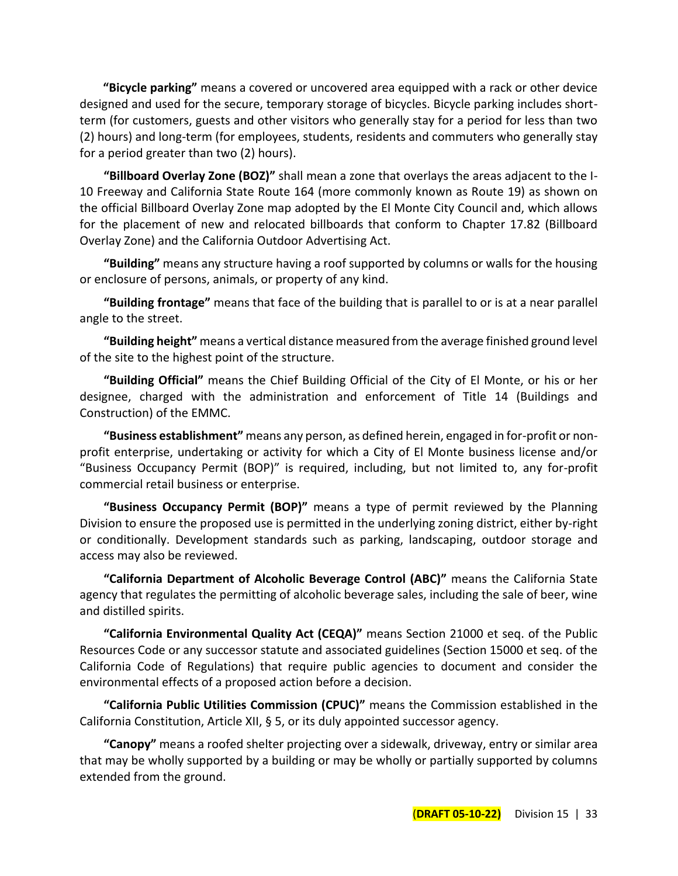**"Bicycle parking"** means a covered or uncovered area equipped with a rack or other device designed and used for the secure, temporary storage of bicycles. Bicycle parking includes shortterm (for customers, guests and other visitors who generally stay for a period for less than two (2) hours) and long-term (for employees, students, residents and commuters who generally stay for a period greater than two (2) hours).

**"Billboard Overlay Zone (BOZ)"** shall mean a zone that overlays the areas adjacent to the I-10 Freeway and California State Route 164 (more commonly known as Route 19) as shown on the official Billboard Overlay Zone map adopted by the El Monte City Council and, which allows for the placement of new and relocated billboards that conform to Chapter 17.82 (Billboard Overlay Zone) and the California Outdoor Advertising Act.

**"Building"** means any structure having a roof supported by columns or walls for the housing or enclosure of persons, animals, or property of any kind.

**"Building frontage"** means that face of the building that is parallel to or is at a near parallel angle to the street.

**"Building height"** means a vertical distance measured from the average finished ground level of the site to the highest point of the structure.

**"Building Official"** means the Chief Building Official of the City of El Monte, or his or her designee, charged with the administration and enforcement of Title 14 (Buildings and Construction) of the EMMC.

**"Business establishment"** means any person, as defined herein, engaged in for-profit or nonprofit enterprise, undertaking or activity for which a City of El Monte business license and/or "Business Occupancy Permit (BOP)" is required, including, but not limited to, any for-profit commercial retail business or enterprise.

**"Business Occupancy Permit (BOP)"** means a type of permit reviewed by the Planning Division to ensure the proposed use is permitted in the underlying zoning district, either by-right or conditionally. Development standards such as parking, landscaping, outdoor storage and access may also be reviewed.

**"California Department of Alcoholic Beverage Control (ABC)"** means the California State agency that regulates the permitting of alcoholic beverage sales, including the sale of beer, wine and distilled spirits.

**"California Environmental Quality Act (CEQA)"** means Section 21000 et seq. of the Public Resources Code or any successor statute and associated guidelines (Section 15000 et seq. of the California Code of Regulations) that require public agencies to document and consider the environmental effects of a proposed action before a decision.

**"California Public Utilities Commission (CPUC)"** means the Commission established in the California Constitution, Article XII, § 5, or its duly appointed successor agency.

**"Canopy"** means a roofed shelter projecting over a sidewalk, driveway, entry or similar area that may be wholly supported by a building or may be wholly or partially supported by columns extended from the ground.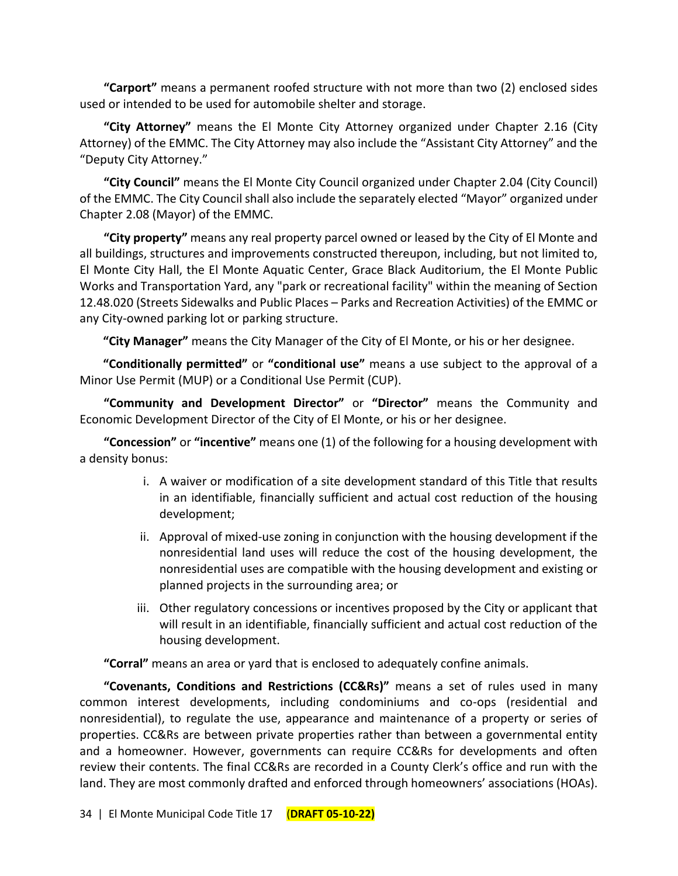**"Carport"** means a permanent roofed structure with not more than two (2) enclosed sides used or intended to be used for automobile shelter and storage.

**"City Attorney"** means the El Monte City Attorney organized under Chapter 2.16 (City Attorney) of the EMMC. The City Attorney may also include the "Assistant City Attorney" and the "Deputy City Attorney."

**"City Council"** means the El Monte City Council organized under Chapter 2.04 (City Council) of the EMMC. The City Council shall also include the separately elected "Mayor" organized under Chapter 2.08 (Mayor) of the EMMC.

**"City property"** means any real property parcel owned or leased by the City of El Monte and all buildings, structures and improvements constructed thereupon, including, but not limited to, El Monte City Hall, the El Monte Aquatic Center, Grace Black Auditorium, the El Monte Public Works and Transportation Yard, any "park or recreational facility" within the meaning of Section 12.48.020 (Streets Sidewalks and Public Places – Parks and Recreation Activities) of the EMMC or any City-owned parking lot or parking structure.

**"City Manager"** means the City Manager of the City of El Monte, or his or her designee.

**"Conditionally permitted"** or **"conditional use"** means a use subject to the approval of a Minor Use Permit (MUP) or a Conditional Use Permit (CUP).

**"Community and Development Director"** or **"Director"** means the Community and Economic Development Director of the City of El Monte, or his or her designee.

**"Concession"** or **"incentive"** means one (1) of the following for a housing development with a density bonus:

- i. A waiver or modification of a site development standard of this Title that results in an identifiable, financially sufficient and actual cost reduction of the housing development;
- ii. Approval of mixed-use zoning in conjunction with the housing development if the nonresidential land uses will reduce the cost of the housing development, the nonresidential uses are compatible with the housing development and existing or planned projects in the surrounding area; or
- iii. Other regulatory concessions or incentives proposed by the City or applicant that will result in an identifiable, financially sufficient and actual cost reduction of the housing development.

**"Corral"** means an area or yard that is enclosed to adequately confine animals.

**"Covenants, Conditions and Restrictions (CC&Rs)"** means a set of rules used in many common interest developments, including condominiums and co-ops (residential and nonresidential), to regulate the use, appearance and maintenance of a property or series of properties. CC&Rs are between private properties rather than between a governmental entity and a homeowner. However, governments can require CC&Rs for developments and often review their contents. The final CC&Rs are recorded in a County Clerk's office and run with the land. They are most commonly drafted and enforced through homeowners' associations (HOAs).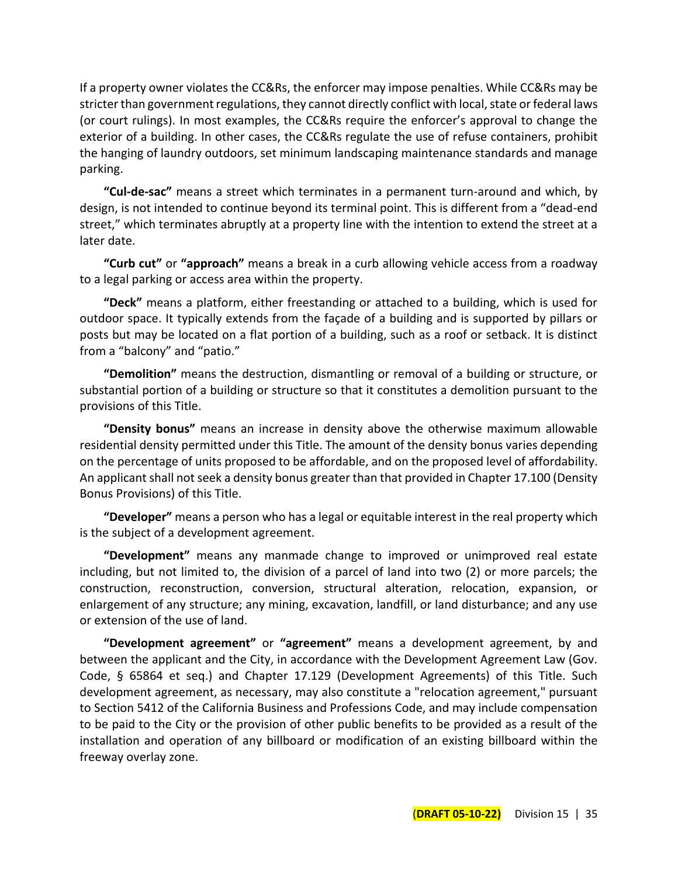If a property owner violates the CC&Rs, the enforcer may impose penalties. While CC&Rs may be stricter than government regulations, they cannot directly conflict with local, state or federal laws (or court rulings). In most examples, the CC&Rs require the enforcer's approval to change the exterior of a building. In other cases, the CC&Rs regulate the use of refuse containers, prohibit the hanging of laundry outdoors, set minimum landscaping maintenance standards and manage parking.

**"Cul-de-sac"** means a street which terminates in a permanent turn-around and which, by design, is not intended to continue beyond its terminal point. This is different from a "dead-end street," which terminates abruptly at a property line with the intention to extend the street at a later date.

**"Curb cut"** or **"approach"** means a break in a curb allowing vehicle access from a roadway to a legal parking or access area within the property.

**"Deck"** means a platform, either freestanding or attached to a building, which is used for outdoor space. It typically extends from the façade of a building and is supported by pillars or posts but may be located on a flat portion of a building, such as a roof or setback. It is distinct from a "balcony" and "patio."

**"Demolition"** means the destruction, dismantling or removal of a building or structure, or substantial portion of a building or structure so that it constitutes a demolition pursuant to the provisions of this Title.

**"Density bonus"** means an increase in density above the otherwise maximum allowable residential density permitted under this Title. The amount of the density bonus varies depending on the percentage of units proposed to be affordable, and on the proposed level of affordability. An applicant shall not seek a density bonus greater than that provided in Chapter 17.100 (Density Bonus Provisions) of this Title.

**"Developer"** means a person who has a legal or equitable interest in the real property which is the subject of a development agreement.

**"Development"** means any manmade change to improved or unimproved real estate including, but not limited to, the division of a parcel of land into two (2) or more parcels; the construction, reconstruction, conversion, structural alteration, relocation, expansion, or enlargement of any structure; any mining, excavation, landfill, or land disturbance; and any use or extension of the use of land.

**"Development agreement"** or **"agreement"** means a development agreement, by and between the applicant and the City, in accordance with the Development Agreement Law (Gov. Code, § 65864 et seq.) and Chapter 17.129 (Development Agreements) of this Title. Such development agreement, as necessary, may also constitute a "relocation agreement," pursuant to Section 5412 of the California Business and Professions Code, and may include compensation to be paid to the City or the provision of other public benefits to be provided as a result of the installation and operation of any billboard or modification of an existing billboard within the freeway overlay zone.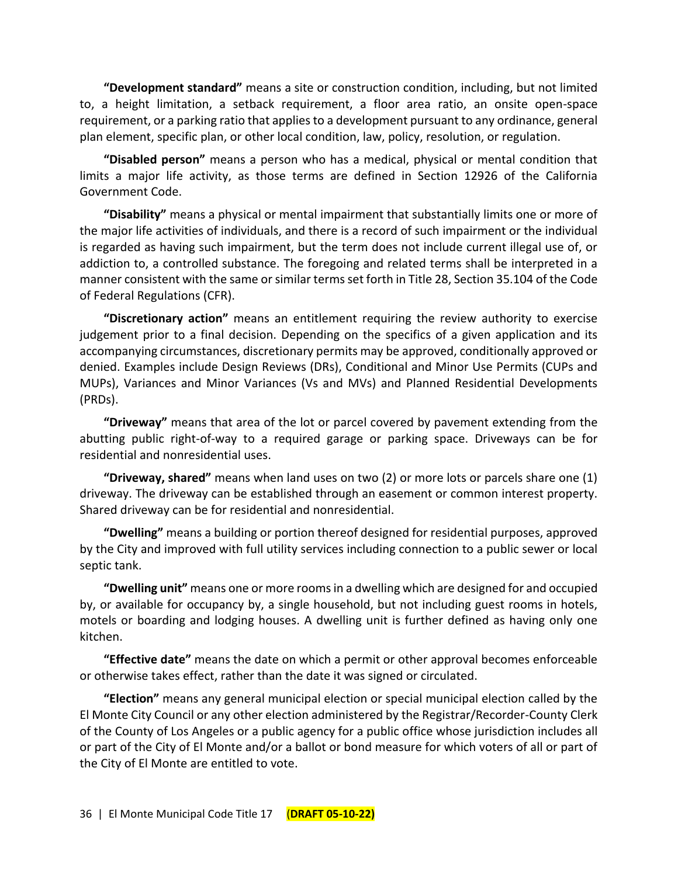**"Development standard"** means a site or construction condition, including, but not limited to, a height limitation, a setback requirement, a floor area ratio, an onsite open-space requirement, or a parking ratio that applies to a development pursuant to any ordinance, general plan element, specific plan, or other local condition, law, policy, resolution, or regulation.

**"Disabled person"** means a person who has a medical, physical or mental condition that limits a major life activity, as those terms are defined in Section 12926 of the California Government Code.

**"Disability"** means a physical or mental impairment that substantially limits one or more of the major life activities of individuals, and there is a record of such impairment or the individual is regarded as having such impairment, but the term does not include current illegal use of, or addiction to, a controlled substance. The foregoing and related terms shall be interpreted in a manner consistent with the same or similar terms set forth in Title 28, Section 35.104 of the Code of Federal Regulations (CFR).

**"Discretionary action"** means an entitlement requiring the review authority to exercise judgement prior to a final decision. Depending on the specifics of a given application and its accompanying circumstances, discretionary permits may be approved, conditionally approved or denied. Examples include Design Reviews (DRs), Conditional and Minor Use Permits (CUPs and MUPs), Variances and Minor Variances (Vs and MVs) and Planned Residential Developments (PRDs).

**"Driveway"** means that area of the lot or parcel covered by pavement extending from the abutting public right-of-way to a required garage or parking space. Driveways can be for residential and nonresidential uses.

**"Driveway, shared"** means when land uses on two (2) or more lots or parcels share one (1) driveway. The driveway can be established through an easement or common interest property. Shared driveway can be for residential and nonresidential.

**"Dwelling"** means a building or portion thereof designed for residential purposes, approved by the City and improved with full utility services including connection to a public sewer or local septic tank.

**"Dwelling unit"** means one or more rooms in a dwelling which are designed for and occupied by, or available for occupancy by, a single household, but not including guest rooms in hotels, motels or boarding and lodging houses. A dwelling unit is further defined as having only one kitchen.

**"Effective date"** means the date on which a permit or other approval becomes enforceable or otherwise takes effect, rather than the date it was signed or circulated.

**"Election"** means any general municipal election or special municipal election called by the El Monte City Council or any other election administered by the Registrar/Recorder-County Clerk of the County of Los Angeles or a public agency for a public office whose jurisdiction includes all or part of the City of El Monte and/or a ballot or bond measure for which voters of all or part of the City of El Monte are entitled to vote.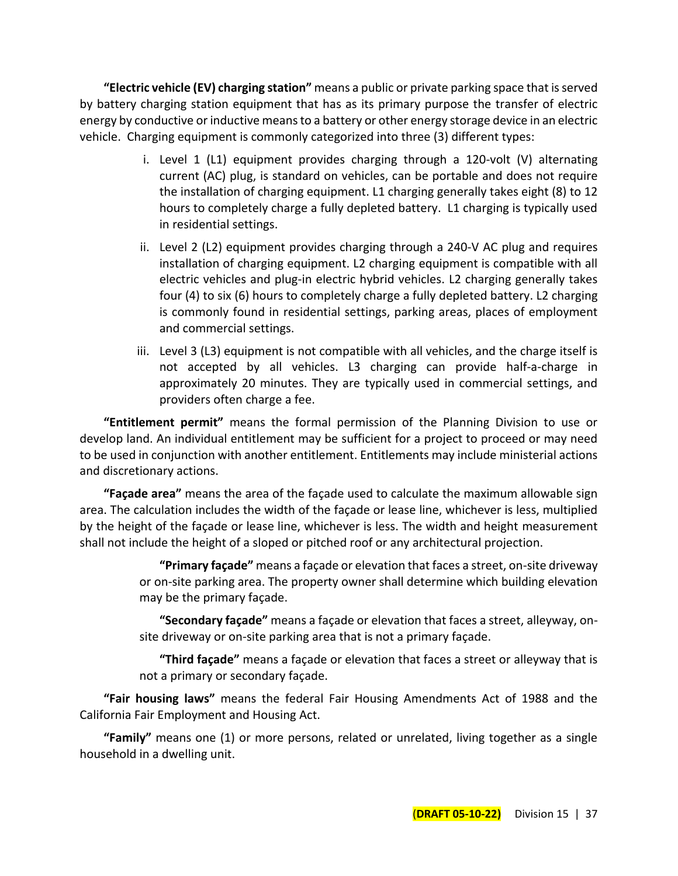**"Electric vehicle (EV) charging station"** means a public or private parking space that is served by battery charging station equipment that has as its primary purpose the transfer of electric energy by conductive or inductive means to a battery or other energy storage device in an electric vehicle. Charging equipment is commonly categorized into three (3) different types:

- i. Level 1 (L1) equipment provides charging through a 120-volt (V) alternating current (AC) plug, is standard on vehicles, can be portable and does not require the installation of charging equipment. L1 charging generally takes eight (8) to 12 hours to completely charge a fully depleted battery. L1 charging is typically used in residential settings.
- ii. Level 2 (L2) equipment provides charging through a 240-V AC plug and requires installation of charging equipment. L2 charging equipment is compatible with all electric vehicles and plug-in electric hybrid vehicles. L2 charging generally takes four (4) to six (6) hours to completely charge a fully depleted battery. L2 charging is commonly found in residential settings, parking areas, places of employment and commercial settings.
- iii. Level 3 (L3) equipment is not compatible with all vehicles, and the charge itself is not accepted by all vehicles. L3 charging can provide half-a-charge in approximately 20 minutes. They are typically used in commercial settings, and providers often charge a fee.

**"Entitlement permit"** means the formal permission of the Planning Division to use or develop land. An individual entitlement may be sufficient for a project to proceed or may need to be used in conjunction with another entitlement. Entitlements may include ministerial actions and discretionary actions.

**"Façade area"** means the area of the façade used to calculate the maximum allowable sign area. The calculation includes the width of the façade or lease line, whichever is less, multiplied by the height of the façade or lease line, whichever is less. The width and height measurement shall not include the height of a sloped or pitched roof or any architectural projection.

> **"Primary façade"** means a façade or elevation that faces a street, on-site driveway or on-site parking area. The property owner shall determine which building elevation may be the primary façade.

> **"Secondary façade"** means a façade or elevation that faces a street, alleyway, onsite driveway or on-site parking area that is not a primary façade.

> **"Third façade"** means a façade or elevation that faces a street or alleyway that is not a primary or secondary façade.

**"Fair housing laws"** means the federal Fair Housing Amendments Act of 1988 and the California Fair Employment and Housing Act.

**"Family"** means one (1) or more persons, related or unrelated, living together as a single household in a dwelling unit.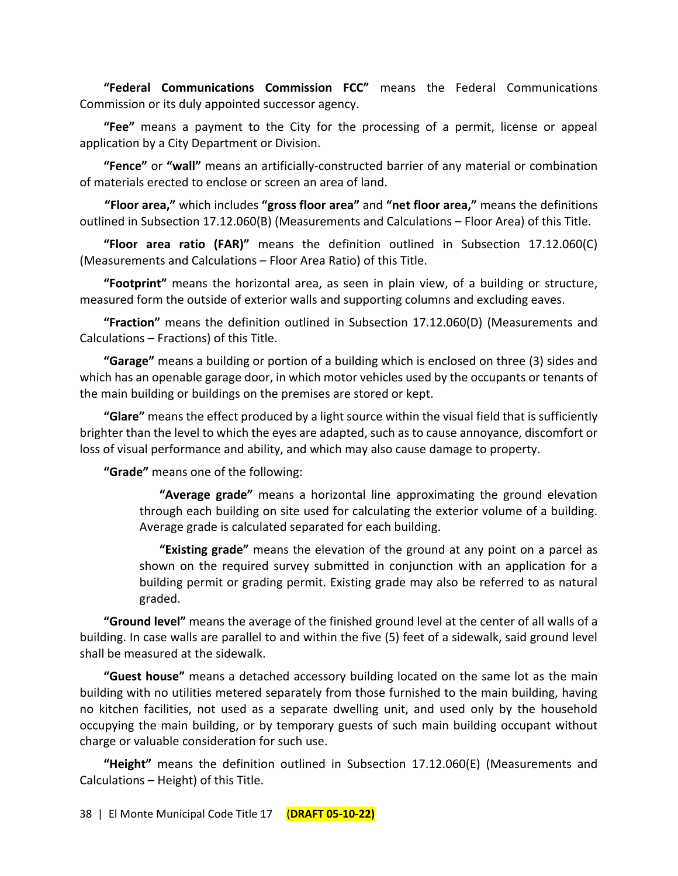**"Federal Communications Commission FCC"** means the Federal Communications Commission or its duly appointed successor agency.

**"Fee"** means a payment to the City for the processing of a permit, license or appeal application by a City Department or Division.

**"Fence"** or **"wall"** means an artificially-constructed barrier of any material or combination of materials erected to enclose or screen an area of land.

**"Floor area,"** which includes **"gross floor area"** and **"net floor area,"** means the definitions outlined in Subsection 17.12.060(B) (Measurements and Calculations – Floor Area) of this Title.

**"Floor area ratio (FAR)"** means the definition outlined in Subsection 17.12.060(C) (Measurements and Calculations – Floor Area Ratio) of this Title.

**"Footprint"** means the horizontal area, as seen in plain view, of a building or structure, measured form the outside of exterior walls and supporting columns and excluding eaves.

**"Fraction"** means the definition outlined in Subsection 17.12.060(D) (Measurements and Calculations – Fractions) of this Title.

**"Garage"** means a building or portion of a building which is enclosed on three (3) sides and which has an openable garage door, in which motor vehicles used by the occupants or tenants of the main building or buildings on the premises are stored or kept.

**"Glare"** means the effect produced by a light source within the visual field that is sufficiently brighter than the level to which the eyes are adapted, such as to cause annoyance, discomfort or loss of visual performance and ability, and which may also cause damage to property.

**"Grade"** means one of the following:

**"Average grade"** means a horizontal line approximating the ground elevation through each building on site used for calculating the exterior volume of a building. Average grade is calculated separated for each building.

**"Existing grade"** means the elevation of the ground at any point on a parcel as shown on the required survey submitted in conjunction with an application for a building permit or grading permit. Existing grade may also be referred to as natural graded.

**"Ground level"** means the average of the finished ground level at the center of all walls of a building. In case walls are parallel to and within the five (5) feet of a sidewalk, said ground level shall be measured at the sidewalk.

**"Guest house"** means a detached accessory building located on the same lot as the main building with no utilities metered separately from those furnished to the main building, having no kitchen facilities, not used as a separate dwelling unit, and used only by the household occupying the main building, or by temporary guests of such main building occupant without charge or valuable consideration for such use.

**"Height"** means the definition outlined in Subsection 17.12.060(E) (Measurements and Calculations – Height) of this Title.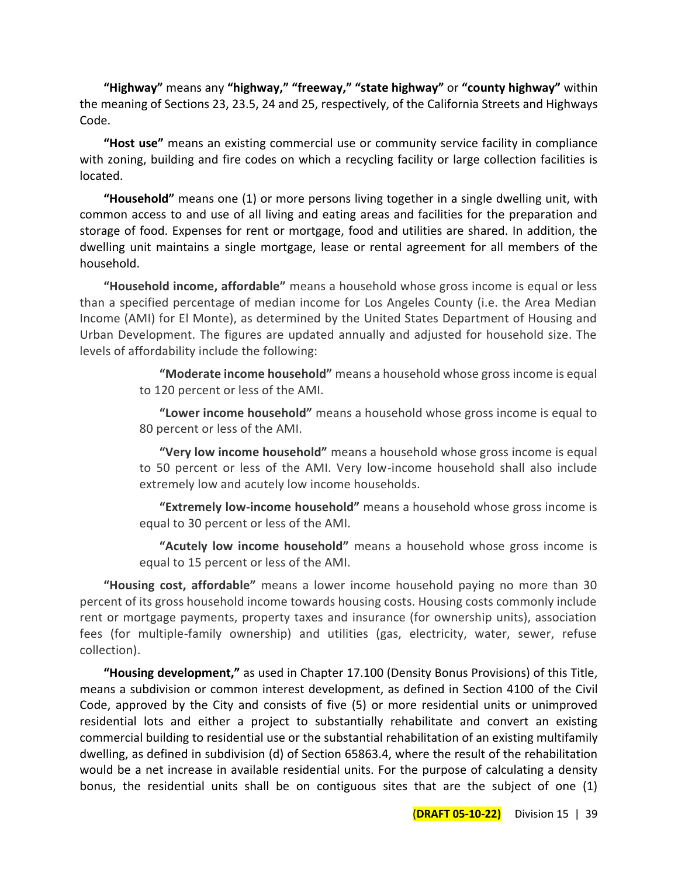**"Highway"** means any **"highway," "freeway," "state highway"** or **"county highway"** within the meaning of Sections 23, 23.5, 24 and 25, respectively, of the California Streets and Highways Code.

**"Host use"** means an existing commercial use or community service facility in compliance with zoning, building and fire codes on which a recycling facility or large collection facilities is located.

**"Household"** means one (1) or more persons living together in a single dwelling unit, with common access to and use of all living and eating areas and facilities for the preparation and storage of food. Expenses for rent or mortgage, food and utilities are shared. In addition, the dwelling unit maintains a single mortgage, lease or rental agreement for all members of the household.

**"Household income, affordable"** means a household whose gross income is equal or less than a specified percentage of median income for Los Angeles County (i.e. the Area Median Income (AMI) for El Monte), as determined by the United States Department of Housing and Urban Development. The figures are updated annually and adjusted for household size. The levels of affordability include the following:

> **"Moderate income household"** means a household whose gross income is equal to 120 percent or less of the AMI.

> **"Lower income household"** means a household whose gross income is equal to 80 percent or less of the AMI.

> **"Very low income household"** means a household whose gross income is equal to 50 percent or less of the AMI. Very low-income household shall also include extremely low and acutely low income households.

> **"Extremely low-income household"** means a household whose gross income is equal to 30 percent or less of the AMI.

> **"Acutely low income household"** means a household whose gross income is equal to 15 percent or less of the AMI.

**"Housing cost, affordable"** means a lower income household paying no more than 30 percent of its gross household income towards housing costs. Housing costs commonly include rent or mortgage payments, property taxes and insurance (for ownership units), association fees (for multiple-family ownership) and utilities (gas, electricity, water, sewer, refuse collection).

**"Housing development,"** as used in Chapter 17.100 (Density Bonus Provisions) of this Title, means a subdivision or common interest development, as defined in Section 4100 of the Civil Code, approved by the City and consists of five (5) or more residential units or unimproved residential lots and either a project to substantially rehabilitate and convert an existing commercial building to residential use or the substantial rehabilitation of an existing multifamily dwelling, as defined in subdivision (d) of Section 65863.4, where the result of the rehabilitation would be a net increase in available residential units. For the purpose of calculating a density bonus, the residential units shall be on contiguous sites that are the subject of one (1)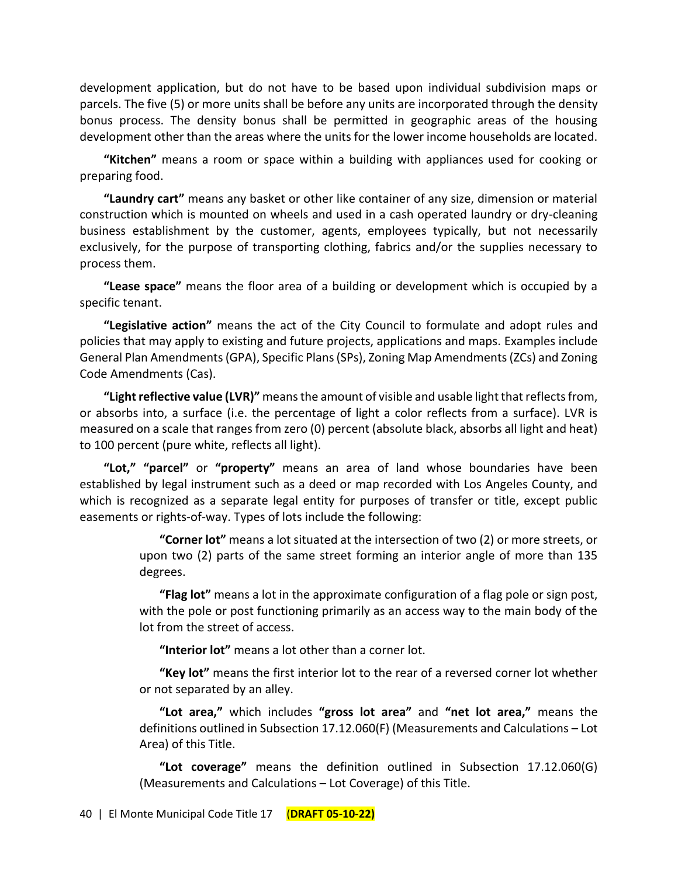development application, but do not have to be based upon individual subdivision maps or parcels. The five (5) or more units shall be before any units are incorporated through the density bonus process. The density bonus shall be permitted in geographic areas of the housing development other than the areas where the units for the lower income households are located.

**"Kitchen"** means a room or space within a building with appliances used for cooking or preparing food.

**"Laundry cart"** means any basket or other like container of any size, dimension or material construction which is mounted on wheels and used in a cash operated laundry or dry-cleaning business establishment by the customer, agents, employees typically, but not necessarily exclusively, for the purpose of transporting clothing, fabrics and/or the supplies necessary to process them.

**"Lease space"** means the floor area of a building or development which is occupied by a specific tenant.

**"Legislative action"** means the act of the City Council to formulate and adopt rules and policies that may apply to existing and future projects, applications and maps. Examples include General Plan Amendments (GPA), Specific Plans (SPs), Zoning Map Amendments (ZCs) and Zoning Code Amendments (Cas).

**"Light reflective value (LVR)"** means the amount of visible and usable light that reflects from, or absorbs into, a surface (i.e. the percentage of light a color reflects from a surface). LVR is measured on a scale that ranges from zero (0) percent (absolute black, absorbs all light and heat) to 100 percent (pure white, reflects all light).

**"Lot," "parcel"** or **"property"** means an area of land whose boundaries have been established by legal instrument such as a deed or map recorded with Los Angeles County, and which is recognized as a separate legal entity for purposes of transfer or title, except public easements or rights-of-way. Types of lots include the following:

> **"Corner lot"** means a lot situated at the intersection of two (2) or more streets, or upon two (2) parts of the same street forming an interior angle of more than 135 degrees.

> **"Flag lot"** means a lot in the approximate configuration of a flag pole or sign post, with the pole or post functioning primarily as an access way to the main body of the lot from the street of access.

**"Interior lot"** means a lot other than a corner lot.

**"Key lot"** means the first interior lot to the rear of a reversed corner lot whether or not separated by an alley.

**"Lot area,"** which includes **"gross lot area"** and **"net lot area,"** means the definitions outlined in Subsection 17.12.060(F) (Measurements and Calculations – Lot Area) of this Title.

**"Lot coverage"** means the definition outlined in Subsection 17.12.060(G) (Measurements and Calculations – Lot Coverage) of this Title.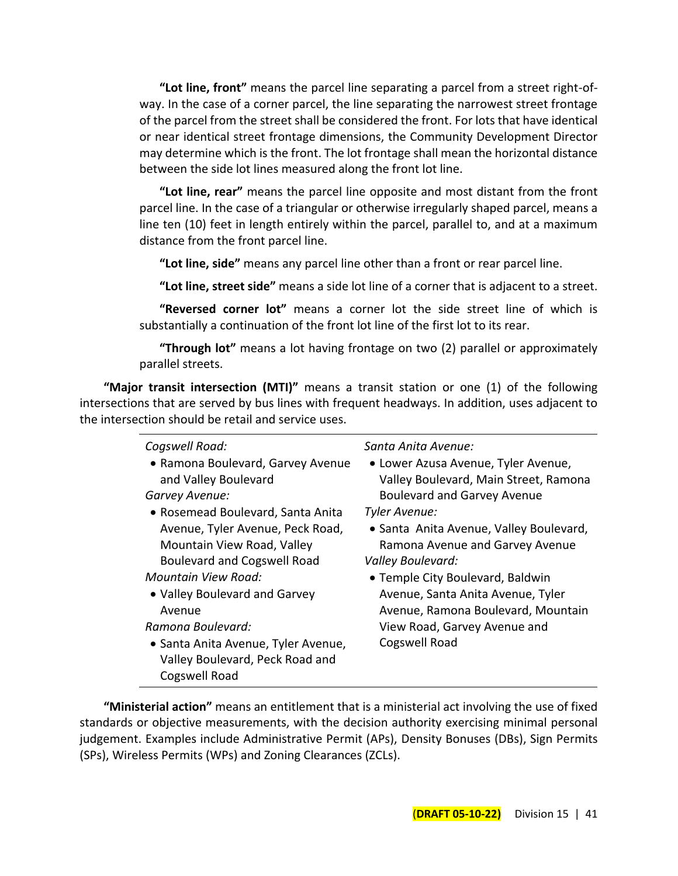**"Lot line, front"** means the parcel line separating a parcel from a street right-ofway. In the case of a corner parcel, the line separating the narrowest street frontage of the parcel from the street shall be considered the front. For lots that have identical or near identical street frontage dimensions, the Community Development Director may determine which is the front. The lot frontage shall mean the horizontal distance between the side lot lines measured along the front lot line.

**"Lot line, rear"** means the parcel line opposite and most distant from the front parcel line. In the case of a triangular or otherwise irregularly shaped parcel, means a line ten (10) feet in length entirely within the parcel, parallel to, and at a maximum distance from the front parcel line.

**"Lot line, side"** means any parcel line other than a front or rear parcel line.

**"Lot line, street side"** means a side lot line of a corner that is adjacent to a street.

**"Reversed corner lot"** means a corner lot the side street line of which is substantially a continuation of the front lot line of the first lot to its rear.

**"Through lot"** means a lot having frontage on two (2) parallel or approximately parallel streets.

**"Major transit intersection (MTI)"** means a transit station or one (1) of the following intersections that are served by bus lines with frequent headways. In addition, uses adjacent to the intersection should be retail and service uses.

| Cogswell Road:<br>• Ramona Boulevard, Garvey Avenue<br>and Valley Boulevard<br>Garvey Avenue:<br>• Rosemead Boulevard, Santa Anita<br>Avenue, Tyler Avenue, Peck Road,<br>Mountain View Road, Valley<br><b>Boulevard and Cogswell Road</b><br>Mountain View Road:<br>• Valley Boulevard and Garvey<br>Avenue<br>Ramona Boulevard:<br>• Santa Anita Avenue, Tyler Avenue,<br>Valley Boulevard, Peck Road and<br>Cogswell Road | Santa Anita Avenue:<br>• Lower Azusa Avenue, Tyler Avenue,<br>Valley Boulevard, Main Street, Ramona<br><b>Boulevard and Garvey Avenue</b><br>Tyler Avenue:<br>• Santa Anita Avenue, Valley Boulevard,<br>Ramona Avenue and Garvey Avenue<br>Valley Boulevard:<br>• Temple City Boulevard, Baldwin<br>Avenue, Santa Anita Avenue, Tyler<br>Avenue, Ramona Boulevard, Mountain<br>View Road, Garvey Avenue and<br>Cogswell Road |
|------------------------------------------------------------------------------------------------------------------------------------------------------------------------------------------------------------------------------------------------------------------------------------------------------------------------------------------------------------------------------------------------------------------------------|-------------------------------------------------------------------------------------------------------------------------------------------------------------------------------------------------------------------------------------------------------------------------------------------------------------------------------------------------------------------------------------------------------------------------------|
|------------------------------------------------------------------------------------------------------------------------------------------------------------------------------------------------------------------------------------------------------------------------------------------------------------------------------------------------------------------------------------------------------------------------------|-------------------------------------------------------------------------------------------------------------------------------------------------------------------------------------------------------------------------------------------------------------------------------------------------------------------------------------------------------------------------------------------------------------------------------|

**"Ministerial action"** means an entitlement that is a ministerial act involving the use of fixed standards or objective measurements, with the decision authority exercising minimal personal judgement. Examples include Administrative Permit (APs), Density Bonuses (DBs), Sign Permits (SPs), Wireless Permits (WPs) and Zoning Clearances (ZCLs).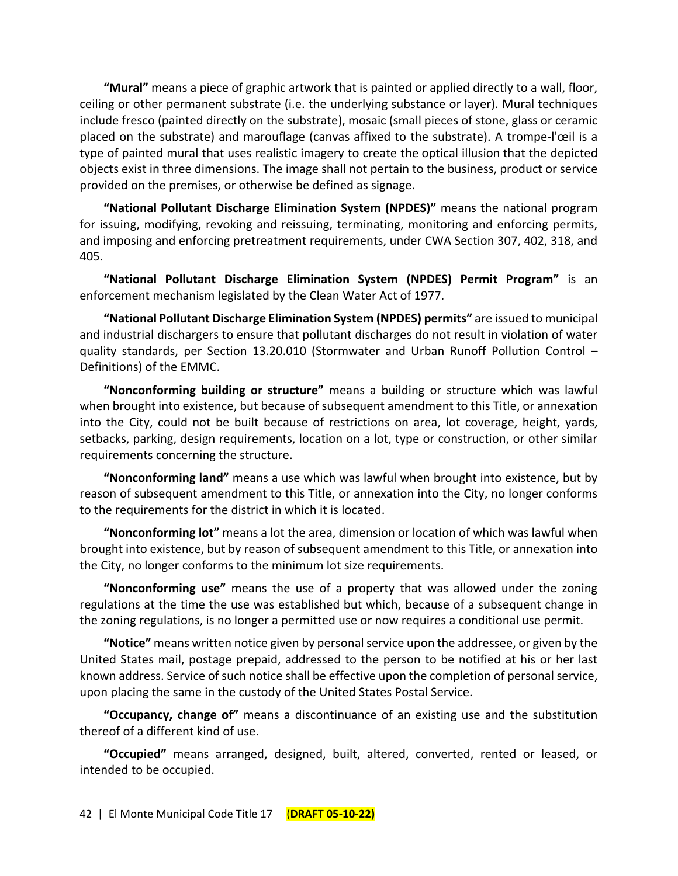**"Mural"** means a piece of graphic artwork that is painted or applied directly to a wall, floor, ceiling or other permanent substrate (i.e. the underlying substance or layer). Mural techniques include fresco (painted directly on the substrate), mosaic (small pieces of stone, glass or ceramic placed on the substrate) and marouflage (canvas affixed to the substrate). A trompe-l'œil is a type of painted mural that uses realistic imagery to create the [optical illusion](https://en.wikipedia.org/wiki/Optical_illusion) that the depicted objects exist in three dimensions. The image shall not pertain to the business, product or service provided on the premises, or otherwise be defined as signage.

**"National Pollutant Discharge Elimination System (NPDES)"** means the national program for issuing, modifying, revoking and reissuing, terminating, monitoring and enforcing permits, and imposing and enforcing pretreatment requirements, under CWA Section 307, 402, 318, and 405.

**"National Pollutant Discharge Elimination System (NPDES) Permit Program"** is an enforcement mechanism legislated by the Clean Water Act of 1977.

**"National Pollutant Discharge Elimination System (NPDES) permits"** are issued to municipal and industrial dischargers to ensure that pollutant discharges do not result in violation of water quality standards, per Section 13.20.010 (Stormwater and Urban Runoff Pollution Control – Definitions) of the EMMC.

**"Nonconforming building or structure"** means a building or structure which was lawful when brought into existence, but because of subsequent amendment to this Title, or annexation into the City, could not be built because of restrictions on area, lot coverage, height, yards, setbacks, parking, design requirements, location on a lot, type or construction, or other similar requirements concerning the structure.

**"Nonconforming land"** means a use which was lawful when brought into existence, but by reason of subsequent amendment to this Title, or annexation into the City, no longer conforms to the requirements for the district in which it is located.

**"Nonconforming lot"** means a lot the area, dimension or location of which was lawful when brought into existence, but by reason of subsequent amendment to this Title, or annexation into the City, no longer conforms to the minimum lot size requirements.

**"Nonconforming use"** means the use of a property that was allowed under the zoning regulations at the time the use was established but which, because of a subsequent change in the zoning regulations, is no longer a permitted use or now requires a conditional use permit.

**"Notice"** means written notice given by personal service upon the addressee, or given by the United States mail, postage prepaid, addressed to the person to be notified at his or her last known address. Service of such notice shall be effective upon the completion of personal service, upon placing the same in the custody of the United States Postal Service.

**"Occupancy, change of"** means a discontinuance of an existing use and the substitution thereof of a different kind of use.

**"Occupied"** means arranged, designed, built, altered, converted, rented or leased, or intended to be occupied.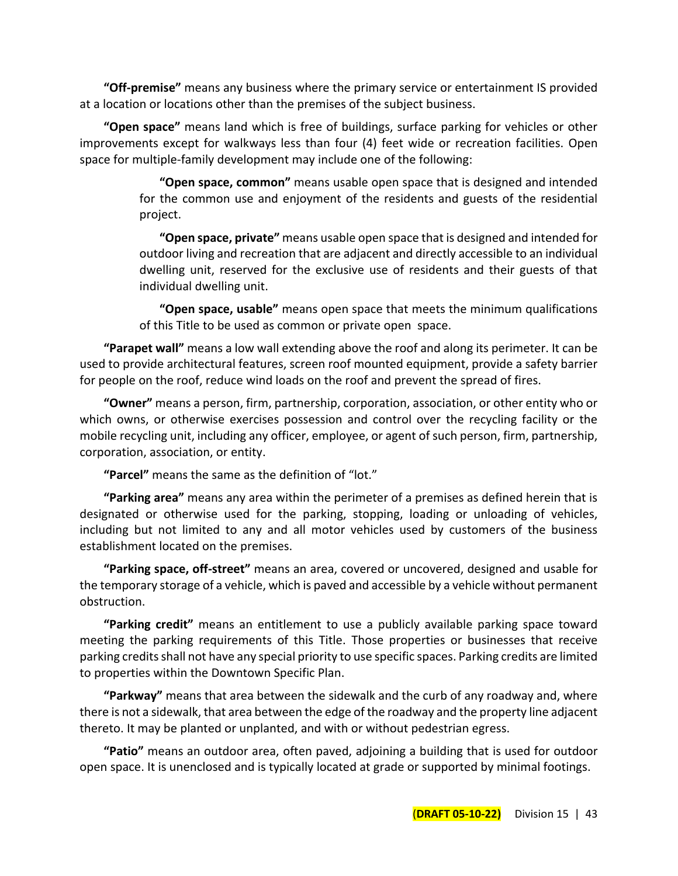**"Off-premise"** means any business where the primary service or entertainment IS provided at a location or locations other than the premises of the subject business.

**"Open space"** means land which is free of buildings, surface parking for vehicles or other improvements except for walkways less than four (4) feet wide or recreation facilities. Open space for multiple-family development may include one of the following:

> **"Open space, common"** means usable open space that is designed and intended for the common use and enjoyment of the residents and guests of the residential project.

> **"Open space, private"** means usable open space that is designed and intended for outdoor living and recreation that are adjacent and directly accessible to an individual dwelling unit, reserved for the exclusive use of residents and their guests of that individual dwelling unit.

> **"Open space, usable"** means open space that meets the minimum qualifications of this Title to be used as common or private open space.

**"Parapet wall"** means a low wall extending above the roof and along its perimeter. It can be used to provide architectural features, screen roof mounted equipment, provide a safety barrier for people on the roof, reduce wind loads on the roof and prevent the spread of fires.

**"Owner"** means a person, firm, partnership, corporation, association, or other entity who or which owns, or otherwise exercises possession and control over the recycling facility or the mobile recycling unit, including any officer, employee, or agent of such person, firm, partnership, corporation, association, or entity.

**"Parcel"** means the same as the definition of "lot."

**"Parking area"** means any area within the perimeter of a premises as defined herein that is designated or otherwise used for the parking, stopping, loading or unloading of vehicles, including but not limited to any and all motor vehicles used by customers of the business establishment located on the premises.

**"Parking space, off-street"** means an area, covered or uncovered, designed and usable for the temporary storage of a vehicle, which is paved and accessible by a vehicle without permanent obstruction.

**"Parking credit"** means an entitlement to use a publicly available parking space toward meeting the parking requirements of this Title. Those properties or businesses that receive parking credits shall not have any special priority to use specific spaces. Parking credits are limited to properties within the Downtown Specific Plan.

**"Parkway"** means that area between the sidewalk and the curb of any roadway and, where there is not a sidewalk, that area between the edge of the roadway and the property line adjacent thereto. It may be planted or unplanted, and with or without pedestrian egress.

**"Patio"** means an outdoor area, often paved, adjoining a building that is used for outdoor open space. It is unenclosed and is typically located at grade or supported by minimal footings.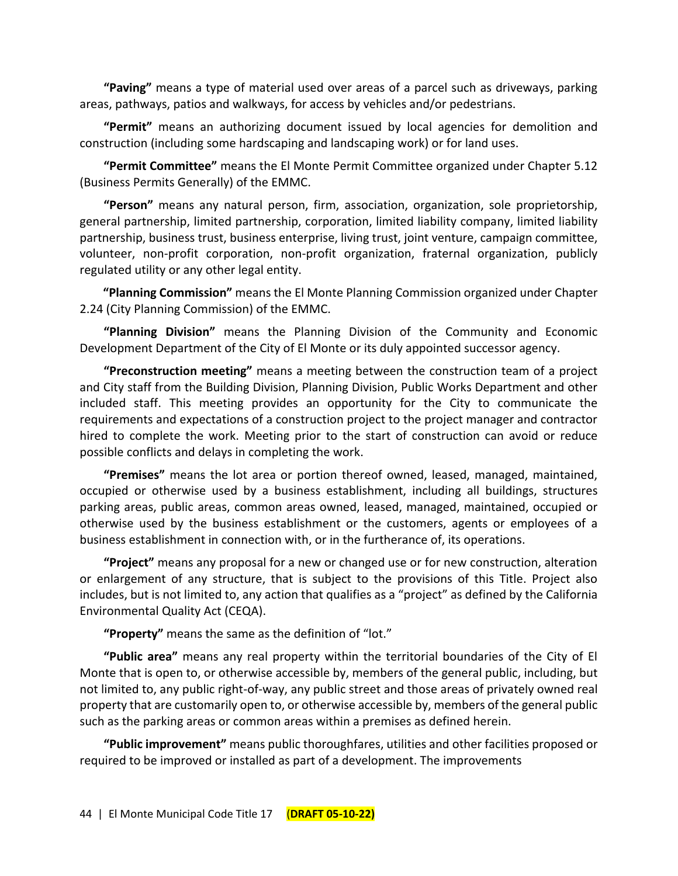**"Paving"** means a type of material used over areas of a parcel such as driveways, parking areas, pathways, patios and walkways, for access by vehicles and/or pedestrians.

**"Permit"** means an authorizing document issued by local agencies for demolition and construction (including some hardscaping and landscaping work) or for land uses.

**"Permit Committee"** means the El Monte Permit Committee organized under Chapter 5.12 (Business Permits Generally) of the EMMC.

**"Person"** means any natural person, firm, association, organization, sole proprietorship, general partnership, limited partnership, corporation, limited liability company, limited liability partnership, business trust, business enterprise, living trust, joint venture, campaign committee, volunteer, non-profit corporation, non-profit organization, fraternal organization, publicly regulated utility or any other legal entity.

**"Planning Commission"** means the El Monte Planning Commission organized under Chapter 2.24 (City Planning Commission) of the EMMC.

**"Planning Division"** means the Planning Division of the Community and Economic Development Department of the City of El Monte or its duly appointed successor agency.

**"Preconstruction meeting"** means a meeting between the construction team of a project and City staff from the Building Division, Planning Division, Public Works Department and other included staff. This meeting provides an opportunity for the City to communicate the requirements and expectations of a construction project to the project manager and contractor hired to complete the work. Meeting prior to the start of construction can avoid or reduce possible conflicts and delays in completing the work.

**"Premises"** means the lot area or portion thereof owned, leased, managed, maintained, occupied or otherwise used by a business establishment, including all buildings, structures parking areas, public areas, common areas owned, leased, managed, maintained, occupied or otherwise used by the business establishment or the customers, agents or employees of a business establishment in connection with, or in the furtherance of, its operations.

**"Project"** means any proposal for a new or changed use or for new construction, alteration or enlargement of any structure, that is subject to the provisions of this Title. Project also includes, but is not limited to, any action that qualifies as a "project" as defined by the California Environmental Quality Act (CEQA).

**"Property"** means the same as the definition of "lot."

**"Public area"** means any real property within the territorial boundaries of the City of El Monte that is open to, or otherwise accessible by, members of the general public, including, but not limited to, any public right-of-way, any public street and those areas of privately owned real property that are customarily open to, or otherwise accessible by, members of the general public such as the parking areas or common areas within a premises as defined herein.

**"Public improvement"** means public thoroughfares, utilities and other facilities proposed or required to be improved or installed as part of a development. The improvements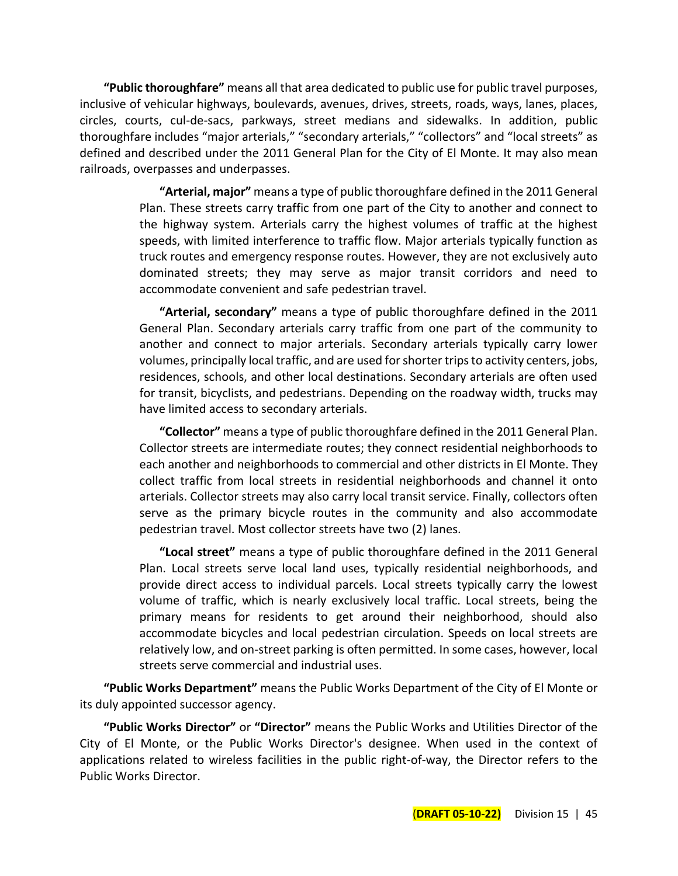**"Public thoroughfare"** means all that area dedicated to public use for public travel purposes, inclusive of vehicular highways, boulevards, avenues, drives, streets, roads, ways, lanes, places, circles, courts, cul-de-sacs, parkways, street medians and sidewalks. In addition, public thoroughfare includes "major arterials," "secondary arterials," "collectors" and "local streets" as defined and described under the 2011 General Plan for the City of El Monte. It may also mean railroads, overpasses and underpasses.

> **"Arterial, major"** means a type of public thoroughfare defined in the 2011 General Plan. These streets carry traffic from one part of the City to another and connect to the highway system. Arterials carry the highest volumes of traffic at the highest speeds, with limited interference to traffic flow. Major arterials typically function as truck routes and emergency response routes. However, they are not exclusively auto dominated streets; they may serve as major transit corridors and need to accommodate convenient and safe pedestrian travel.

> **"Arterial, secondary"** means a type of public thoroughfare defined in the 2011 General Plan. Secondary arterials carry traffic from one part of the community to another and connect to major arterials. Secondary arterials typically carry lower volumes, principally local traffic, and are used for shorter trips to activity centers, jobs, residences, schools, and other local destinations. Secondary arterials are often used for transit, bicyclists, and pedestrians. Depending on the roadway width, trucks may have limited access to secondary arterials.

> **"Collector"** means a type of public thoroughfare defined in the 2011 General Plan. Collector streets are intermediate routes; they connect residential neighborhoods to each another and neighborhoods to commercial and other districts in El Monte. They collect traffic from local streets in residential neighborhoods and channel it onto arterials. Collector streets may also carry local transit service. Finally, collectors often serve as the primary bicycle routes in the community and also accommodate pedestrian travel. Most collector streets have two (2) lanes.

> **"Local street"** means a type of public thoroughfare defined in the 2011 General Plan. Local streets serve local land uses, typically residential neighborhoods, and provide direct access to individual parcels. Local streets typically carry the lowest volume of traffic, which is nearly exclusively local traffic. Local streets, being the primary means for residents to get around their neighborhood, should also accommodate bicycles and local pedestrian circulation. Speeds on local streets are relatively low, and on-street parking is often permitted. In some cases, however, local streets serve commercial and industrial uses.

**"Public Works Department"** means the Public Works Department of the City of El Monte or its duly appointed successor agency.

**"Public Works Director"** or **"Director"** means the Public Works and Utilities Director of the City of El Monte, or the Public Works Director's designee. When used in the context of applications related to wireless facilities in the public right-of-way, the Director refers to the Public Works Director.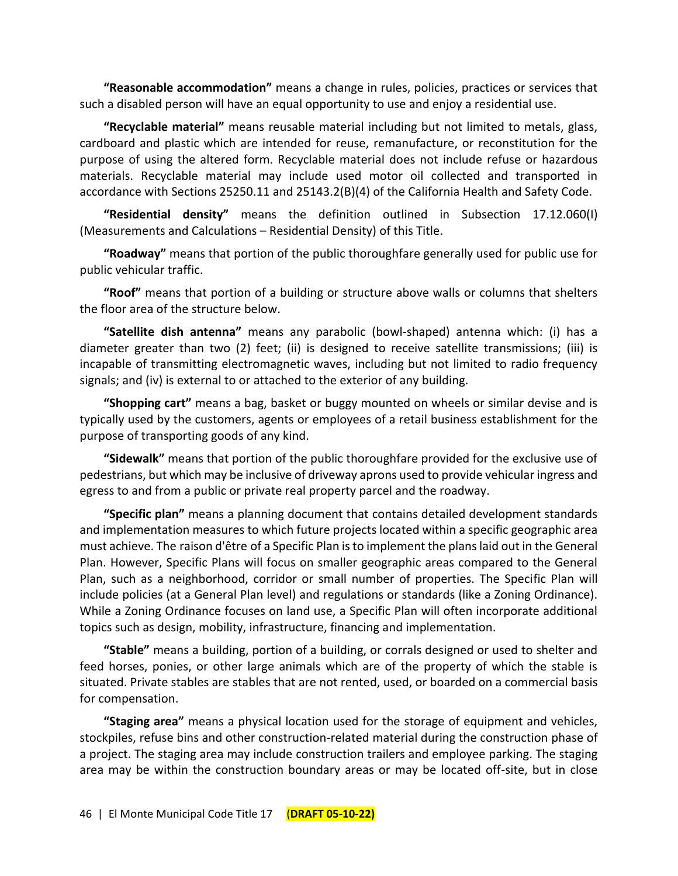**"Reasonable accommodation"** means a change in rules, policies, practices or services that such a disabled person will have an equal opportunity to use and enjoy a residential use.

**"Recyclable material"** means reusable material including but not limited to metals, glass, cardboard and plastic which are intended for reuse, remanufacture, or reconstitution for the purpose of using the altered form. Recyclable material does not include refuse or hazardous materials. Recyclable material may include used motor oil collected and transported in accordance with Sections 25250.11 and 25143.2(B)(4) of the California Health and Safety Code.

**"Residential density"** means the definition outlined in Subsection 17.12.060(I) (Measurements and Calculations – Residential Density) of this Title.

**"Roadway"** means that portion of the public thoroughfare generally used for public use for public vehicular traffic.

**"Roof"** means that portion of a building or structure above walls or columns that shelters the floor area of the structure below.

**"Satellite dish antenna"** means any parabolic (bowl-shaped) antenna which: (i) has a diameter greater than two (2) feet; (ii) is designed to receive satellite transmissions; (iii) is incapable of transmitting electromagnetic waves, including but not limited to radio frequency signals; and (iv) is external to or attached to the exterior of any building.

**"Shopping cart"** means a bag, basket or buggy mounted on wheels or similar devise and is typically used by the customers, agents or employees of a retail business establishment for the purpose of transporting goods of any kind.

**"Sidewalk"** means that portion of the public thoroughfare provided for the exclusive use of pedestrians, but which may be inclusive of driveway aprons used to provide vehicular ingress and egress to and from a public or private real property parcel and the roadway.

**"Specific plan"** means a planning document that contains detailed development standards and implementation measures to which future projects located within a specific geographic area must achieve. The raison d'être of a Specific Plan is to implement the plans laid out in the General Plan. However, Specific Plans will focus on smaller geographic areas compared to the General Plan, such as a neighborhood, corridor or small number of properties. The Specific Plan will include policies (at a General Plan level) and regulations or standards (like a Zoning Ordinance). While a Zoning Ordinance focuses on land use, a Specific Plan will often incorporate additional topics such as design, mobility, infrastructure, financing and implementation.

**"Stable"** means a building, portion of a building, or corrals designed or used to shelter and feed horses, ponies, or other large animals which are of the property of which the stable is situated. Private stables are stables that are not rented, used, or boarded on a commercial basis for compensation.

**"Staging area"** means a physical location used for the storage of equipment and vehicles, stockpiles, refuse bins and other construction-related material during the construction phase of a project. The staging area may include construction trailers and employee parking. The staging area may be within the construction boundary areas or may be located off-site, but in close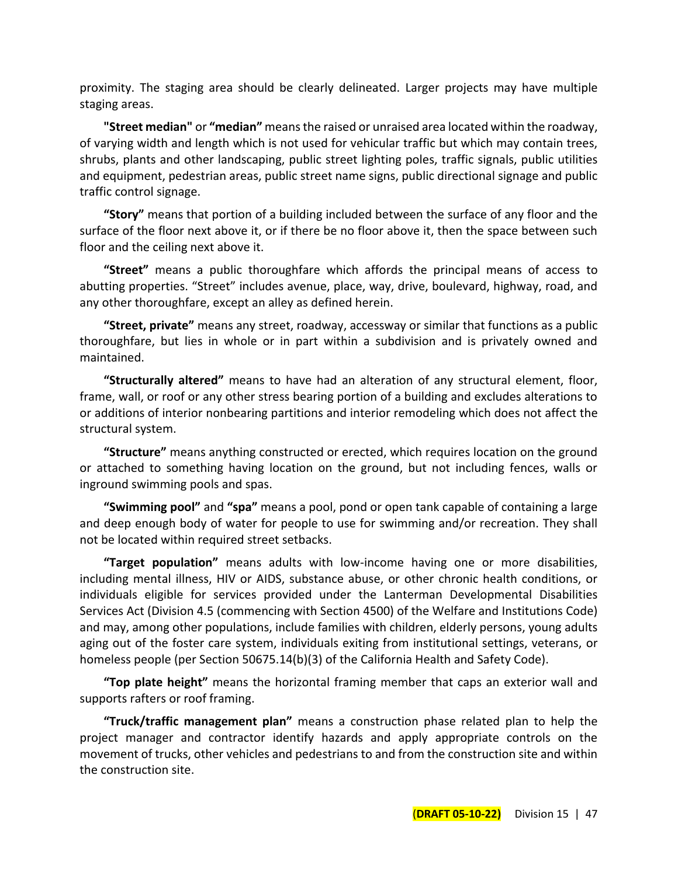proximity. The staging area should be clearly delineated. Larger projects may have multiple staging areas.

**"Street median"** or **"median"** means the raised or unraised area located within the roadway, of varying width and length which is not used for vehicular traffic but which may contain trees, shrubs, plants and other landscaping, public street lighting poles, traffic signals, public utilities and equipment, pedestrian areas, public street name signs, public directional signage and public traffic control signage.

**"Story"** means that portion of a building included between the surface of any floor and the surface of the floor next above it, or if there be no floor above it, then the space between such floor and the ceiling next above it.

**"Street"** means a public thoroughfare which affords the principal means of access to abutting properties. "Street" includes avenue, place, way, drive, boulevard, highway, road, and any other thoroughfare, except an alley as defined herein.

**"Street, private"** means any street, roadway, accessway or similar that functions as a public thoroughfare, but lies in whole or in part within a subdivision and is privately owned and maintained.

**"Structurally altered"** means to have had an alteration of any structural element, floor, frame, wall, or roof or any other stress bearing portion of a building and excludes alterations to or additions of interior nonbearing partitions and interior remodeling which does not affect the structural system.

**"Structure"** means anything constructed or erected, which requires location on the ground or attached to something having location on the ground, but not including fences, walls or inground swimming pools and spas.

**"Swimming pool"** and **"spa"** means a pool, pond or open tank capable of containing a large and deep enough body of water for people to use for swimming and/or recreation. They shall not be located within required street setbacks.

**"Target population"** means adults with low-income having one or more disabilities, including mental illness, HIV or AIDS, substance abuse, or other chronic health conditions, or individuals eligible for services provided under the Lanterman Developmental Disabilities Services Act (Division 4.5 (commencing with Section 4500) of the Welfare and Institutions Code) and may, among other populations, include families with children, elderly persons, young adults aging out of the foster care system, individuals exiting from institutional settings, veterans, or homeless people (per Section 50675.14(b)(3) of the California Health and Safety Code).

**"Top plate height"** means the horizontal framing member that caps an exterior wall and supports rafters or roof framing.

**"Truck/traffic management plan"** means a construction phase related plan to help the project manager and contractor identify hazards and apply appropriate controls on the movement of trucks, other vehicles and pedestrians to and from the construction site and within the construction site.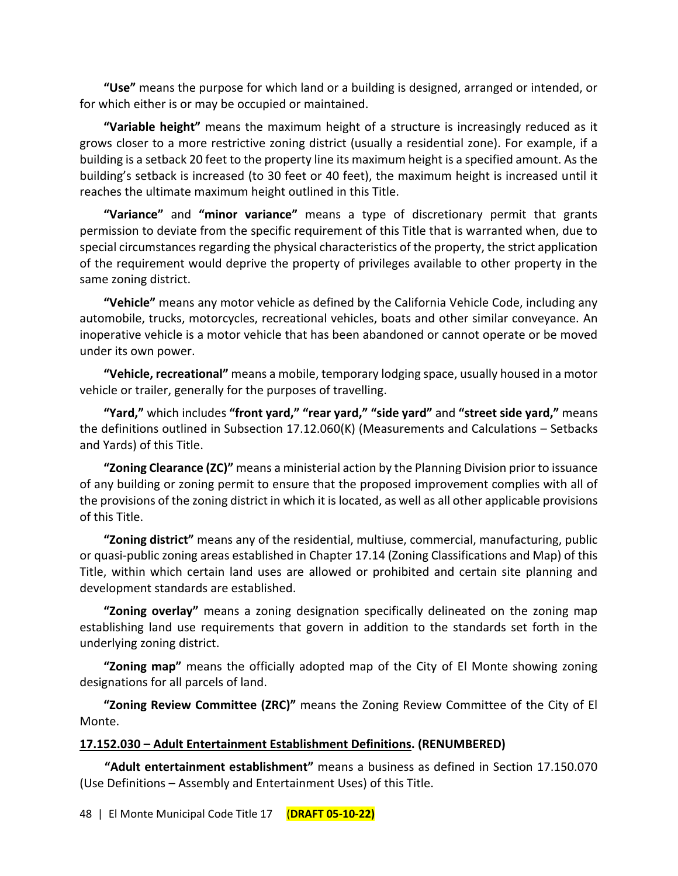**"Use"** means the purpose for which land or a building is designed, arranged or intended, or for which either is or may be occupied or maintained.

**"Variable height"** means the maximum height of a structure is increasingly reduced as it grows closer to a more restrictive zoning district (usually a residential zone). For example, if a building is a setback 20 feet to the property line its maximum height is a specified amount. As the building's setback is increased (to 30 feet or 40 feet), the maximum height is increased until it reaches the ultimate maximum height outlined in this Title.

**"Variance"** and **"minor variance"** means a type of discretionary permit that grants permission to deviate from the specific requirement of this Title that is warranted when, due to special circumstances regarding the physical characteristics of the property, the strict application of the requirement would deprive the property of privileges available to other property in the same zoning district.

**"Vehicle"** means any motor vehicle as defined by the California Vehicle Code, including any automobile, trucks, motorcycles, recreational vehicles, boats and other similar conveyance. An inoperative vehicle is a motor vehicle that has been abandoned or cannot operate or be moved under its own power.

**"Vehicle, recreational"** means a mobile, temporary lodging space, usually housed in a motor vehicle or trailer, generally for the purposes of travelling.

**"Yard,"** which includes **"front yard," "rear yard," "side yard"** and **"street side yard,"** means the definitions outlined in Subsection 17.12.060(K) (Measurements and Calculations – Setbacks and Yards) of this Title.

**"Zoning Clearance (ZC)"** means a ministerial action by the Planning Division prior to issuance of any building or zoning permit to ensure that the proposed improvement complies with all of the provisions of the zoning district in which it is located, as well as all other applicable provisions of this Title.

**"Zoning district"** means any of the residential, multiuse, commercial, manufacturing, public or quasi-public zoning areas established in Chapter 17.14 (Zoning Classifications and Map) of this Title, within which certain land uses are allowed or prohibited and certain site planning and development standards are established.

**"Zoning overlay"** means a zoning designation specifically delineated on the zoning map establishing land use requirements that govern in addition to the standards set forth in the underlying zoning district.

**"Zoning map"** means the officially adopted map of the City of El Monte showing zoning designations for all parcels of land.

**"Zoning Review Committee (ZRC)"** means the Zoning Review Committee of the City of El Monte.

#### **17.152.030 – Adult Entertainment Establishment Definitions. (RENUMBERED)**

**"Adult entertainment establishment"** means a business as defined in Section 17.150.070 (Use Definitions – Assembly and Entertainment Uses) of this Title.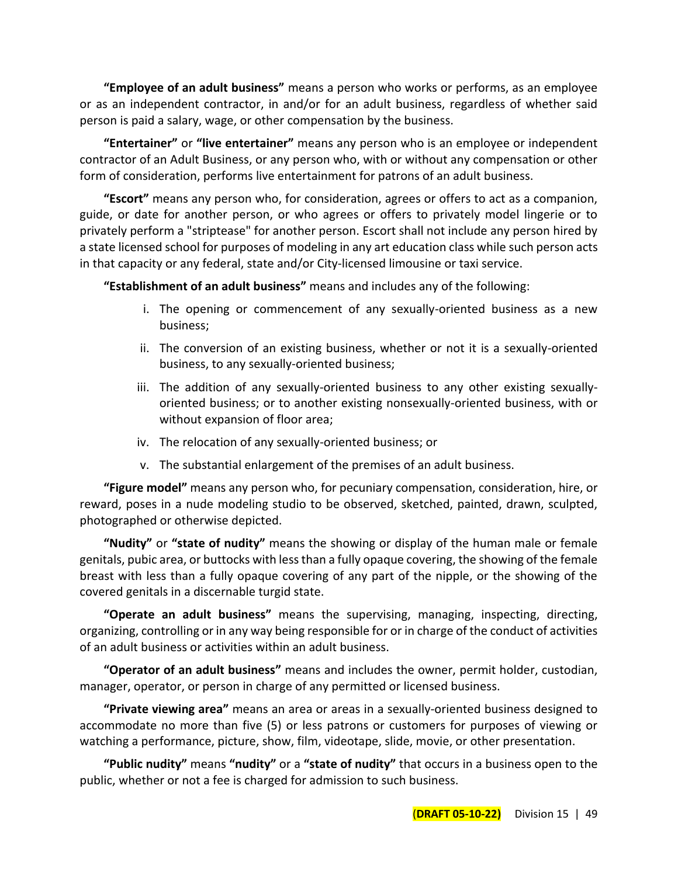**"Employee of an adult business"** means a person who works or performs, as an employee or as an independent contractor, in and/or for an adult business, regardless of whether said person is paid a salary, wage, or other compensation by the business.

**"Entertainer"** or **"live entertainer"** means any person who is an employee or independent contractor of an Adult Business, or any person who, with or without any compensation or other form of consideration, performs live entertainment for patrons of an adult business.

**"Escort"** means any person who, for consideration, agrees or offers to act as a companion, guide, or date for another person, or who agrees or offers to privately model lingerie or to privately perform a "striptease" for another person. Escort shall not include any person hired by a state licensed school for purposes of modeling in any art education class while such person acts in that capacity or any federal, state and/or City-licensed limousine or taxi service.

**"Establishment of an adult business"** means and includes any of the following:

- i. The opening or commencement of any sexually-oriented business as a new business;
- ii. The conversion of an existing business, whether or not it is a sexually-oriented business, to any sexually-oriented business;
- iii. The addition of any sexually-oriented business to any other existing sexuallyoriented business; or to another existing nonsexually-oriented business, with or without expansion of floor area;
- iv. The relocation of any sexually-oriented business; or
- v. The substantial enlargement of the premises of an adult business.

**"Figure model"** means any person who, for pecuniary compensation, consideration, hire, or reward, poses in a nude modeling studio to be observed, sketched, painted, drawn, sculpted, photographed or otherwise depicted.

**"Nudity"** or **"state of nudity"** means the showing or display of the human male or female genitals, pubic area, or buttocks with less than a fully opaque covering, the showing of the female breast with less than a fully opaque covering of any part of the nipple, or the showing of the covered genitals in a discernable turgid state.

**"Operate an adult business"** means the supervising, managing, inspecting, directing, organizing, controlling or in any way being responsible for or in charge of the conduct of activities of an adult business or activities within an adult business.

**"Operator of an adult business"** means and includes the owner, permit holder, custodian, manager, operator, or person in charge of any permitted or licensed business.

**"Private viewing area"** means an area or areas in a sexually-oriented business designed to accommodate no more than five (5) or less patrons or customers for purposes of viewing or watching a performance, picture, show, film, videotape, slide, movie, or other presentation.

**"Public nudity"** means **"nudity"** or a **"state of nudity"** that occurs in a business open to the public, whether or not a fee is charged for admission to such business.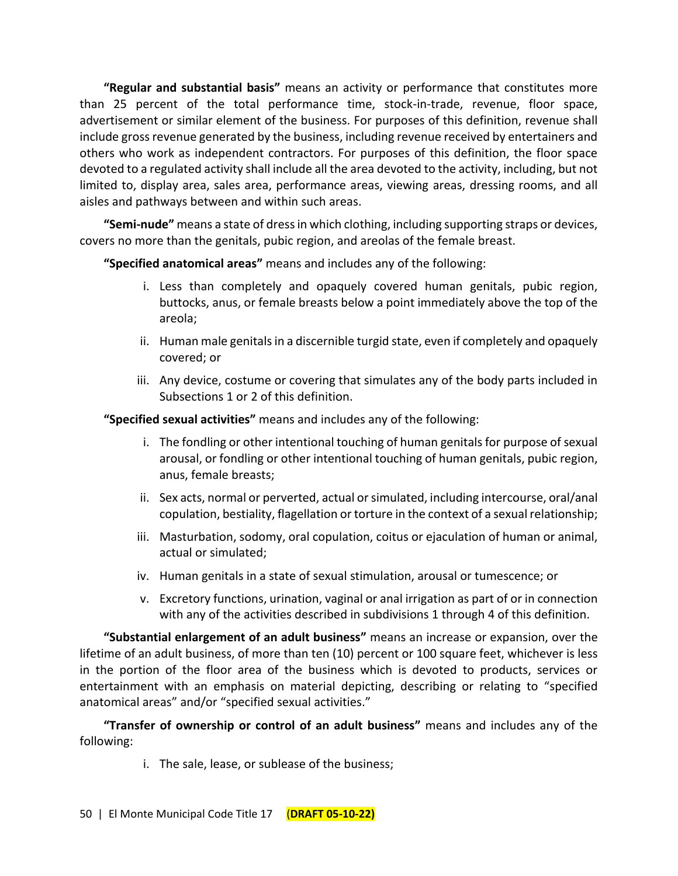**"Regular and substantial basis"** means an activity or performance that constitutes more than 25 percent of the total performance time, stock-in-trade, revenue, floor space, advertisement or similar element of the business. For purposes of this definition, revenue shall include gross revenue generated by the business, including revenue received by entertainers and others who work as independent contractors. For purposes of this definition, the floor space devoted to a regulated activity shall include all the area devoted to the activity, including, but not limited to, display area, sales area, performance areas, viewing areas, dressing rooms, and all aisles and pathways between and within such areas.

**"Semi-nude"** means a state of dress in which clothing, including supporting straps or devices, covers no more than the genitals, pubic region, and areolas of the female breast.

**"Specified anatomical areas"** means and includes any of the following:

- i. Less than completely and opaquely covered human genitals, pubic region, buttocks, anus, or female breasts below a point immediately above the top of the areola;
- ii. Human male genitals in a discernible turgid state, even if completely and opaquely covered; or
- iii. Any device, costume or covering that simulates any of the body parts included in Subsections 1 or 2 of this definition.

**"Specified sexual activities"** means and includes any of the following:

- i. The fondling or other intentional touching of human genitals for purpose of sexual arousal, or fondling or other intentional touching of human genitals, pubic region, anus, female breasts;
- ii. Sex acts, normal or perverted, actual or simulated, including intercourse, oral/anal copulation, bestiality, flagellation or torture in the context of a sexual relationship;
- iii. Masturbation, sodomy, oral copulation, coitus or ejaculation of human or animal, actual or simulated;
- iv. Human genitals in a state of sexual stimulation, arousal or tumescence; or
- v. Excretory functions, urination, vaginal or anal irrigation as part of or in connection with any of the activities described in subdivisions 1 through 4 of this definition.

**"Substantial enlargement of an adult business"** means an increase or expansion, over the lifetime of an adult business, of more than ten (10) percent or 100 square feet, whichever is less in the portion of the floor area of the business which is devoted to products, services or entertainment with an emphasis on material depicting, describing or relating to "specified anatomical areas" and/or "specified sexual activities."

**"Transfer of ownership or control of an adult business"** means and includes any of the following:

i. The sale, lease, or sublease of the business;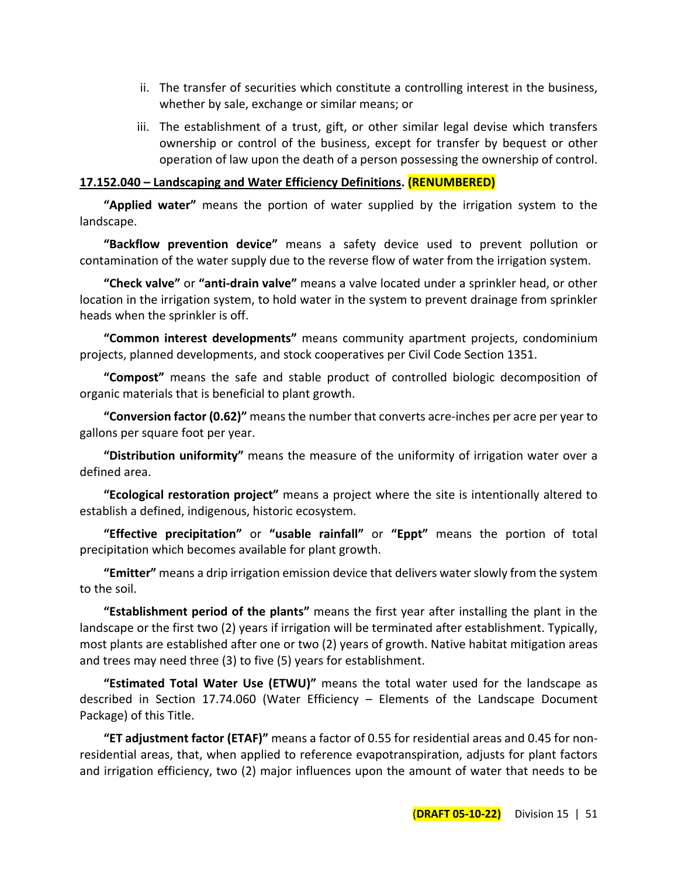- ii. The transfer of securities which constitute a controlling interest in the business, whether by sale, exchange or similar means; or
- iii. The establishment of a trust, gift, or other similar legal devise which transfers ownership or control of the business, except for transfer by bequest or other operation of law upon the death of a person possessing the ownership of control.

#### **17.152.040 – Landscaping and Water Efficiency Definitions. (RENUMBERED)**

**"Applied water"** means the portion of water supplied by the irrigation system to the landscape.

**"Backflow prevention device"** means a safety device used to prevent pollution or contamination of the water supply due to the reverse flow of water from the irrigation system.

**"Check valve"** or **"anti-drain valve"** means a valve located under a sprinkler head, or other location in the irrigation system, to hold water in the system to prevent drainage from sprinkler heads when the sprinkler is off.

**"Common interest developments"** means community apartment projects, condominium projects, planned developments, and stock cooperatives per Civil Code Section 1351.

**"Compost"** means the safe and stable product of controlled biologic decomposition of organic materials that is beneficial to plant growth.

**"Conversion factor (0.62)"** means the number that converts acre-inches per acre per year to gallons per square foot per year.

**"Distribution uniformity"** means the measure of the uniformity of irrigation water over a defined area.

**"Ecological restoration project"** means a project where the site is intentionally altered to establish a defined, indigenous, historic ecosystem.

**"Effective precipitation"** or **"usable rainfall"** or **"Eppt"** means the portion of total precipitation which becomes available for plant growth.

**"Emitter"** means a drip irrigation emission device that delivers water slowly from the system to the soil.

**"Establishment period of the plants"** means the first year after installing the plant in the landscape or the first two (2) years if irrigation will be terminated after establishment. Typically, most plants are established after one or two (2) years of growth. Native habitat mitigation areas and trees may need three (3) to five (5) years for establishment.

**"Estimated Total Water Use (ETWU)"** means the total water used for the landscape as described in Section 17.74.060 (Water Efficiency – Elements of the Landscape Document Package) of this Title.

**"ET adjustment factor (ETAF)"** means a factor of 0.55 for residential areas and 0.45 for nonresidential areas, that, when applied to reference evapotranspiration, adjusts for plant factors and irrigation efficiency, two (2) major influences upon the amount of water that needs to be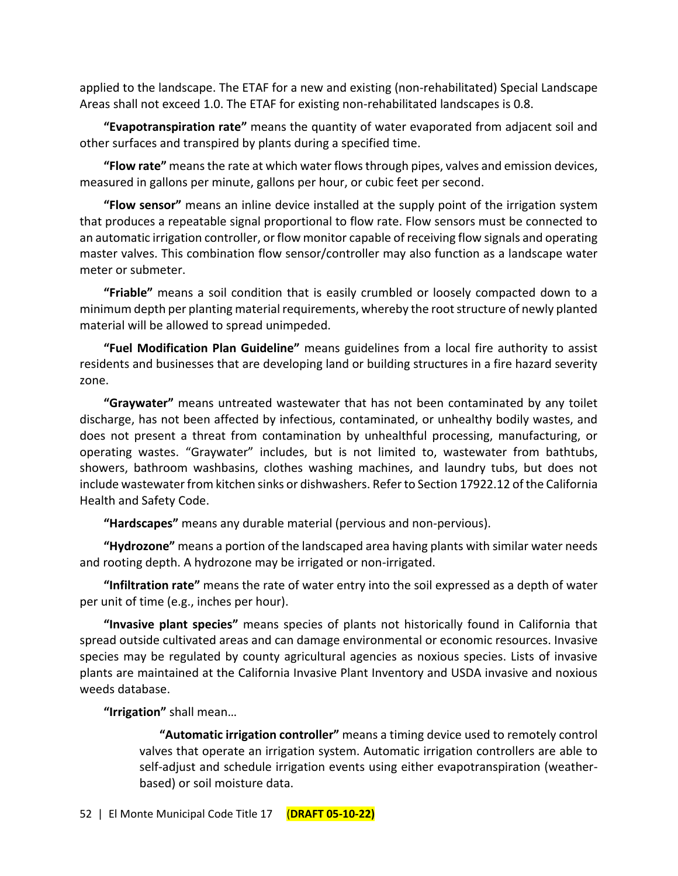applied to the landscape. The ETAF for a new and existing (non-rehabilitated) Special Landscape Areas shall not exceed 1.0. The ETAF for existing non-rehabilitated landscapes is 0.8.

**"Evapotranspiration rate"** means the quantity of water evaporated from adjacent soil and other surfaces and transpired by plants during a specified time.

**"Flow rate"** means the rate at which water flows through pipes, valves and emission devices, measured in gallons per minute, gallons per hour, or cubic feet per second.

**"Flow sensor"** means an inline device installed at the supply point of the irrigation system that produces a repeatable signal proportional to flow rate. Flow sensors must be connected to an automatic irrigation controller, or flow monitor capable of receiving flow signals and operating master valves. This combination flow sensor/controller may also function as a landscape water meter or submeter.

**"Friable"** means a soil condition that is easily crumbled or loosely compacted down to a minimum depth per planting material requirements, whereby the root structure of newly planted material will be allowed to spread unimpeded.

**"Fuel Modification Plan Guideline"** means guidelines from a local fire authority to assist residents and businesses that are developing land or building structures in a fire hazard severity zone.

**"Graywater"** means untreated wastewater that has not been contaminated by any toilet discharge, has not been affected by infectious, contaminated, or unhealthy bodily wastes, and does not present a threat from contamination by unhealthful processing, manufacturing, or operating wastes. "Graywater" includes, but is not limited to, wastewater from bathtubs, showers, bathroom washbasins, clothes washing machines, and laundry tubs, but does not include wastewater from kitchen sinks or dishwashers. Refer to Section 17922.12 of the California Health and Safety Code.

**"Hardscapes"** means any durable material (pervious and non-pervious).

**"Hydrozone"** means a portion of the landscaped area having plants with similar water needs and rooting depth. A hydrozone may be irrigated or non-irrigated.

**"Infiltration rate"** means the rate of water entry into the soil expressed as a depth of water per unit of time (e.g., inches per hour).

**"Invasive plant species"** means species of plants not historically found in California that spread outside cultivated areas and can damage environmental or economic resources. Invasive species may be regulated by county agricultural agencies as noxious species. Lists of invasive plants are maintained at the California Invasive Plant Inventory and USDA invasive and noxious weeds database.

**"Irrigation"** shall mean…

**"Automatic irrigation controller"** means a timing device used to remotely control valves that operate an irrigation system. Automatic irrigation controllers are able to self-adjust and schedule irrigation events using either evapotranspiration (weatherbased) or soil moisture data.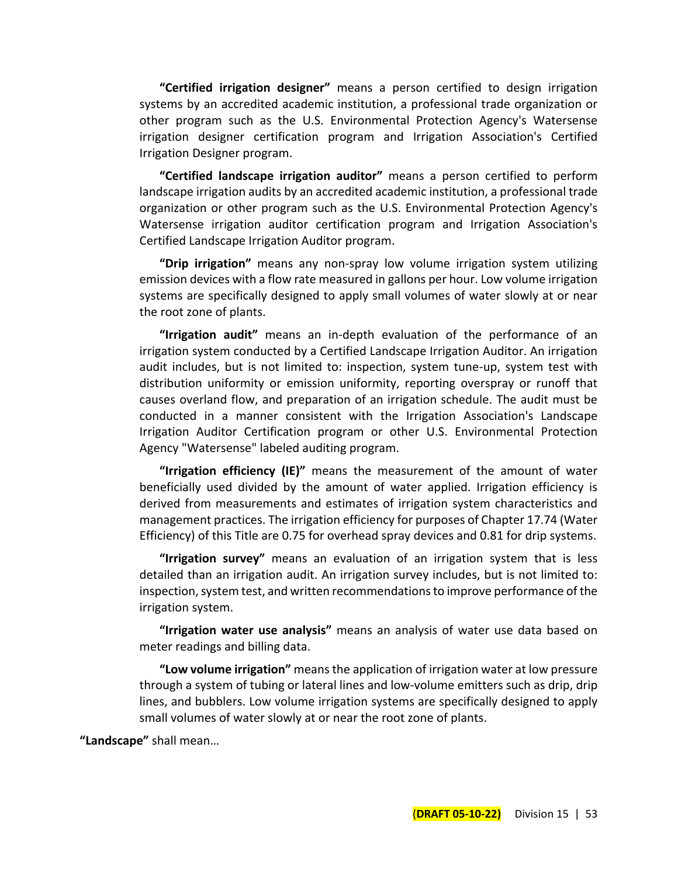**"Certified irrigation designer"** means a person certified to design irrigation systems by an accredited academic institution, a professional trade organization or other program such as the U.S. Environmental Protection Agency's Watersense irrigation designer certification program and Irrigation Association's Certified Irrigation Designer program.

**"Certified landscape irrigation auditor"** means a person certified to perform landscape irrigation audits by an accredited academic institution, a professional trade organization or other program such as the U.S. Environmental Protection Agency's Watersense irrigation auditor certification program and Irrigation Association's Certified Landscape Irrigation Auditor program.

**"Drip irrigation"** means any non-spray low volume irrigation system utilizing emission devices with a flow rate measured in gallons per hour. Low volume irrigation systems are specifically designed to apply small volumes of water slowly at or near the root zone of plants.

**"Irrigation audit"** means an in-depth evaluation of the performance of an irrigation system conducted by a Certified Landscape Irrigation Auditor. An irrigation audit includes, but is not limited to: inspection, system tune-up, system test with distribution uniformity or emission uniformity, reporting overspray or runoff that causes overland flow, and preparation of an irrigation schedule. The audit must be conducted in a manner consistent with the Irrigation Association's Landscape Irrigation Auditor Certification program or other U.S. Environmental Protection Agency "Watersense" labeled auditing program.

**"Irrigation efficiency (IE)"** means the measurement of the amount of water beneficially used divided by the amount of water applied. Irrigation efficiency is derived from measurements and estimates of irrigation system characteristics and management practices. The irrigation efficiency for purposes of Chapter 17.74 (Water Efficiency) of this Title are 0.75 for overhead spray devices and 0.81 for drip systems.

**"Irrigation survey"** means an evaluation of an irrigation system that is less detailed than an irrigation audit. An irrigation survey includes, but is not limited to: inspection, system test, and written recommendations to improve performance of the irrigation system.

**"Irrigation water use analysis"** means an analysis of water use data based on meter readings and billing data.

**"Low volume irrigation"** means the application of irrigation water at low pressure through a system of tubing or lateral lines and low-volume emitters such as drip, drip lines, and bubblers. Low volume irrigation systems are specifically designed to apply small volumes of water slowly at or near the root zone of plants.

**"Landscape"** shall mean…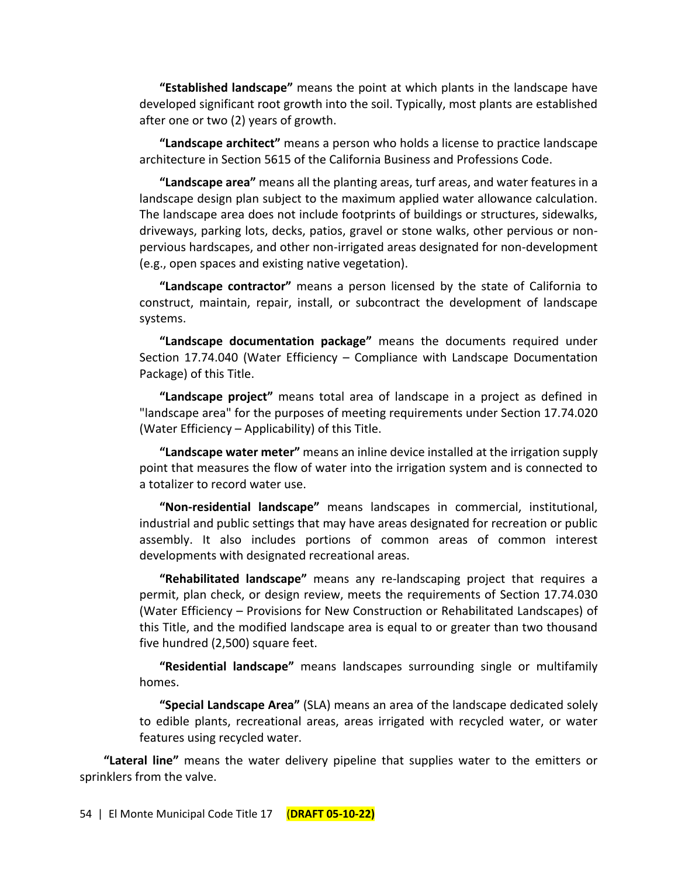**"Established landscape"** means the point at which plants in the landscape have developed significant root growth into the soil. Typically, most plants are established after one or two (2) years of growth.

**"Landscape architect"** means a person who holds a license to practice landscape architecture in Section 5615 of the California Business and Professions Code.

**"Landscape area"** means all the planting areas, turf areas, and water features in a landscape design plan subject to the maximum applied water allowance calculation. The landscape area does not include footprints of buildings or structures, sidewalks, driveways, parking lots, decks, patios, gravel or stone walks, other pervious or nonpervious hardscapes, and other non-irrigated areas designated for non-development (e.g., open spaces and existing native vegetation).

**"Landscape contractor"** means a person licensed by the state of California to construct, maintain, repair, install, or subcontract the development of landscape systems.

**"Landscape documentation package"** means the documents required under Section 17.74.040 (Water Efficiency – Compliance with Landscape Documentation Package) of this Title.

**"Landscape project"** means total area of landscape in a project as defined in "landscape area" for the purposes of meeting requirements under Section 17.74.020 (Water Efficiency – Applicability) of this Title.

**"Landscape water meter"** means an inline device installed at the irrigation supply point that measures the flow of water into the irrigation system and is connected to a totalizer to record water use.

**"Non-residential landscape"** means landscapes in commercial, institutional, industrial and public settings that may have areas designated for recreation or public assembly. It also includes portions of common areas of common interest developments with designated recreational areas.

**"Rehabilitated landscape"** means any re-landscaping project that requires a permit, plan check, or design review, meets the requirements of Section 17.74.030 (Water Efficiency – Provisions for New Construction or Rehabilitated Landscapes) of this Title, and the modified landscape area is equal to or greater than two thousand five hundred (2,500) square feet.

**"Residential landscape"** means landscapes surrounding single or multifamily homes.

**"Special Landscape Area"** (SLA) means an area of the landscape dedicated solely to edible plants, recreational areas, areas irrigated with recycled water, or water features using recycled water.

**"Lateral line"** means the water delivery pipeline that supplies water to the emitters or sprinklers from the valve.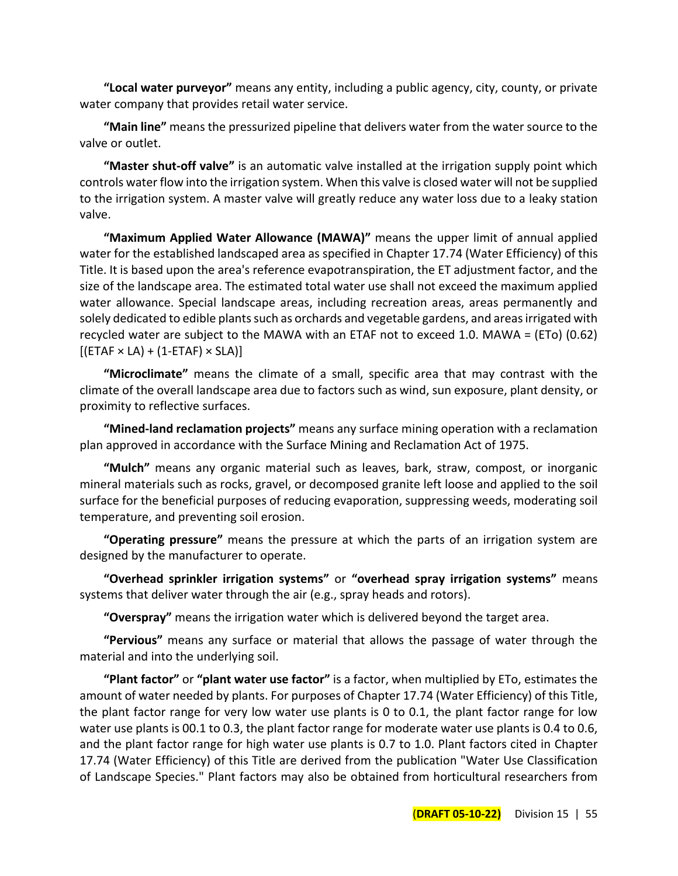**"Local water purveyor"** means any entity, including a public agency, city, county, or private water company that provides retail water service.

**"Main line"** means the pressurized pipeline that delivers water from the water source to the valve or outlet.

**"Master shut-off valve"** is an automatic valve installed at the irrigation supply point which controls water flow into the irrigation system. When this valve is closed water will not be supplied to the irrigation system. A master valve will greatly reduce any water loss due to a leaky station valve.

**"Maximum Applied Water Allowance (MAWA)"** means the upper limit of annual applied water for the established landscaped area as specified in Chapter 17.74 (Water Efficiency) of this Title. It is based upon the area's reference evapotranspiration, the ET adjustment factor, and the size of the landscape area. The estimated total water use shall not exceed the maximum applied water allowance. Special landscape areas, including recreation areas, areas permanently and solely dedicated to edible plants such as orchards and vegetable gardens, and areas irrigated with recycled water are subject to the MAWA with an ETAF not to exceed 1.0. MAWA = (ETo) (0.62)  $[(ETAF \times LA) + (1-ETAF) \times SLA)]$ 

**"Microclimate"** means the climate of a small, specific area that may contrast with the climate of the overall landscape area due to factors such as wind, sun exposure, plant density, or proximity to reflective surfaces.

**"Mined-land reclamation projects"** means any surface mining operation with a reclamation plan approved in accordance with the Surface Mining and Reclamation Act of 1975.

**"Mulch"** means any organic material such as leaves, bark, straw, compost, or inorganic mineral materials such as rocks, gravel, or decomposed granite left loose and applied to the soil surface for the beneficial purposes of reducing evaporation, suppressing weeds, moderating soil temperature, and preventing soil erosion.

**"Operating pressure"** means the pressure at which the parts of an irrigation system are designed by the manufacturer to operate.

**"Overhead sprinkler irrigation systems"** or **"overhead spray irrigation systems"** means systems that deliver water through the air (e.g., spray heads and rotors).

**"Overspray"** means the irrigation water which is delivered beyond the target area.

**"Pervious"** means any surface or material that allows the passage of water through the material and into the underlying soil.

**"Plant factor"** or **"plant water use factor"** is a factor, when multiplied by ETo, estimates the amount of water needed by plants. For purposes of Chapter 17.74 (Water Efficiency) of this Title, the plant factor range for very low water use plants is 0 to 0.1, the plant factor range for low water use plants is 00.1 to 0.3, the plant factor range for moderate water use plants is 0.4 to 0.6, and the plant factor range for high water use plants is 0.7 to 1.0. Plant factors cited in Chapter 17.74 (Water Efficiency) of this Title are derived from the publication "Water Use Classification of Landscape Species." Plant factors may also be obtained from horticultural researchers from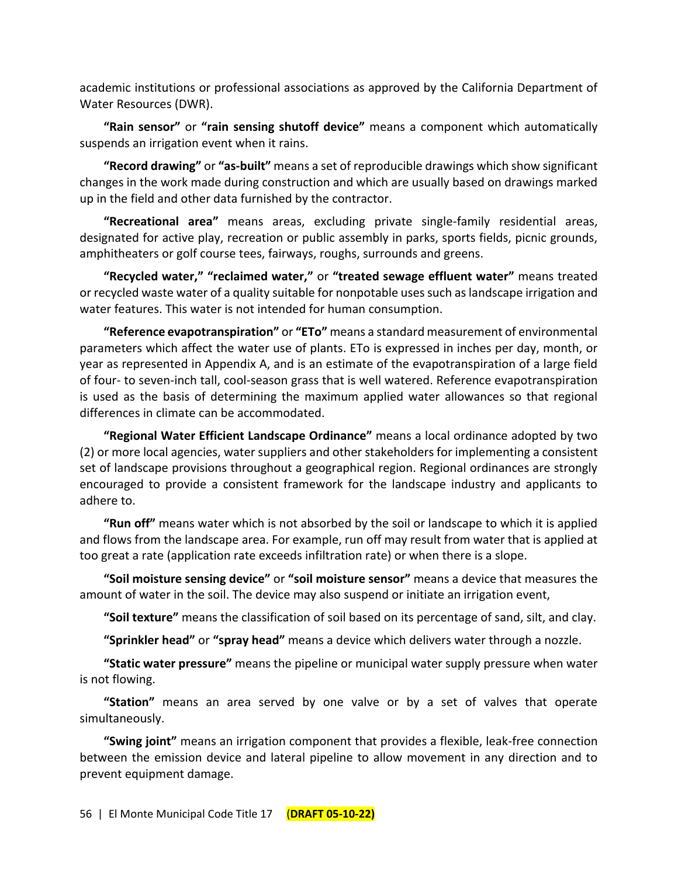academic institutions or professional associations as approved by the California Department of Water Resources (DWR).

**"Rain sensor"** or **"rain sensing shutoff device"** means a component which automatically suspends an irrigation event when it rains.

**"Record drawing"** or **"as-built"** means a set of reproducible drawings which show significant changes in the work made during construction and which are usually based on drawings marked up in the field and other data furnished by the contractor.

**"Recreational area"** means areas, excluding private single-family residential areas, designated for active play, recreation or public assembly in parks, sports fields, picnic grounds, amphitheaters or golf course tees, fairways, roughs, surrounds and greens.

**"Recycled water," "reclaimed water,"** or **"treated sewage effluent water"** means treated or recycled waste water of a quality suitable for nonpotable uses such as landscape irrigation and water features. This water is not intended for human consumption.

**"Reference evapotranspiration"** or **"ETo"** means a standard measurement of environmental parameters which affect the water use of plants. ETo is expressed in inches per day, month, or year as represented in Appendix A, and is an estimate of the evapotranspiration of a large field of four- to seven-inch tall, cool-season grass that is well watered. Reference evapotranspiration is used as the basis of determining the maximum applied water allowances so that regional differences in climate can be accommodated.

**"Regional Water Efficient Landscape Ordinance"** means a local ordinance adopted by two (2) or more local agencies, water suppliers and other stakeholders for implementing a consistent set of landscape provisions throughout a geographical region. Regional ordinances are strongly encouraged to provide a consistent framework for the landscape industry and applicants to adhere to.

**"Run off"** means water which is not absorbed by the soil or landscape to which it is applied and flows from the landscape area. For example, run off may result from water that is applied at too great a rate (application rate exceeds infiltration rate) or when there is a slope.

**"Soil moisture sensing device"** or **"soil moisture sensor"** means a device that measures the amount of water in the soil. The device may also suspend or initiate an irrigation event,

**"Soil texture"** means the classification of soil based on its percentage of sand, silt, and clay.

**"Sprinkler head"** or **"spray head"** means a device which delivers water through a nozzle.

**"Static water pressure"** means the pipeline or municipal water supply pressure when water is not flowing.

**"Station"** means an area served by one valve or by a set of valves that operate simultaneously.

**"Swing joint"** means an irrigation component that provides a flexible, leak-free connection between the emission device and lateral pipeline to allow movement in any direction and to prevent equipment damage.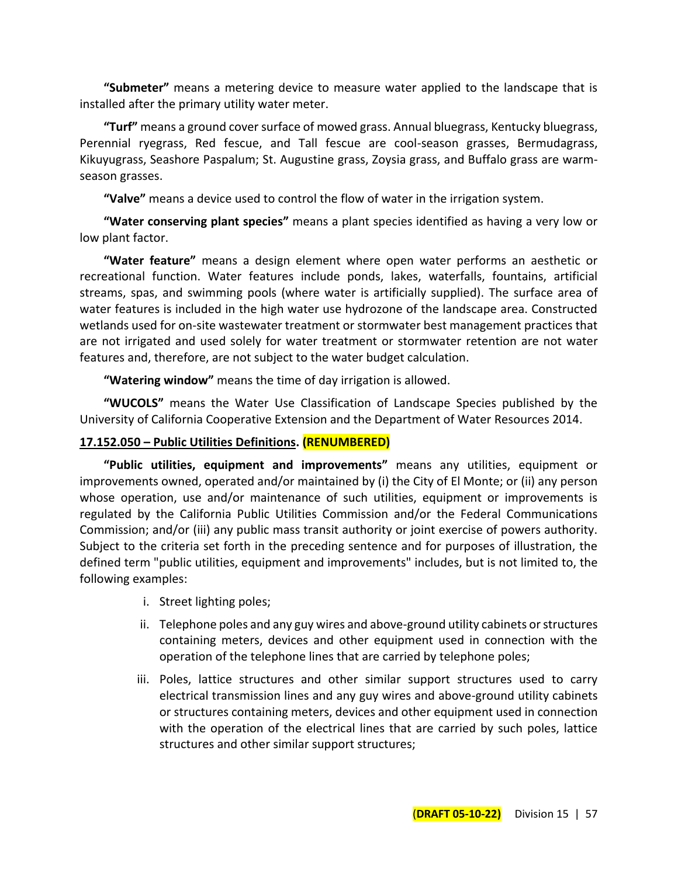**"Submeter"** means a metering device to measure water applied to the landscape that is installed after the primary utility water meter.

**"Turf"** means a ground cover surface of mowed grass. Annual bluegrass, Kentucky bluegrass, Perennial ryegrass, Red fescue, and Tall fescue are cool-season grasses, Bermudagrass, Kikuyugrass, Seashore Paspalum; St. Augustine grass, Zoysia grass, and Buffalo grass are warmseason grasses.

**"Valve"** means a device used to control the flow of water in the irrigation system.

**"Water conserving plant species"** means a plant species identified as having a very low or low plant factor.

**"Water feature"** means a design element where open water performs an aesthetic or recreational function. Water features include ponds, lakes, waterfalls, fountains, artificial streams, spas, and swimming pools (where water is artificially supplied). The surface area of water features is included in the high water use hydrozone of the landscape area. Constructed wetlands used for on-site wastewater treatment or stormwater best management practices that are not irrigated and used solely for water treatment or stormwater retention are not water features and, therefore, are not subject to the water budget calculation.

**"Watering window"** means the time of day irrigation is allowed.

**"WUCOLS"** means the Water Use Classification of Landscape Species published by the University of California Cooperative Extension and the Department of Water Resources 2014.

#### **17.152.050 – Public Utilities Definitions. (RENUMBERED)**

**"Public utilities, equipment and improvements"** means any utilities, equipment or improvements owned, operated and/or maintained by (i) the City of El Monte; or (ii) any person whose operation, use and/or maintenance of such utilities, equipment or improvements is regulated by the California Public Utilities Commission and/or the Federal Communications Commission; and/or (iii) any public mass transit authority or joint exercise of powers authority. Subject to the criteria set forth in the preceding sentence and for purposes of illustration, the defined term "public utilities, equipment and improvements" includes, but is not limited to, the following examples:

- i. Street lighting poles;
- ii. Telephone poles and any guy wires and above-ground utility cabinets or structures containing meters, devices and other equipment used in connection with the operation of the telephone lines that are carried by telephone poles;
- iii. Poles, lattice structures and other similar support structures used to carry electrical transmission lines and any guy wires and above-ground utility cabinets or structures containing meters, devices and other equipment used in connection with the operation of the electrical lines that are carried by such poles, lattice structures and other similar support structures;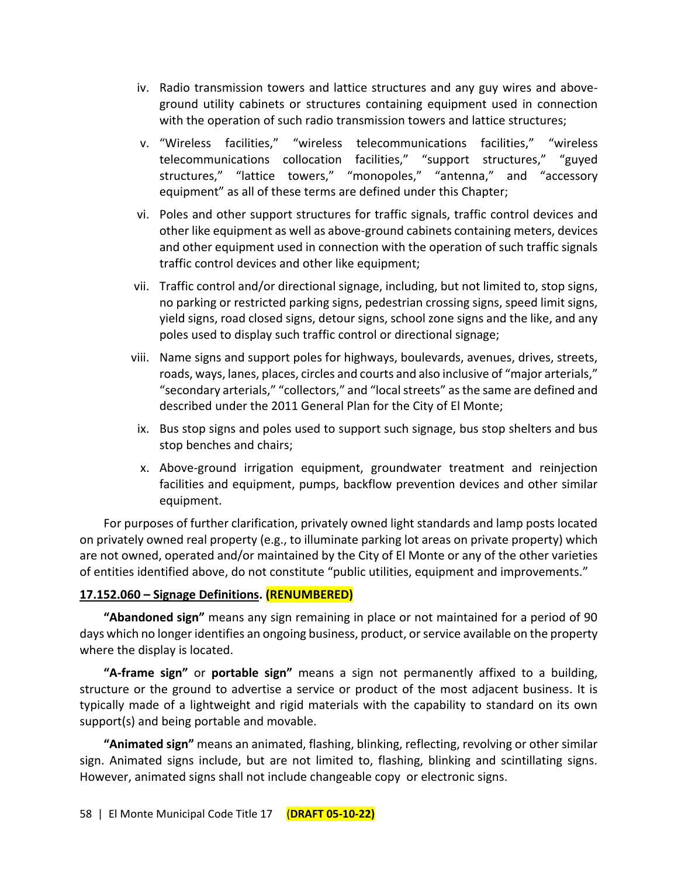- iv. Radio transmission towers and lattice structures and any guy wires and aboveground utility cabinets or structures containing equipment used in connection with the operation of such radio transmission towers and lattice structures;
- v. "Wireless facilities," "wireless telecommunications facilities," "wireless telecommunications collocation facilities," "support structures," "guyed structures," "lattice towers," "monopoles," "antenna," and "accessory equipment" as all of these terms are defined under this Chapter;
- vi. Poles and other support structures for traffic signals, traffic control devices and other like equipment as well as above-ground cabinets containing meters, devices and other equipment used in connection with the operation of such traffic signals traffic control devices and other like equipment;
- vii. Traffic control and/or directional signage, including, but not limited to, stop signs, no parking or restricted parking signs, pedestrian crossing signs, speed limit signs, yield signs, road closed signs, detour signs, school zone signs and the like, and any poles used to display such traffic control or directional signage;
- viii. Name signs and support poles for highways, boulevards, avenues, drives, streets, roads, ways, lanes, places, circles and courts and also inclusive of "major arterials," "secondary arterials," "collectors," and "local streets" as the same are defined and described under the 2011 General Plan for the City of El Monte;
- ix. Bus stop signs and poles used to support such signage, bus stop shelters and bus stop benches and chairs;
- x. Above-ground irrigation equipment, groundwater treatment and reinjection facilities and equipment, pumps, backflow prevention devices and other similar equipment.

For purposes of further clarification, privately owned light standards and lamp posts located on privately owned real property (e.g., to illuminate parking lot areas on private property) which are not owned, operated and/or maintained by the City of El Monte or any of the other varieties of entities identified above, do not constitute "public utilities, equipment and improvements."

## **17.152.060 – Signage Definitions. (RENUMBERED)**

**"Abandoned sign"** means any sign remaining in place or not maintained for a period of 90 days which no longer identifies an ongoing business, product, or service available on the property where the display is located.

**"A-frame sign"** or **portable sign"** means a sign not permanently affixed to a building, structure or the ground to advertise a service or product of the most adjacent business. It is typically made of a lightweight and rigid materials with the capability to standard on its own support(s) and being portable and movable.

**"Animated sign"** means an animated, flashing, blinking, reflecting, revolving or other similar sign. Animated signs include, but are not limited to, flashing, blinking and scintillating signs. However, animated signs shall not include changeable copy or electronic signs.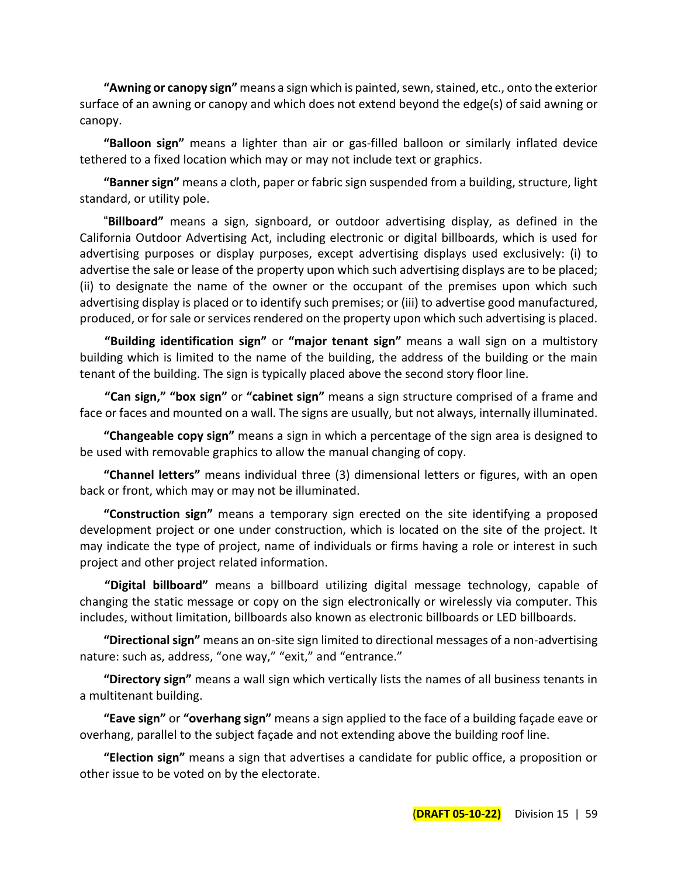**"Awning or canopy sign"** means a sign which is painted, sewn, stained, etc., onto the exterior surface of an awning or canopy and which does not extend beyond the edge(s) of said awning or canopy.

**"Balloon sign"** means a lighter than air or gas-filled balloon or similarly inflated device tethered to a fixed location which may or may not include text or graphics.

**"Banner sign"** means a cloth, paper or fabric sign suspended from a building, structure, light standard, or utility pole.

"**Billboard"** means a sign, signboard, or outdoor advertising display, as defined in the California Outdoor Advertising Act, including electronic or digital billboards, which is used for advertising purposes or display purposes, except advertising displays used exclusively: (i) to advertise the sale or lease of the property upon which such advertising displays are to be placed; (ii) to designate the name of the owner or the occupant of the premises upon which such advertising display is placed or to identify such premises; or (iii) to advertise good manufactured, produced, or for sale or services rendered on the property upon which such advertising is placed.

**"Building identification sign"** or **"major tenant sign"** means a wall sign on a multistory building which is limited to the name of the building, the address of the building or the main tenant of the building. The sign is typically placed above the second story floor line.

**"Can sign," "box sign"** or **"cabinet sign"** means a sign structure comprised of a frame and face or faces and mounted on a wall. The signs are usually, but not always, internally illuminated.

**"Changeable copy sign"** means a sign in which a percentage of the sign area is designed to be used with removable graphics to allow the manual changing of copy.

**"Channel letters"** means individual three (3) dimensional letters or figures, with an open back or front, which may or may not be illuminated.

**"Construction sign"** means a temporary sign erected on the site identifying a proposed development project or one under construction, which is located on the site of the project. It may indicate the type of project, name of individuals or firms having a role or interest in such project and other project related information.

**"Digital billboard"** means a billboard utilizing digital message technology, capable of changing the static message or copy on the sign electronically or wirelessly via computer. This includes, without limitation, billboards also known as electronic billboards or LED billboards.

**"Directional sign"** means an on-site sign limited to directional messages of a non-advertising nature: such as, address, "one way," "exit," and "entrance."

**"Directory sign"** means a wall sign which vertically lists the names of all business tenants in a multitenant building.

**"Eave sign"** or **"overhang sign"** means a sign applied to the face of a building façade eave or overhang, parallel to the subject façade and not extending above the building roof line.

**"Election sign"** means a sign that advertises a candidate for public office, a proposition or other issue to be voted on by the electorate.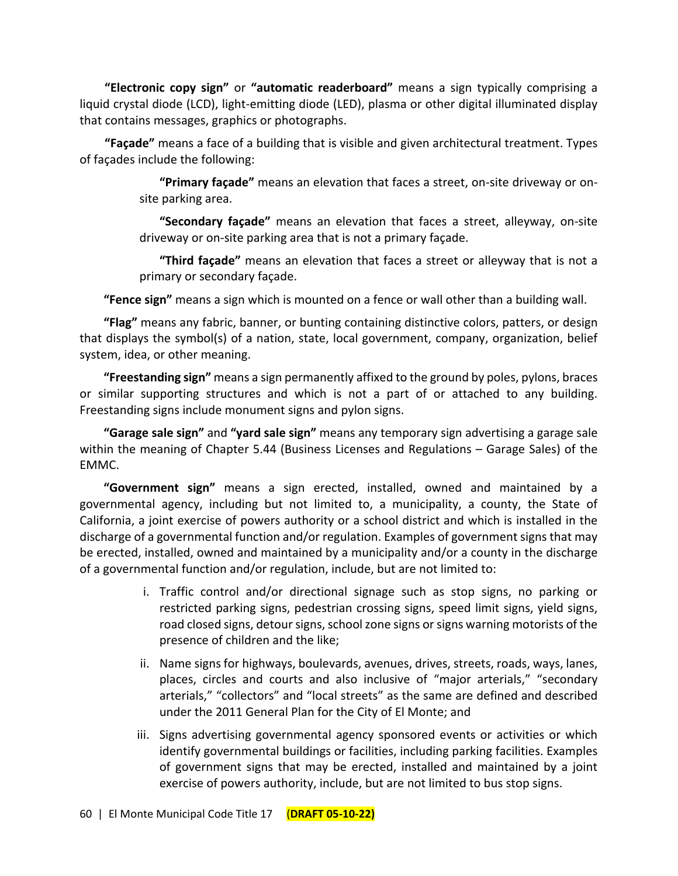**"Electronic copy sign"** or **"automatic readerboard"** means a sign typically comprising a liquid crystal diode (LCD), light-emitting diode (LED), plasma or other digital illuminated display that contains messages, graphics or photographs.

**"Façade"** means a face of a building that is visible and given architectural treatment. Types of façades include the following:

> **"Primary façade"** means an elevation that faces a street, on-site driveway or onsite parking area.

> **"Secondary façade"** means an elevation that faces a street, alleyway, on-site driveway or on-site parking area that is not a primary façade.

> **"Third façade"** means an elevation that faces a street or alleyway that is not a primary or secondary façade.

**"Fence sign"** means a sign which is mounted on a fence or wall other than a building wall.

**"Flag"** means any fabric, banner, or bunting containing distinctive colors, patters, or design that displays the symbol(s) of a nation, state, local government, company, organization, belief system, idea, or other meaning.

**"Freestanding sign"** means a sign permanently affixed to the ground by poles, pylons, braces or similar supporting structures and which is not a part of or attached to any building. Freestanding signs include monument signs and pylon signs.

**"Garage sale sign"** and **"yard sale sign"** means any temporary sign advertising a garage sale within the meaning of Chapter 5.44 (Business Licenses and Regulations – Garage Sales) of the EMMC.

**"Government sign"** means a sign erected, installed, owned and maintained by a governmental agency, including but not limited to, a municipality, a county, the State of California, a joint exercise of powers authority or a school district and which is installed in the discharge of a governmental function and/or regulation. Examples of government signs that may be erected, installed, owned and maintained by a municipality and/or a county in the discharge of a governmental function and/or regulation, include, but are not limited to:

- i. Traffic control and/or directional signage such as stop signs, no parking or restricted parking signs, pedestrian crossing signs, speed limit signs, yield signs, road closed signs, detour signs, school zone signs or signs warning motorists of the presence of children and the like;
- ii. Name signs for highways, boulevards, avenues, drives, streets, roads, ways, lanes, places, circles and courts and also inclusive of "major arterials," "secondary arterials," "collectors" and "local streets" as the same are defined and described under the 2011 General Plan for the City of El Monte; and
- iii. Signs advertising governmental agency sponsored events or activities or which identify governmental buildings or facilities, including parking facilities. Examples of government signs that may be erected, installed and maintained by a joint exercise of powers authority, include, but are not limited to bus stop signs.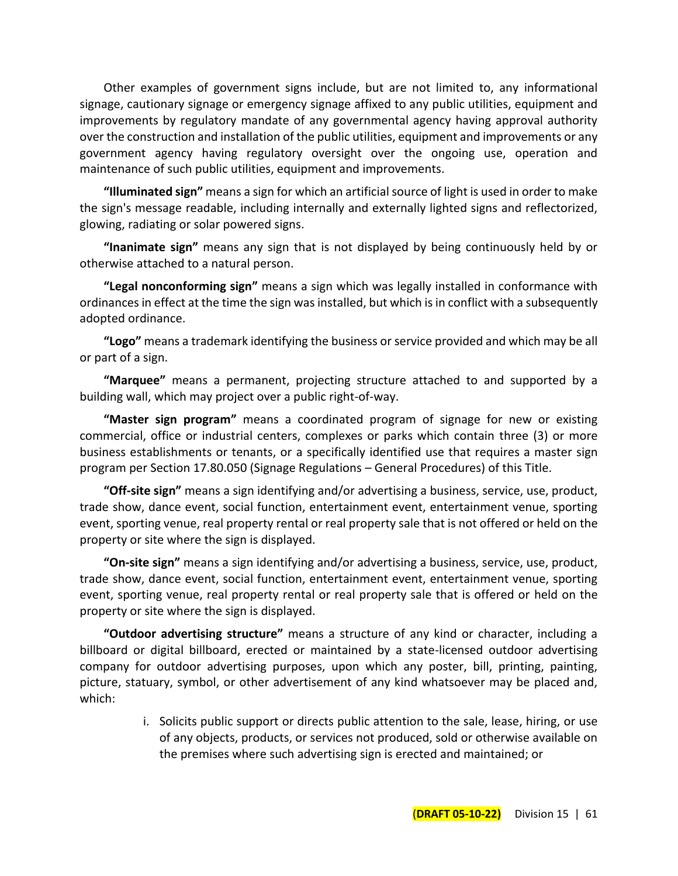Other examples of government signs include, but are not limited to, any informational signage, cautionary signage or emergency signage affixed to any public utilities, equipment and improvements by regulatory mandate of any governmental agency having approval authority over the construction and installation of the public utilities, equipment and improvements or any government agency having regulatory oversight over the ongoing use, operation and maintenance of such public utilities, equipment and improvements.

**"Illuminated sign"** means a sign for which an artificial source of light is used in order to make the sign's message readable, including internally and externally lighted signs and reflectorized, glowing, radiating or solar powered signs.

**"Inanimate sign"** means any sign that is not displayed by being continuously held by or otherwise attached to a natural person.

**"Legal nonconforming sign"** means a sign which was legally installed in conformance with ordinances in effect at the time the sign was installed, but which is in conflict with a subsequently adopted ordinance.

**"Logo"** means a trademark identifying the business or service provided and which may be all or part of a sign.

**"Marquee"** means a permanent, projecting structure attached to and supported by a building wall, which may project over a public right-of-way.

**"Master sign program"** means a coordinated program of signage for new or existing commercial, office or industrial centers, complexes or parks which contain three (3) or more business establishments or tenants, or a specifically identified use that requires a master sign program per Section 17.80.050 (Signage Regulations – General Procedures) of this Title.

**"Off-site sign"** means a sign identifying and/or advertising a business, service, use, product, trade show, dance event, social function, entertainment event, entertainment venue, sporting event, sporting venue, real property rental or real property sale that is not offered or held on the property or site where the sign is displayed.

**"On-site sign"** means a sign identifying and/or advertising a business, service, use, product, trade show, dance event, social function, entertainment event, entertainment venue, sporting event, sporting venue, real property rental or real property sale that is offered or held on the property or site where the sign is displayed.

**"Outdoor advertising structure"** means a structure of any kind or character, including a billboard or digital billboard, erected or maintained by a state-licensed outdoor advertising company for outdoor advertising purposes, upon which any poster, bill, printing, painting, picture, statuary, symbol, or other advertisement of any kind whatsoever may be placed and, which:

> i. Solicits public support or directs public attention to the sale, lease, hiring, or use of any objects, products, or services not produced, sold or otherwise available on the premises where such advertising sign is erected and maintained; or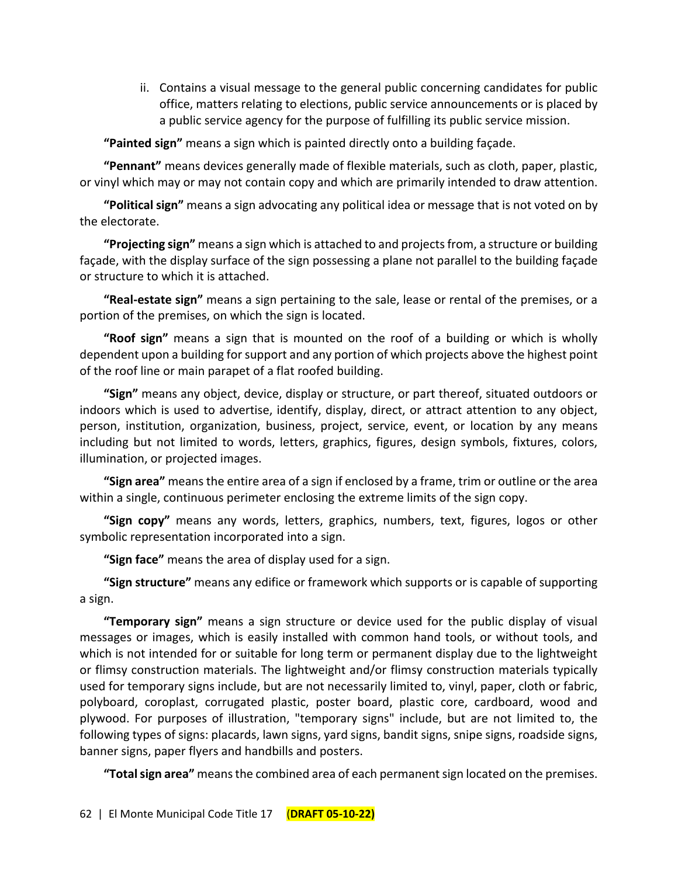ii. Contains a visual message to the general public concerning candidates for public office, matters relating to elections, public service announcements or is placed by a public service agency for the purpose of fulfilling its public service mission.

**"Painted sign"** means a sign which is painted directly onto a building façade.

**"Pennant"** means devices generally made of flexible materials, such as cloth, paper, plastic, or vinyl which may or may not contain copy and which are primarily intended to draw attention.

**"Political sign"** means a sign advocating any political idea or message that is not voted on by the electorate.

**"Projecting sign"** means a sign which is attached to and projects from, a structure or building façade, with the display surface of the sign possessing a plane not parallel to the building façade or structure to which it is attached.

**"Real-estate sign"** means a sign pertaining to the sale, lease or rental of the premises, or a portion of the premises, on which the sign is located.

**"Roof sign"** means a sign that is mounted on the roof of a building or which is wholly dependent upon a building for support and any portion of which projects above the highest point of the roof line or main parapet of a flat roofed building.

**"Sign"** means any object, device, display or structure, or part thereof, situated outdoors or indoors which is used to advertise, identify, display, direct, or attract attention to any object, person, institution, organization, business, project, service, event, or location by any means including but not limited to words, letters, graphics, figures, design symbols, fixtures, colors, illumination, or projected images.

**"Sign area"** means the entire area of a sign if enclosed by a frame, trim or outline or the area within a single, continuous perimeter enclosing the extreme limits of the sign copy.

**"Sign copy"** means any words, letters, graphics, numbers, text, figures, logos or other symbolic representation incorporated into a sign.

**"Sign face"** means the area of display used for a sign.

**"Sign structure"** means any edifice or framework which supports or is capable of supporting a sign.

**"Temporary sign"** means a sign structure or device used for the public display of visual messages or images, which is easily installed with common hand tools, or without tools, and which is not intended for or suitable for long term or permanent display due to the lightweight or flimsy construction materials. The lightweight and/or flimsy construction materials typically used for temporary signs include, but are not necessarily limited to, vinyl, paper, cloth or fabric, polyboard, coroplast, corrugated plastic, poster board, plastic core, cardboard, wood and plywood. For purposes of illustration, "temporary signs" include, but are not limited to, the following types of signs: placards, lawn signs, yard signs, bandit signs, snipe signs, roadside signs, banner signs, paper flyers and handbills and posters.

**"Total sign area"** means the combined area of each permanent sign located on the premises.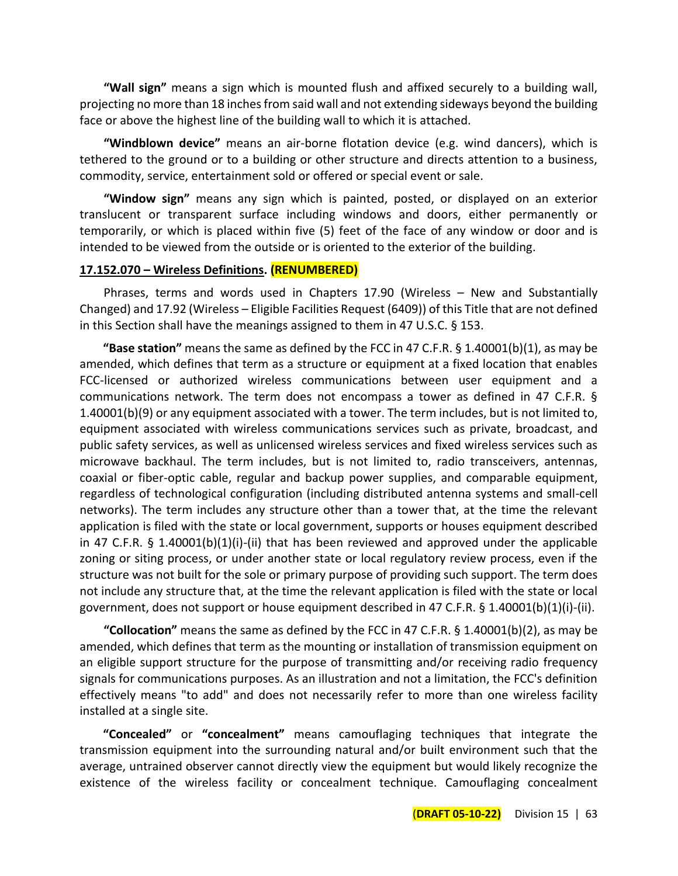**"Wall sign"** means a sign which is mounted flush and affixed securely to a building wall, projecting no more than 18 inches from said wall and not extending sideways beyond the building face or above the highest line of the building wall to which it is attached.

**"Windblown device"** means an air-borne flotation device (e.g. wind dancers), which is tethered to the ground or to a building or other structure and directs attention to a business, commodity, service, entertainment sold or offered or special event or sale.

**"Window sign"** means any sign which is painted, posted, or displayed on an exterior translucent or transparent surface including windows and doors, either permanently or temporarily, or which is placed within five (5) feet of the face of any window or door and is intended to be viewed from the outside or is oriented to the exterior of the building.

#### **17.152.070 – Wireless Definitions. (RENUMBERED)**

Phrases, terms and words used in Chapters 17.90 (Wireless – New and Substantially Changed) and 17.92 (Wireless – Eligible Facilities Request (6409)) of this Title that are not defined in this Section shall have the meanings assigned to them in 47 U.S.C. § 153.

**"Base station"** means the same as defined by the FCC in 47 C.F.R. § 1.40001(b)(1), as may be amended, which defines that term as a structure or equipment at a fixed location that enables FCC-licensed or authorized wireless communications between user equipment and a communications network. The term does not encompass a tower as defined in 47 C.F.R. § 1.40001(b)(9) or any equipment associated with a tower. The term includes, but is not limited to, equipment associated with wireless communications services such as private, broadcast, and public safety services, as well as unlicensed wireless services and fixed wireless services such as microwave backhaul. The term includes, but is not limited to, radio transceivers, antennas, coaxial or fiber-optic cable, regular and backup power supplies, and comparable equipment, regardless of technological configuration (including distributed antenna systems and small-cell networks). The term includes any structure other than a tower that, at the time the relevant application is filed with the state or local government, supports or houses equipment described in 47 C.F.R.  $\S$  1.40001(b)(1)(i)-(ii) that has been reviewed and approved under the applicable zoning or siting process, or under another state or local regulatory review process, even if the structure was not built for the sole or primary purpose of providing such support. The term does not include any structure that, at the time the relevant application is filed with the state or local government, does not support or house equipment described in 47 C.F.R. § 1.40001(b)(1)(i)-(ii).

**"Collocation"** means the same as defined by the FCC in 47 C.F.R. § 1.40001(b)(2), as may be amended, which defines that term as the mounting or installation of transmission equipment on an eligible support structure for the purpose of transmitting and/or receiving radio frequency signals for communications purposes. As an illustration and not a limitation, the FCC's definition effectively means "to add" and does not necessarily refer to more than one wireless facility installed at a single site.

**"Concealed"** or **"concealment"** means camouflaging techniques that integrate the transmission equipment into the surrounding natural and/or built environment such that the average, untrained observer cannot directly view the equipment but would likely recognize the existence of the wireless facility or concealment technique. Camouflaging concealment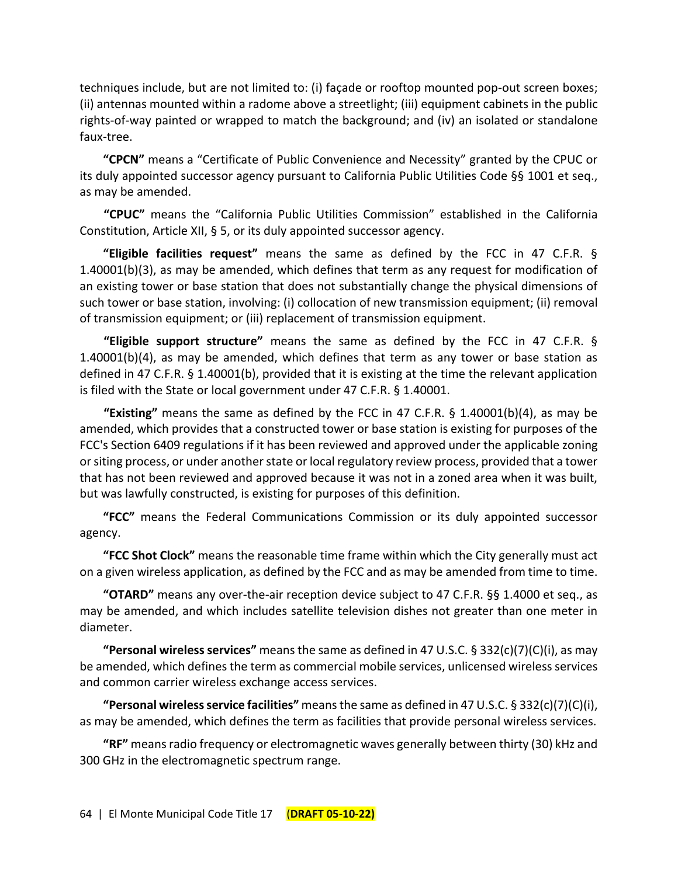techniques include, but are not limited to: (i) façade or rooftop mounted pop-out screen boxes; (ii) antennas mounted within a radome above a streetlight; (iii) equipment cabinets in the public rights-of-way painted or wrapped to match the background; and (iv) an isolated or standalone faux-tree.

**"CPCN"** means a "Certificate of Public Convenience and Necessity" granted by the CPUC or its duly appointed successor agency pursuant to California Public Utilities Code §§ 1001 et seq., as may be amended.

**"CPUC"** means the "California Public Utilities Commission" established in the California Constitution, Article XII, § 5, or its duly appointed successor agency.

**"Eligible facilities request"** means the same as defined by the FCC in 47 C.F.R. § 1.40001(b)(3), as may be amended, which defines that term as any request for modification of an existing tower or base station that does not substantially change the physical dimensions of such tower or base station, involving: (i) collocation of new transmission equipment; (ii) removal of transmission equipment; or (iii) replacement of transmission equipment.

**"Eligible support structure"** means the same as defined by the FCC in 47 C.F.R. § 1.40001(b)(4), as may be amended, which defines that term as any tower or base station as defined in 47 C.F.R. § 1.40001(b), provided that it is existing at the time the relevant application is filed with the State or local government under 47 C.F.R. § 1.40001.

**"Existing"** means the same as defined by the FCC in 47 C.F.R. § 1.40001(b)(4), as may be amended, which provides that a constructed tower or base station is existing for purposes of the FCC's Section 6409 regulations if it has been reviewed and approved under the applicable zoning or siting process, or under another state or local regulatory review process, provided that a tower that has not been reviewed and approved because it was not in a zoned area when it was built, but was lawfully constructed, is existing for purposes of this definition.

**"FCC"** means the Federal Communications Commission or its duly appointed successor agency.

**"FCC Shot Clock"** means the reasonable time frame within which the City generally must act on a given wireless application, as defined by the FCC and as may be amended from time to time.

**"OTARD"** means any over-the-air reception device subject to 47 C.F.R. §§ 1.4000 et seq., as may be amended, and which includes satellite television dishes not greater than one meter in diameter.

**"Personal wireless services"** means the same as defined in 47 U.S.C. § 332(c)(7)(C)(i), as may be amended, which defines the term as commercial mobile services, unlicensed wireless services and common carrier wireless exchange access services.

**"Personal wireless service facilities"** means the same as defined in 47 U.S.C. § 332(c)(7)(C)(i), as may be amended, which defines the term as facilities that provide personal wireless services.

**"RF"** means radio frequency or electromagnetic waves generally between thirty (30) kHz and 300 GHz in the electromagnetic spectrum range.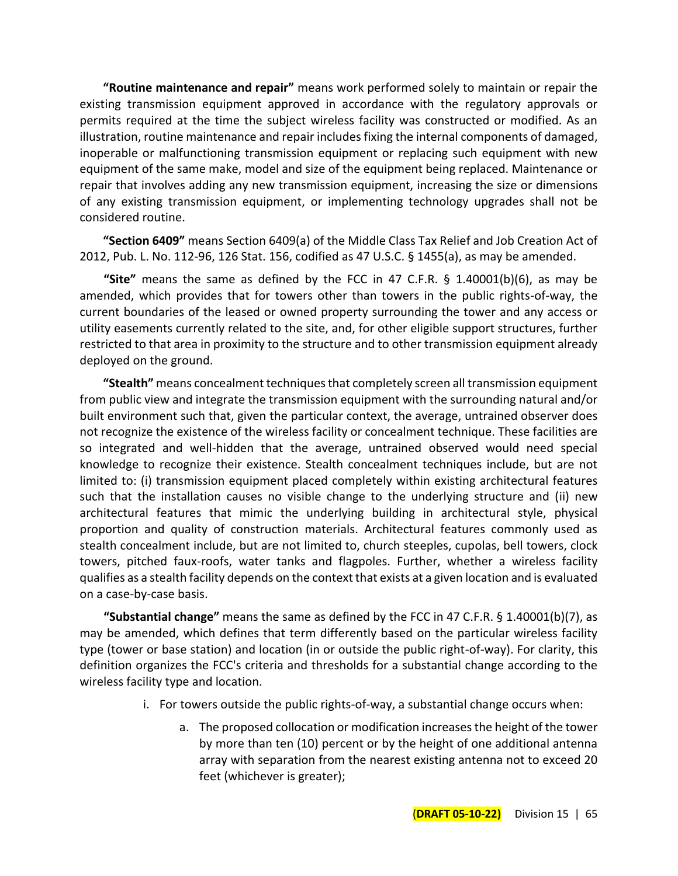**"Routine maintenance and repair"** means work performed solely to maintain or repair the existing transmission equipment approved in accordance with the regulatory approvals or permits required at the time the subject wireless facility was constructed or modified. As an illustration, routine maintenance and repair includes fixing the internal components of damaged, inoperable or malfunctioning transmission equipment or replacing such equipment with new equipment of the same make, model and size of the equipment being replaced. Maintenance or repair that involves adding any new transmission equipment, increasing the size or dimensions of any existing transmission equipment, or implementing technology upgrades shall not be considered routine.

**"Section 6409"** means Section 6409(a) of the Middle Class Tax Relief and Job Creation Act of 2012, Pub. L. No. 112-96, 126 Stat. 156, codified as 47 U.S.C. § 1455(a), as may be amended.

**"Site"** means the same as defined by the FCC in 47 C.F.R. § 1.40001(b)(6), as may be amended, which provides that for towers other than towers in the public rights-of-way, the current boundaries of the leased or owned property surrounding the tower and any access or utility easements currently related to the site, and, for other eligible support structures, further restricted to that area in proximity to the structure and to other transmission equipment already deployed on the ground.

**"Stealth"** means concealment techniques that completely screen all transmission equipment from public view and integrate the transmission equipment with the surrounding natural and/or built environment such that, given the particular context, the average, untrained observer does not recognize the existence of the wireless facility or concealment technique. These facilities are so integrated and well-hidden that the average, untrained observed would need special knowledge to recognize their existence. Stealth concealment techniques include, but are not limited to: (i) transmission equipment placed completely within existing architectural features such that the installation causes no visible change to the underlying structure and (ii) new architectural features that mimic the underlying building in architectural style, physical proportion and quality of construction materials. Architectural features commonly used as stealth concealment include, but are not limited to, church steeples, cupolas, bell towers, clock towers, pitched faux-roofs, water tanks and flagpoles. Further, whether a wireless facility qualifies as a stealth facility depends on the context that exists at a given location and is evaluated on a case-by-case basis.

**"Substantial change"** means the same as defined by the FCC in 47 C.F.R. § 1.40001(b)(7), as may be amended, which defines that term differently based on the particular wireless facility type (tower or base station) and location (in or outside the public right-of-way). For clarity, this definition organizes the FCC's criteria and thresholds for a substantial change according to the wireless facility type and location.

- i. For towers outside the public rights-of-way, a substantial change occurs when:
	- a. The proposed collocation or modification increases the height of the tower by more than ten (10) percent or by the height of one additional antenna array with separation from the nearest existing antenna not to exceed 20 feet (whichever is greater);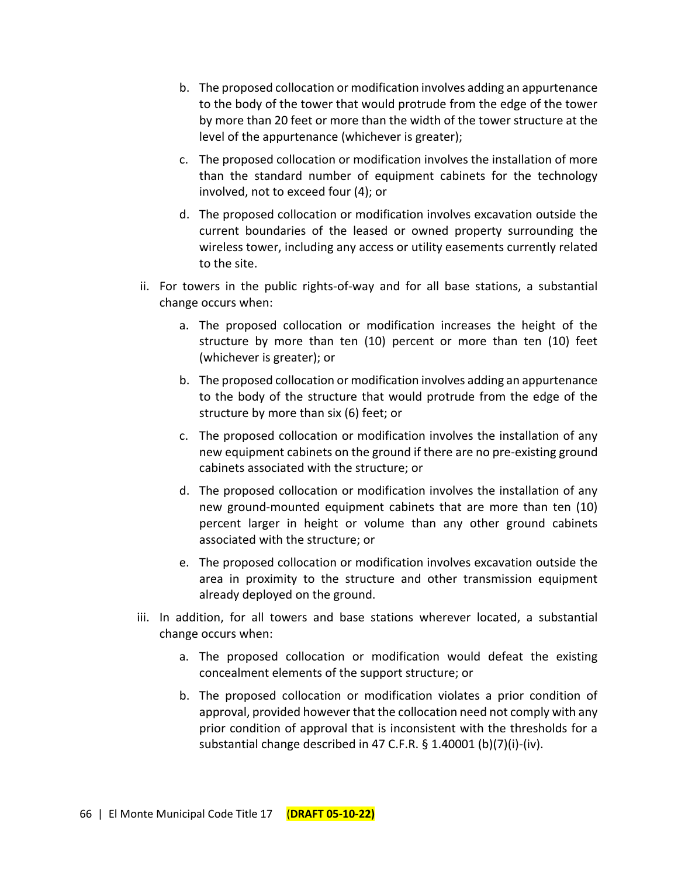- b. The proposed collocation or modification involves adding an appurtenance to the body of the tower that would protrude from the edge of the tower by more than 20 feet or more than the width of the tower structure at the level of the appurtenance (whichever is greater);
- c. The proposed collocation or modification involves the installation of more than the standard number of equipment cabinets for the technology involved, not to exceed four (4); or
- d. The proposed collocation or modification involves excavation outside the current boundaries of the leased or owned property surrounding the wireless tower, including any access or utility easements currently related to the site.
- ii. For towers in the public rights-of-way and for all base stations, a substantial change occurs when:
	- a. The proposed collocation or modification increases the height of the structure by more than ten (10) percent or more than ten (10) feet (whichever is greater); or
	- b. The proposed collocation or modification involves adding an appurtenance to the body of the structure that would protrude from the edge of the structure by more than six (6) feet; or
	- c. The proposed collocation or modification involves the installation of any new equipment cabinets on the ground if there are no pre-existing ground cabinets associated with the structure; or
	- d. The proposed collocation or modification involves the installation of any new ground-mounted equipment cabinets that are more than ten (10) percent larger in height or volume than any other ground cabinets associated with the structure; or
	- e. The proposed collocation or modification involves excavation outside the area in proximity to the structure and other transmission equipment already deployed on the ground.
- iii. In addition, for all towers and base stations wherever located, a substantial change occurs when:
	- a. The proposed collocation or modification would defeat the existing concealment elements of the support structure; or
	- b. The proposed collocation or modification violates a prior condition of approval, provided however that the collocation need not comply with any prior condition of approval that is inconsistent with the thresholds for a substantial change described in 47 C.F.R. § 1.40001 (b)(7)(i)-(iv).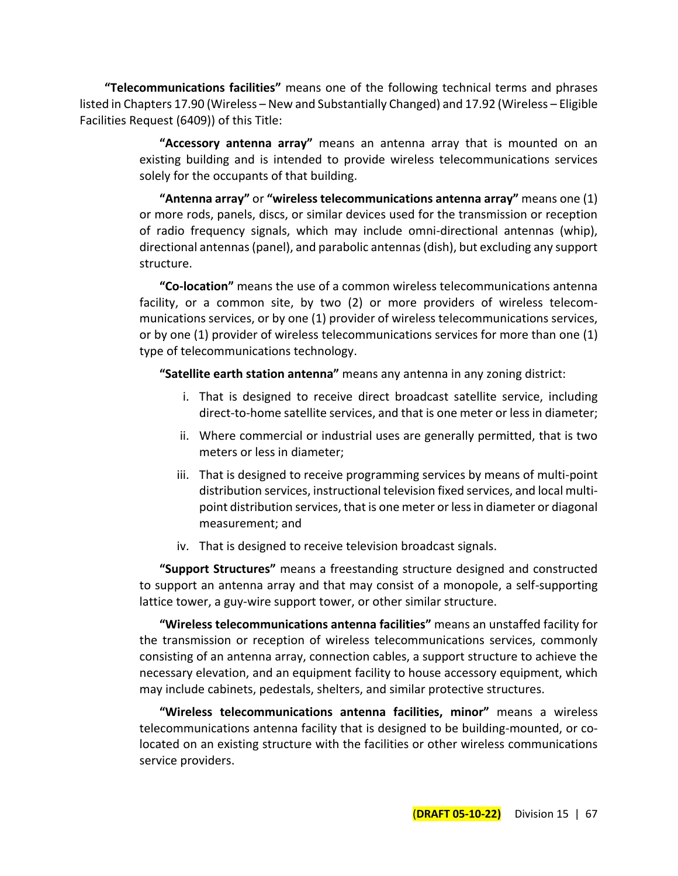**"Telecommunications facilities"** means one of the following technical terms and phrases listed in Chapters 17.90 (Wireless – New and Substantially Changed) and 17.92 (Wireless – Eligible Facilities Request (6409)) of this Title:

> **"Accessory antenna array"** means an antenna array that is mounted on an existing building and is intended to provide wireless telecommunications services solely for the occupants of that building.

> **"Antenna array"** or **"wireless telecommunications antenna array"** means one (1) or more rods, panels, discs, or similar devices used for the transmission or reception of radio frequency signals, which may include omni-directional antennas (whip), directional antennas (panel), and parabolic antennas (dish), but excluding any support structure.

> **"Co-location"** means the use of a common wireless telecommunications antenna facility, or a common site, by two (2) or more providers of wireless telecommunications services, or by one (1) provider of wireless telecommunications services, or by one (1) provider of wireless telecommunications services for more than one (1) type of telecommunications technology.

**"Satellite earth station antenna"** means any antenna in any zoning district:

- i. That is designed to receive direct broadcast satellite service, including direct-to-home satellite services, and that is one meter or less in diameter;
- ii. Where commercial or industrial uses are generally permitted, that is two meters or less in diameter;
- iii. That is designed to receive programming services by means of multi-point distribution services, instructional television fixed services, and local multipoint distribution services, that is one meter or less in diameter or diagonal measurement; and
- iv. That is designed to receive television broadcast signals.

**"Support Structures"** means a freestanding structure designed and constructed to support an antenna array and that may consist of a monopole, a self-supporting lattice tower, a guy-wire support tower, or other similar structure.

**"Wireless telecommunications antenna facilities"** means an unstaffed facility for the transmission or reception of wireless telecommunications services, commonly consisting of an antenna array, connection cables, a support structure to achieve the necessary elevation, and an equipment facility to house accessory equipment, which may include cabinets, pedestals, shelters, and similar protective structures.

**"Wireless telecommunications antenna facilities, minor"** means a wireless telecommunications antenna facility that is designed to be building-mounted, or colocated on an existing structure with the facilities or other wireless communications service providers.